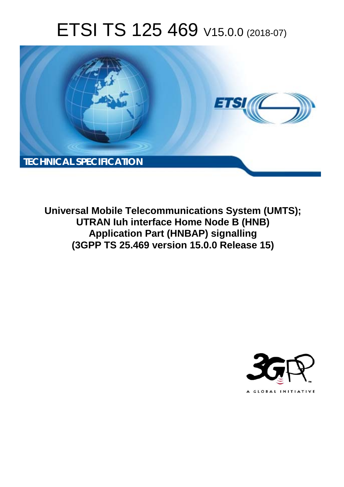# ETSI TS 125 469 V15.0.0 (2018-07)



**Universal Mobile Telecommunications System (UMTS); UTRAN Iuh interface Home Node B (HNB) Application Part (HNBAP) signalling (3GPP TS 25.469 version 15.0.0 Release 15)** 

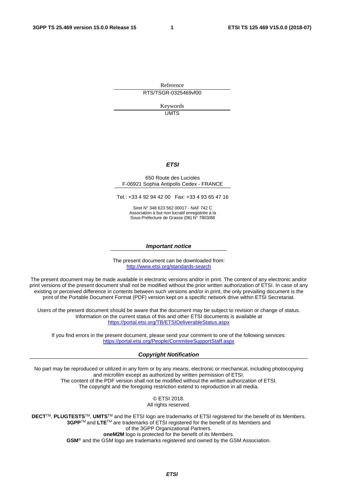Reference RTS/TSGR-0325469vf00

> Keywords UMTS

#### *ETSI*

#### 650 Route des Lucioles F-06921 Sophia Antipolis Cedex - FRANCE

Tel.: +33 4 92 94 42 00 Fax: +33 4 93 65 47 16

Siret N° 348 623 562 00017 - NAF 742 C Association à but non lucratif enregistrée à la Sous-Préfecture de Grasse (06) N° 7803/88

#### *Important notice*

The present document can be downloaded from: <http://www.etsi.org/standards-search>

The present document may be made available in electronic versions and/or in print. The content of any electronic and/or print versions of the present document shall not be modified without the prior written authorization of ETSI. In case of any existing or perceived difference in contents between such versions and/or in print, the only prevailing document is the print of the Portable Document Format (PDF) version kept on a specific network drive within ETSI Secretariat.

Users of the present document should be aware that the document may be subject to revision or change of status. Information on the current status of this and other ETSI documents is available at <https://portal.etsi.org/TB/ETSIDeliverableStatus.aspx>

If you find errors in the present document, please send your comment to one of the following services: <https://portal.etsi.org/People/CommiteeSupportStaff.aspx>

#### *Copyright Notification*

No part may be reproduced or utilized in any form or by any means, electronic or mechanical, including photocopying and microfilm except as authorized by written permission of ETSI. The content of the PDF version shall not be modified without the written authorization of ETSI. The copyright and the foregoing restriction extend to reproduction in all media.

> © ETSI 2018. All rights reserved.

**DECT**TM, **PLUGTESTS**TM, **UMTS**TM and the ETSI logo are trademarks of ETSI registered for the benefit of its Members. **3GPP**TM and **LTE**TM are trademarks of ETSI registered for the benefit of its Members and of the 3GPP Organizational Partners. **oneM2M** logo is protected for the benefit of its Members.

**GSM**® and the GSM logo are trademarks registered and owned by the GSM Association.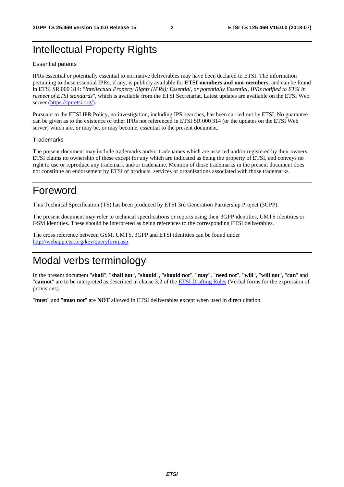### Intellectual Property Rights

#### Essential patents

IPRs essential or potentially essential to normative deliverables may have been declared to ETSI. The information pertaining to these essential IPRs, if any, is publicly available for **ETSI members and non-members**, and can be found in ETSI SR 000 314: *"Intellectual Property Rights (IPRs); Essential, or potentially Essential, IPRs notified to ETSI in respect of ETSI standards"*, which is available from the ETSI Secretariat. Latest updates are available on the ETSI Web server ([https://ipr.etsi.org/\)](https://ipr.etsi.org/).

Pursuant to the ETSI IPR Policy, no investigation, including IPR searches, has been carried out by ETSI. No guarantee can be given as to the existence of other IPRs not referenced in ETSI SR 000 314 (or the updates on the ETSI Web server) which are, or may be, or may become, essential to the present document.

#### **Trademarks**

The present document may include trademarks and/or tradenames which are asserted and/or registered by their owners. ETSI claims no ownership of these except for any which are indicated as being the property of ETSI, and conveys no right to use or reproduce any trademark and/or tradename. Mention of those trademarks in the present document does not constitute an endorsement by ETSI of products, services or organizations associated with those trademarks.

### Foreword

This Technical Specification (TS) has been produced by ETSI 3rd Generation Partnership Project (3GPP).

The present document may refer to technical specifications or reports using their 3GPP identities, UMTS identities or GSM identities. These should be interpreted as being references to the corresponding ETSI deliverables.

The cross reference between GSM, UMTS, 3GPP and ETSI identities can be found under [http://webapp.etsi.org/key/queryform.asp.](http://webapp.etsi.org/key/queryform.asp)

### Modal verbs terminology

In the present document "**shall**", "**shall not**", "**should**", "**should not**", "**may**", "**need not**", "**will**", "**will not**", "**can**" and "**cannot**" are to be interpreted as described in clause 3.2 of the [ETSI Drafting Rules](https://portal.etsi.org/Services/editHelp!/Howtostart/ETSIDraftingRules.aspx) (Verbal forms for the expression of provisions).

"**must**" and "**must not**" are **NOT** allowed in ETSI deliverables except when used in direct citation.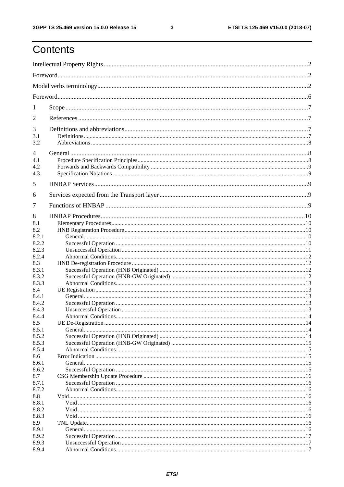$\mathbf{3}$ 

# Contents

| 1                 |  |  |  |
|-------------------|--|--|--|
| 2                 |  |  |  |
| 3<br>3.1<br>3.2   |  |  |  |
| 4                 |  |  |  |
| 4.1<br>4.2<br>4.3 |  |  |  |
| 5                 |  |  |  |
| 6                 |  |  |  |
| 7                 |  |  |  |
| 8                 |  |  |  |
| 8.1<br>8.2        |  |  |  |
| 8.2.1             |  |  |  |
| 8.2.2             |  |  |  |
| 8.2.3             |  |  |  |
| 8.2.4             |  |  |  |
| 8.3               |  |  |  |
| 8.3.1             |  |  |  |
| 8.3.2             |  |  |  |
| 8.3.3             |  |  |  |
| 8.4               |  |  |  |
| 8.4.1             |  |  |  |
| 8.4.2             |  |  |  |
| 8.4.3             |  |  |  |
| 8.4.4             |  |  |  |
| 8.5               |  |  |  |
| 8.5.1             |  |  |  |
| 8.5.2<br>8.5.3    |  |  |  |
| 8.5.4             |  |  |  |
| 8.6               |  |  |  |
| 8.6.1             |  |  |  |
| 8.6.2             |  |  |  |
| 8.7               |  |  |  |
| 8.7.1             |  |  |  |
| 8.7.2             |  |  |  |
| 8.8               |  |  |  |
| 8.8.1             |  |  |  |
| 8.8.2             |  |  |  |
| 8.8.3             |  |  |  |
| 8.9               |  |  |  |
| 8.9.1             |  |  |  |
| 8.9.2             |  |  |  |
| 8.9.3<br>8.9.4    |  |  |  |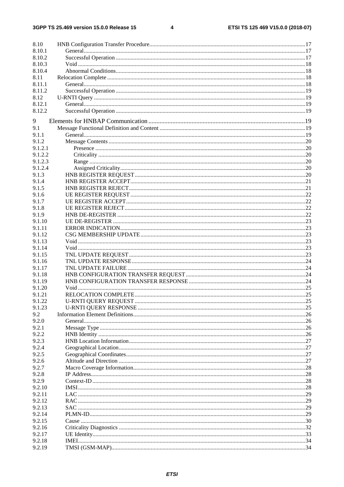$\overline{\mathbf{4}}$ 

| 8.10               |  |
|--------------------|--|
| 8.10.1             |  |
| 8.10.2             |  |
| 8.10.3             |  |
| 8.10.4             |  |
| 8.11               |  |
| 8.11.1             |  |
| 8.11.2             |  |
| 8.12               |  |
| 8.12.1             |  |
| 8.12.2             |  |
|                    |  |
| 9                  |  |
| 9.1                |  |
| 9.1.1              |  |
| 9.1.2<br>9.1.2.1   |  |
| 9.1.2.2            |  |
|                    |  |
| 9.1.2.3<br>9.1.2.4 |  |
|                    |  |
| 9.1.3              |  |
| 9.1.4              |  |
| 9.1.5              |  |
| 9.1.6              |  |
| 9.1.7              |  |
| 9.1.8              |  |
| 9.1.9              |  |
| 9.1.10             |  |
| 9.1.11             |  |
| 9.1.12             |  |
| 9.1.13             |  |
| 9.1.14             |  |
| 9.1.15             |  |
| 9.1.16             |  |
| 9.1.17             |  |
| 9.1.18             |  |
| 9.1.19             |  |
| 9.1.20             |  |
| 9.1.21             |  |
| 9.1.22             |  |
| 9.1.23             |  |
| 9.2                |  |
| 9.2.0              |  |
| 9.2.1              |  |
| 9.2.2              |  |
| 9.2.3              |  |
| 9.2.4              |  |
| 9.2.5              |  |
| 9.2.6              |  |
| 9.2.7              |  |
| 9.2.8              |  |
| 9.2.9              |  |
| 9.2.10             |  |
| 9.2.11             |  |
| 9.2.12             |  |
| 9.2.13             |  |
| 9.2.14             |  |
| 9.2.15             |  |
| 9.2.16             |  |
| 9.2.17             |  |
| 9.2.18             |  |
| 9.2.19             |  |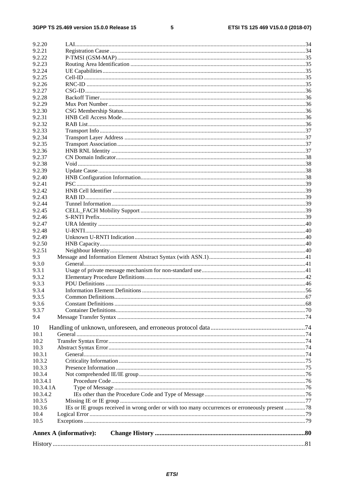#### $5\phantom{a}$

| 9.2.20                        |                                                                                                 |  |
|-------------------------------|-------------------------------------------------------------------------------------------------|--|
|                               |                                                                                                 |  |
| 9.2.21                        |                                                                                                 |  |
| 9.2.22                        |                                                                                                 |  |
| 9.2.23                        |                                                                                                 |  |
| 9.2.24                        |                                                                                                 |  |
| 9.2.25                        |                                                                                                 |  |
| 9.2.26                        |                                                                                                 |  |
| 9.2.27                        |                                                                                                 |  |
| 9.2.28                        |                                                                                                 |  |
| 9.2.29                        |                                                                                                 |  |
| 9.2.30                        |                                                                                                 |  |
| 9.2.31                        |                                                                                                 |  |
| 9.2.32                        |                                                                                                 |  |
| 9.2.33                        |                                                                                                 |  |
| 9.2.34                        |                                                                                                 |  |
| 9.2.35                        |                                                                                                 |  |
| 9.2.36                        |                                                                                                 |  |
| 9.2.37                        |                                                                                                 |  |
| 9.2.38                        |                                                                                                 |  |
| 9.2.39                        |                                                                                                 |  |
| 9.2.40                        |                                                                                                 |  |
| 9.2.41                        |                                                                                                 |  |
| 9.2.42                        |                                                                                                 |  |
| 9.2.43                        |                                                                                                 |  |
| 9.2.44                        |                                                                                                 |  |
| 9.2.45                        |                                                                                                 |  |
| 9.2.46                        |                                                                                                 |  |
| 9.2.47                        |                                                                                                 |  |
| 9.2.48                        |                                                                                                 |  |
| 9.2.49                        |                                                                                                 |  |
| 9.2.50                        |                                                                                                 |  |
| 9.2.51                        |                                                                                                 |  |
| 9.3                           |                                                                                                 |  |
|                               |                                                                                                 |  |
| 9.3.0                         |                                                                                                 |  |
| 9.3.1                         |                                                                                                 |  |
| 9.3.2                         |                                                                                                 |  |
| 9.3.3                         |                                                                                                 |  |
| 9.3.4                         |                                                                                                 |  |
| 9.3.5                         | Common Definitions                                                                              |  |
| 9.3.6                         |                                                                                                 |  |
| 9.3.7                         |                                                                                                 |  |
| 9.4                           |                                                                                                 |  |
| 10                            |                                                                                                 |  |
| 10.1                          |                                                                                                 |  |
| 10.2                          |                                                                                                 |  |
| 10.3                          |                                                                                                 |  |
|                               |                                                                                                 |  |
| 10.3.1                        |                                                                                                 |  |
| 10.3.2                        |                                                                                                 |  |
| 10.3.3                        |                                                                                                 |  |
| 10.3.4                        |                                                                                                 |  |
| 10.3.4.1                      |                                                                                                 |  |
| 10.3.4.1A                     |                                                                                                 |  |
| 10.3.4.2                      |                                                                                                 |  |
| 10.3.5                        |                                                                                                 |  |
| 10.3.6                        | IEs or IE groups received in wrong order or with too many occurrences or erroneously present 78 |  |
| 10.4                          |                                                                                                 |  |
| 10.5                          |                                                                                                 |  |
| <b>Annex A (informative):</b> |                                                                                                 |  |
|                               |                                                                                                 |  |
|                               |                                                                                                 |  |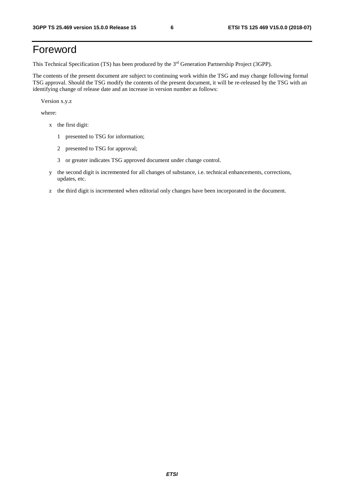### Foreword

This Technical Specification (TS) has been produced by the 3rd Generation Partnership Project (3GPP).

The contents of the present document are subject to continuing work within the TSG and may change following formal TSG approval. Should the TSG modify the contents of the present document, it will be re-released by the TSG with an identifying change of release date and an increase in version number as follows:

Version x.y.z

where:

- x the first digit:
	- 1 presented to TSG for information;
	- 2 presented to TSG for approval;
	- 3 or greater indicates TSG approved document under change control.
- y the second digit is incremented for all changes of substance, i.e. technical enhancements, corrections, updates, etc.
- z the third digit is incremented when editorial only changes have been incorporated in the document.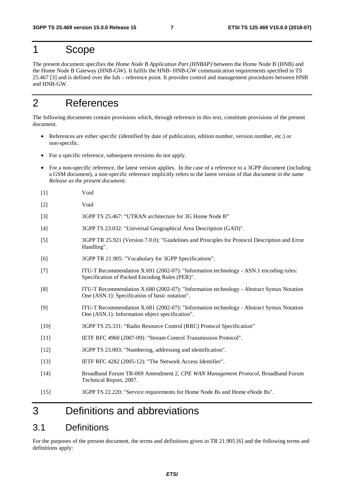### 1 Scope

The present document specifies the *Home Node B Application Part (HNBAP)* between the Home Node B (HNB) and the Home Node B Gateway (HNB-GW). It fulfils the HNB- HNB-GW communication requirements specified in TS 25.467 [3] and is defined over the Iuh – reference point. It provides control and management procedures between HNB and HNB-GW.

### 2 References

The following documents contain provisions which, through reference in this text, constitute provisions of the present document.

- References are either specific (identified by date of publication, edition number, version number, etc.) or non-specific.
- For a specific reference, subsequent revisions do not apply.
- For a non-specific reference, the latest version applies. In the case of a reference to a 3GPP document (including a GSM document), a non-specific reference implicitly refers to the latest version of that document *in the same Release as the present document*.
- [1] Void
- [2] Void
- [3] 3GPP TS 25.467: "UTRAN architecture for 3G Home Node B"
- [4] 3GPP TS 23.032: "Universal Geographical Area Description (GAD)".
- [5] 3GPP TR 25.921 (Version 7.0.0): "Guidelines and Principles for Protocol Description and Error Handling".
- [6] 3GPP TR 21.905: "Vocabulary for 3GPP Specifications".
- [7] ITU-T Recommendation X.691 (2002-07): "Information technology ASN.1 encoding rules: Specification of Packed Encoding Rules (PER)".
- [8] ITU-T Recommendation X.680 (2002-07): "Information technology Abstract Syntax Notation One (ASN.1): Specification of basic notation".
- [9] ITU-T Recommendation X.681 (2002-07): "Information technology Abstract Syntax Notation One (ASN.1): Information object specification".
- [10] 3GPP TS 25.331: "Radio Resource Control (RRC) Protocol Specification"
- [11] IETF RFC 4960 (2007-09): "Stream Control Transmission Protocol".
- [12] 3GPP TS 23.003: "Numbering, addressing and identification".
- [13] IETF RFC 4282 (2005-12): "The Network Access Identifier".
- [14] Broadband Forum TR-069 Amendment 2, *CPE WAN Management Protocol*, Broadband Forum Technical Report, 2007.
- [15] 3GPP TS 22.220: "Service requirements for Home Node Bs and Home eNode Bs".

### 3 Definitions and abbreviations

### 3.1 Definitions

For the purposes of the present document, the terms and definitions given in TR 21.905 [6] and the following terms and definitions apply: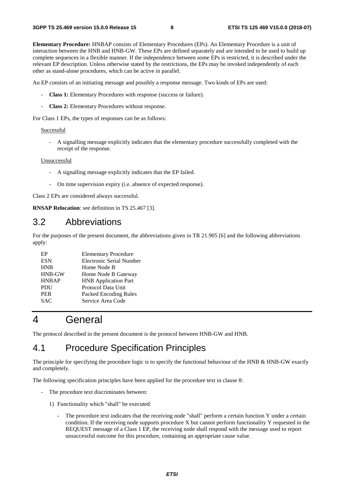**Elementary Procedure:** HNBAP consists of Elementary Procedures (EPs). An Elementary Procedure is a unit of interaction between the HNB and HNB-GW. These EPs are defined separately and are intended to be used to build up complete sequences in a flexible manner. If the independence between some EPs is restricted, it is described under the relevant EP description. Unless otherwise stated by the restrictions, the EPs may be invoked independently of each other as stand-alone procedures, which can be active in parallel.

An EP consists of an initiating message and possibly a response message. Two kinds of EPs are used:

- **Class 1:** Elementary Procedures with response (success or failure).
- **Class 2:** Elementary Procedures without response.

For Class 1 EPs, the types of responses can be as follows:

#### Successful

A signalling message explicitly indicates that the elementary procedure successfully completed with the receipt of the response.

#### Unsuccessful

- A signalling message explicitly indicates that the EP failed.
- On time supervision expiry (i.e. absence of expected response).

Class 2 EPs are considered always successful.

**RNSAP Relocation**: see definition in TS 25.467 [3].

#### 3.2 Abbreviations

For the purposes of the present document, the abbreviations given in TR 21.905 [6] and the following abbreviations apply:

| EP           | <b>Elementary Procedure</b>     |
|--------------|---------------------------------|
| <b>ESN</b>   | <b>Electronic Serial Number</b> |
| <b>HNB</b>   | Home Node B                     |
| HNB-GW       | Home Node B Gateway             |
| <b>HNBAP</b> | <b>HNB</b> Application Part     |
| <b>PDU</b>   | Protocol Data Unit              |
| <b>PER</b>   | Packed Encoding Rules           |
| <b>SAC</b>   | Service Area Code               |
|              |                                 |

### 4 General

The protocol described in the present document is the protocol between HNB-GW and HNB.

### 4.1 Procedure Specification Principles

The principle for specifying the procedure logic is to specify the functional behaviour of the HNB & HNB-GW exactly and completely.

The following specification principles have been applied for the procedure text in clause 8:

- The procedure text discriminates between:
	- 1) Functionality which "shall" be executed:
		- The procedure text indicates that the receiving node "shall" perform a certain function Y under a certain condition. If the receiving node supports procedure X but cannot perform functionality Y requested in the REQUEST message of a Class 1 EP, the receiving node shall respond with the message used to report unsuccessful outcome for this procedure, containing an appropriate cause value.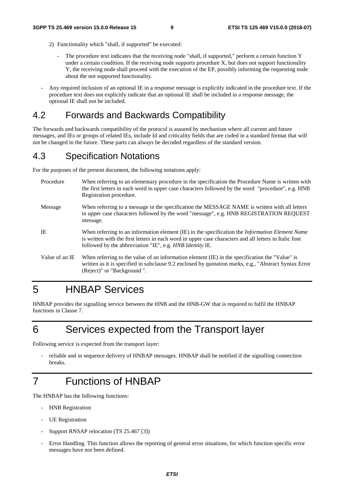- 2) Functionality which "shall, if supported" be executed:
	- The procedure text indicates that the receiving node "shall, if supported," perform a certain function Y under a certain condition. If the receiving node supports procedure X, but does not support functionality Y, the receiving node shall proceed with the execution of the EP, possibly informing the requesting node about the not supported functionality.
- Any required inclusion of an optional IE in a response message is explicitly indicated in the procedure text. If the procedure text does not explicitly indicate that an optional IE shall be included in a response message, the optional IE shall not be included.

### 4.2 Forwards and Backwards Compatibility

The forwards and backwards compatibility of the protocol is assured by mechanism where all current and future messages, and IEs or groups of related IEs, include Id and criticality fields that are coded in a standard format that will not be changed in the future. These parts can always be decoded regardless of the standard version.

### 4.3 Specification Notations

For the purposes of the present document, the following notations apply:

| Procedure      | When referring to an elementary procedure in the specification the Procedure Name is written with<br>the first letters in each word in upper case characters followed by the word "procedure", e.g. HNB<br>Registration procedure.                                                   |
|----------------|--------------------------------------------------------------------------------------------------------------------------------------------------------------------------------------------------------------------------------------------------------------------------------------|
| Message        | When referring to a message in the specification the MESSAGE NAME is written with all letters<br>in upper case characters followed by the word "message", e.g. HNB REGISTRATION REQUEST<br>message.                                                                                  |
| IE             | When referring to an information element (IE) in the specification the <i>Information Element Name</i><br>is written with the first letters in each word in upper case characters and all letters in Italic font<br>followed by the abbreviation "IE", e.g. <i>HNB Identity IE</i> . |
| Value of an IE | When referring to the value of an information element (IE) in the specification the "Value" is<br>written as it is specified in subclause 9.2 enclosed by quotation marks, e.g., "Abstract Syntax Error<br>(Reject)" or "Background".                                                |

## 5 HNBAP Services

HNBAP provides the signalling service between the HNB and the HNB-GW that is required to fulfil the HNBAP functions in Clause 7.

### 6 Services expected from the Transport layer

Following service is expected from the transport layer:

reliable and in sequence delivery of HNBAP messages. HNBAP shall be notified if the signalling connection breaks.

### 7 Functions of HNBAP

The HNBAP has the following functions:

- HNB Registration
- UE Registration
- Support RNSAP relocation (TS 25.467 [3])
- Error Handling. This function allows the reporting of general error situations, for which function specific error messages have not been defined.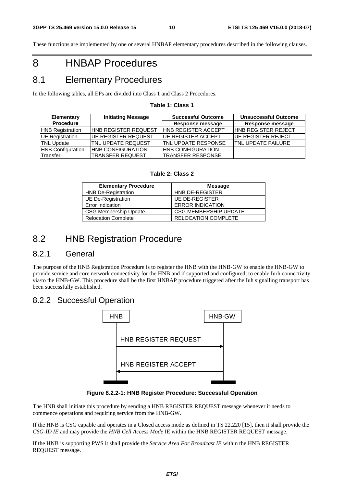These functions are implemented by one or several HNBAP elementary procedures described in the following clauses.

## 8 HNBAP Procedures

### 8.1 Elementary Procedures

In the following tables, all EPs are divided into Class 1 and Class 2 Procedures.

| Table 1: Class 1 |  |
|------------------|--|
|------------------|--|

| Elementary               | <b>Initiating Message</b>   | <b>Successful Outcome</b>   | <b>Unsuccessful Outcome</b> |  |
|--------------------------|-----------------------------|-----------------------------|-----------------------------|--|
| <b>Procedure</b>         |                             | <b>Response message</b>     | <b>Response message</b>     |  |
| <b>HNB Registration</b>  | <b>HNB REGISTER REQUEST</b> | <b>HNB REGISTER ACCEPT</b>  | <b>HNB REGISTER REJECT</b>  |  |
| UE Registration          | <b>IUE REGISTER REQUEST</b> | <b>IUE REGISTER ACCEPT</b>  | <b>IUE REGISTER REJECT</b>  |  |
| <b>TNL Update</b>        | TNL UPDATE REQUEST          | <b>ITNL UPDATE RESPONSE</b> | <b>TNL UPDATE FAILURE</b>   |  |
| <b>HNB Configuration</b> | <b>HNB CONFIGURATION</b>    | <b>HNB CONFIGURATION</b>    |                             |  |
| Transfer                 | <b>TRANSFER REQUEST</b>     | <b>TRANSFER RESPONSE</b>    |                             |  |

#### **Table 2: Class 2**

| <b>Elementary Procedure</b>  | Message                      |
|------------------------------|------------------------------|
| <b>HNB De-Registration</b>   | <b>HNB DE-REGISTER</b>       |
| <b>UE De-Registration</b>    | <b>UE DE-REGISTER</b>        |
| Error Indication             | <b>ERROR INDICATION</b>      |
| <b>CSG Membership Update</b> | <b>CSG MEMBERSHIP UPDATE</b> |
| <b>Relocation Complete</b>   | <b>RELOCATION COMPLETE</b>   |

### 8.2 HNB Registration Procedure

#### 8.2.1 General

The purpose of the HNB Registration Procedure is to register the HNB with the HNB-GW to enable the HNB-GW to provide service and core network connectivity for the HNB and if supported and configured, to enable Iurh connectivity via/to the HNB-GW. This procedure shall be the first HNBAP procedure triggered after the Iuh signalling transport has been successfully established.

#### 8.2.2 Successful Operation



**Figure 8.2.2-1: HNB Register Procedure: Successful Operation** 

The HNB shall initiate this procedure by sending a HNB REGISTER REQUEST message whenever it needs to commence operations and requiring service from the HNB-GW.

If the HNB is CSG capable and operates in a Closed access mode as defined in TS 22.220 [15], then it shall provide the *CSG-ID IE* and may provide the *HNB Cell Access Mode* IE within the HNB REGISTER REQUEST message.

If the HNB is supporting PWS it shall provide the *Service Area For Broadcast IE* within the HNB REGISTER REQUEST message.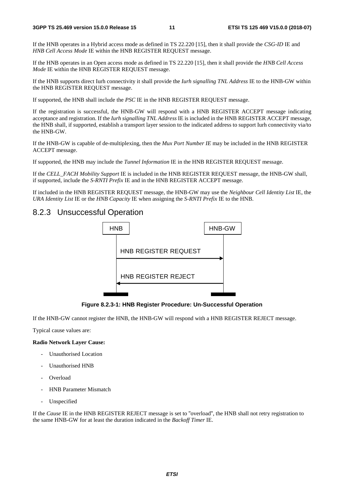If the HNB operates in a Hybrid access mode as defined in TS 22.220 [15], then it shall provide the *CSG-ID* IE and *HNB Cell Access Mode* IE within the HNB REGISTER REQUEST message.

If the HNB operates in an Open access mode as defined in TS 22.220 [15], then it shall provide the *HNB Cell Access Mode* IE within the HNB REGISTER REQUEST message.

If the HNB supports direct Iurh connectivity it shall provide the *Iurh signalling TNL Address* IE to the HNB-GW within the HNB REGISTER REQUEST message.

If supported, the HNB shall include the *PSC* IE in the HNB REGISTER REQUEST message.

If the registration is successful, the HNB-GW will respond with a HNB REGISTER ACCEPT message indicating acceptance and registration. If the *Iurh signalling TNL Address* IE is included in the HNB REGISTER ACCEPT message, the HNB shall, if supported, establish a transport layer session to the indicated address to support Iurh connectivity via/to the HNB-GW.

If the HNB-GW is capable of de-multiplexing, then the *Mux Port Number IE* may be included in the HNB REGISTER ACCEPT message.

If supported, the HNB may include the *Tunnel Information* IE in the HNB REGISTER REQUEST message.

If the *CELL\_FACH Mobility Support* IE is included in the HNB REGISTER REQUEST message, the HNB-GW shall, if supported, include the *S-RNTI Prefix* IE and in the HNB REGISTER ACCEPT message.

If included in the HNB REGISTER REQUEST message, the HNB-GW may use the *Neighbour Cell Identity List* IE, the *URA Identity List* IE or the *HNB Capacity* IE when assigning the *S-RNTI Prefix* IE to the HNB.

#### 8.2.3 Unsuccessful Operation



**Figure 8.2.3-1: HNB Register Procedure: Un-Successful Operation** 

If the HNB-GW cannot register the HNB, the HNB-GW will respond with a HNB REGISTER REJECT message.

Typical cause values are:

#### **Radio Network Layer Cause:**

- Unauthorised Location
- Unauthorised HNB
- Overload
- HNB Parameter Mismatch
- Unspecified

If the *Cause* IE in the HNB REGISTER REJECT message is set to "overload", the HNB shall not retry registration to the same HNB-GW for at least the duration indicated in the *Backoff Timer* IE.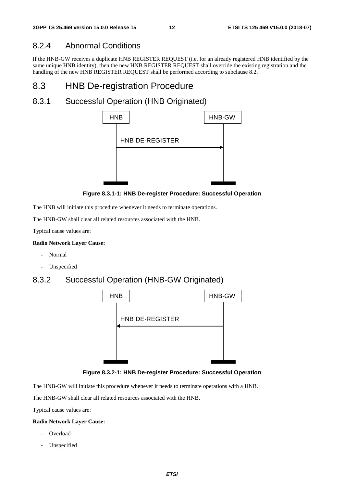#### 8.2.4 Abnormal Conditions

If the HNB-GW receives a duplicate HNB REGISTER REQUEST (i.e. for an already registered HNB identified by the same unique HNB identity), then the new HNB REGISTER REQUEST shall override the existing registration and the handling of the new HNB REGISTER REQUEST shall be performed according to subclause 8.2.

### 8.3 HNB De-registration Procedure

### 8.3.1 Successful Operation (HNB Originated)



**Figure 8.3.1-1: HNB De-register Procedure: Successful Operation** 

The HNB will initiate this procedure whenever it needs to terminate operations.

The HNB-GW shall clear all related resources associated with the HNB.

Typical cause values are:

#### **Radio Network Layer Cause:**

- Normal
- Unspecified

#### 8.3.2 Successful Operation (HNB-GW Originated)





The HNB-GW will initiate this procedure whenever it needs to terminate operations with a HNB.

The HNB-GW shall clear all related resources associated with the HNB.

Typical cause values are:

#### **Radio Network Layer Cause:**

- Overload
- Unspecified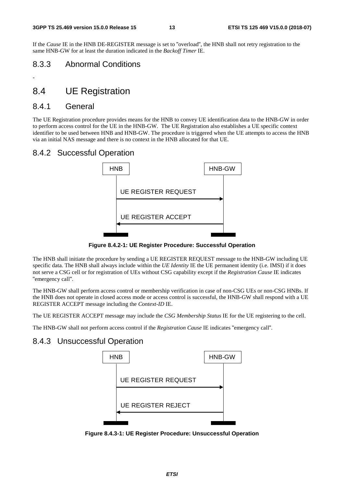If the *Cause* IE in the HNB DE-REGISTER message is set to "overload", the HNB shall not retry registration to the same HNB-GW for at least the duration indicated in the *Backoff Timer* IE.

#### 8.3.3 Abnormal Conditions

### 8.4 UE Registration

#### 8.4.1 General

-

The UE Registration procedure provides means for the HNB to convey UE identification data to the HNB-GW in order to perform access control for the UE in the HNB-GW. The UE Registration also establishes a UE specific context identifier to be used between HNB and HNB-GW. The procedure is triggered when the UE attempts to access the HNB via an initial NAS message and there is no context in the HNB allocated for that UE.

#### 8.4.2 Successful Operation



**Figure 8.4.2-1: UE Register Procedure: Successful Operation** 

The HNB shall initiate the procedure by sending a UE REGISTER REQUEST message to the HNB-GW including UE specific data. The HNB shall always include within the *UE Identity* IE the UE permanent identity (i.e. IMSI) if it does not serve a CSG cell or for registration of UEs without CSG capability except if the *Registration Cause* IE indicates "emergency call".

The HNB-GW shall perform access control or membership verification in case of non-CSG UEs or non-CSG HNBs. If the HNB does not operate in closed access mode or access control is successful, the HNB-GW shall respond with a UE REGISTER ACCEPT message including the *Context-ID* IE.

The UE REGISTER ACCEPT message may include the *CSG Membership Status* IE for the UE registering to the cell.

The HNB-GW shall not perform access control if the *Registration Cause* IE indicates "emergency call".

#### 8.4.3 Unsuccessful Operation



**Figure 8.4.3-1: UE Register Procedure: Unsuccessful Operation**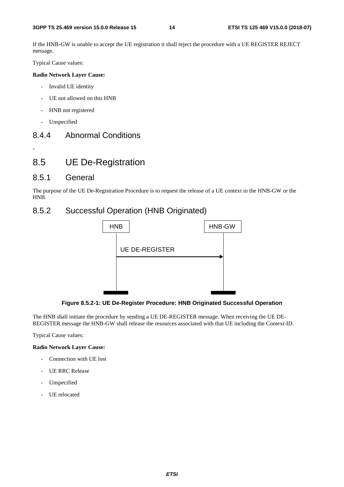If the HNB-GW is unable to accept the UE registration it shall reject the procedure with a UE REGISTER REJECT message.

Typical Cause values:

#### **Radio Network Layer Cause:**

- Invalid UE identity
- UE not allowed on this HNB
- HNB not registered
- Unspecified

-

#### 8.4.4 Abnormal Conditions

### 8.5 UE De-Registration

#### 8.5.1 General

The purpose of the UE De-Registration Procedure is to request the release of a UE context in the HNB-GW or the HNB.

#### 8.5.2 Successful Operation (HNB Originated)



**Figure 8.5.2-1: UE De-Register Procedure: HNB Originated Successful Operation** 

The HNB shall initiate the procedure by sending a UE DE-REGISTER message. When receiving the UE DE-REGISTER message the HNB-GW shall release the resources associated with that UE including the Context-ID.

Typical Cause values:

#### **Radio Network Layer Cause:**

- Connection with UE lost
- UE RRC Release
- Unspecified
- UE relocated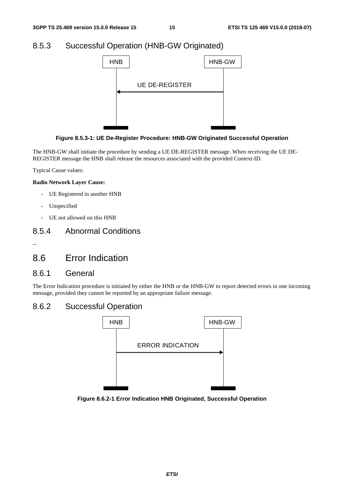### 8.5.3 Successful Operation (HNB-GW Originated)





The HNB-GW shall initiate the procedure by sending a UE DE-REGISTER message. When receiving the UE DE-REGISTER message the HNB shall release the resources associated with the provided Context-ID.

Typical Cause values:

#### **Radio Network Layer Cause:**

- UE Registered in another HNB
- Unspecified
- UE not allowed on this HNB

#### 8.5.4 Abnormal Conditions

--

### 8.6 Error Indication

#### 8.6.1 General

The Error Indication procedure is initiated by either the HNB or the HNB-GW to report detected errors in one incoming message, provided they cannot be reported by an appropriate failure message.

#### 8.6.2 Successful Operation



**Figure 8.6.2-1 Error Indication HNB Originated, Successful Operation**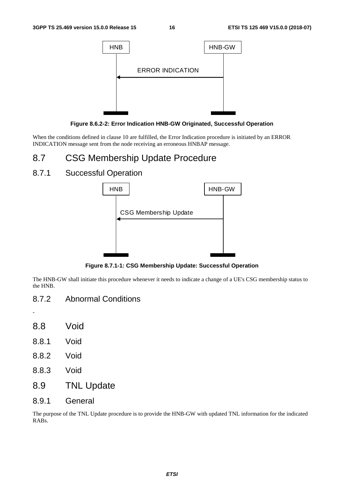

**Figure 8.6.2-2: Error Indication HNB-GW Originated, Successful Operation** 

When the conditions defined in clause 10 are fulfilled, the Error Indication procedure is initiated by an ERROR INDICATION message sent from the node receiving an erroneous HNBAP message.

### 8.7 CSG Membership Update Procedure

#### 8.7.1 Successful Operation



**Figure 8.7.1-1: CSG Membership Update: Successful Operation** 

The HNB-GW shall initiate this procedure whenever it needs to indicate a change of a UE's CSG membership status to the HNB.

- 8.7.2 Abnormal Conditions
- 8.8 Void

-

- 8.8.1 Void
- 8.8.2 Void
- 8.8.3 Void
- 8.9 TNL Update
- 8.9.1 General

The purpose of the TNL Update procedure is to provide the HNB-GW with updated TNL information for the indicated RABs.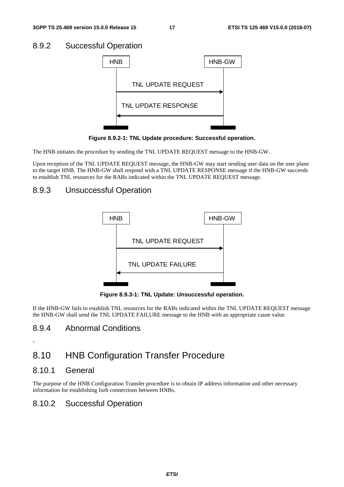#### 8.9.2 Successful Operation



**Figure 8.9.2-1: TNL Update procedure: Successful operation.** 

The HNB initiates the procedure by sending the TNL UPDATE REQUEST message to the HNB-GW.

Upon reception of the TNL UPDATE REQUEST message, the HNB-GW may start sending user data on the user plane to the target HNB. The HNB-GW shall respond with a TNL UPDATE RESPONSE message if the HNB-GW succeeds to establish TNL resources for the RABs indicated within the TNL UPDATE REQUEST message.

### 8.9.3 Unsuccessful Operation



**Figure 8.9.3-1: TNL Update: Unsuccessful operation.** 

If the HNB-GW fails to establish TNL resources for the RABs indicated within the TNL UPDATE REQUEST message the HNB-GW shall send the TNL UPDATE FAILURE message to the HNB with an appropriate cause value.

### 8.9.4 Abnormal Conditions

### 8.10 HNB Configuration Transfer Procedure

#### 8.10.1 General

-

The purpose of the HNB Configuration Transfer procedure is to obtain IP address information and other necessary information for establishing Iurh connections between HNBs.

### 8.10.2 Successful Operation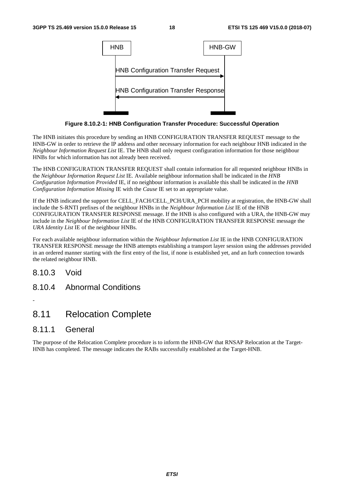

**Figure 8.10.2-1: HNB Configuration Transfer Procedure: Successful Operation** 

The HNB initiates this procedure by sending an HNB CONFIGURATION TRANSFER REQUEST message to the HNB-GW in order to retrieve the IP address and other necessary information for each neighbour HNB indicated in the *Neighbour Information Request List* IE. The HNB shall only request configuration information for those neighbour HNBs for which information has not already been received.

The HNB CONFIGURATION TRANSFER REQUEST shall contain information for all requested neighbour HNBs in the *Neighbour Information Request List* IE. Available neighbour information shall be indicated in the *HNB Configuration Information Provided* IE, if no neighbour information is available this shall be indicated in the *HNB Configuration Information Missing* IE with the *Cause* IE set to an appropriate value.

If the HNB indicated the support for CELL\_FACH/CELL\_PCH/URA\_PCH mobility at registration, the HNB-GW shall include the S-RNTI prefixes of the neighbour HNBs in the *Neighbour Information List* IE of the HNB CONFIGURATION TRANSFER RESPONSE message. If the HNB is also configured with a URA, the HNB-GW may include in the *Neighbour Information List* IE of the HNB CONFIGURATION TRANSFER RESPONSE message the *URA Identity List* IE of the neighbour HNBs.

For each available neighbour information within the *Neighbour Information List* IE in the HNB CONFIGURATION TRANSFER RESPONSE message the HNB attempts establishing a transport layer session using the addresses provided in an ordered manner starting with the first entry of the list, if none is established yet, and an Iurh connection towards the related neighbour HNB.

8.10.3 Void

-

8.10.4 Abnormal Conditions

### 8.11 Relocation Complete

#### 8.11.1 General

The purpose of the Relocation Complete procedure is to inform the HNB-GW that RNSAP Relocation at the Target-HNB has completed. The message indicates the RABs successfully established at the Target-HNB.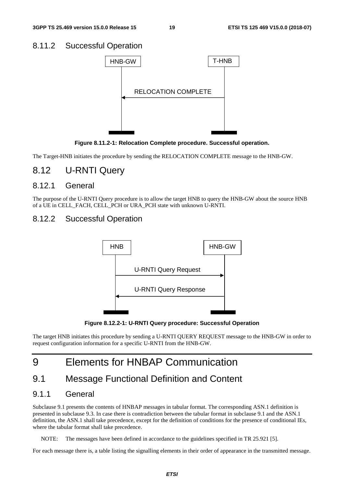#### 8.11.2 Successful Operation



**Figure 8.11.2-1: Relocation Complete procedure. Successful operation.** 

The Target-HNB initiates the procedure by sending the RELOCATION COMPLETE message to the HNB-GW.

### 8.12 U-RNTI Query

#### 8.12.1 General

The purpose of the U-RNTI Query procedure is to allow the target HNB to query the HNB-GW about the source HNB of a UE in CELL\_FACH, CELL\_PCH or URA\_PCH state with unknown U-RNTI.

#### 8.12.2 Successful Operation



**Figure 8.12.2-1: U-RNTI Query procedure: Successful Operation** 

The target HNB initiates this procedure by sending a U-RNTI QUERY REQUEST message to the HNB-GW in order to request configuration information for a specific U-RNTI from the HNB-GW.

### 9 Elements for HNBAP Communication

### 9.1 Message Functional Definition and Content

#### 9.1.1 General

Subclause 9.1 presents the contents of HNBAP messages in tabular format. The corresponding ASN.1 definition is presented in subclause 9.3. In case there is contradiction between the tabular format in subclause 9.1 and the ASN.1 definition, the ASN.1 shall take precedence, except for the definition of conditions for the presence of conditional IEs, where the tabular format shall take precedence.

NOTE: The messages have been defined in accordance to the guidelines specified in TR 25.921 [5].

For each message there is, a table listing the signalling elements in their order of appearance in the transmitted message.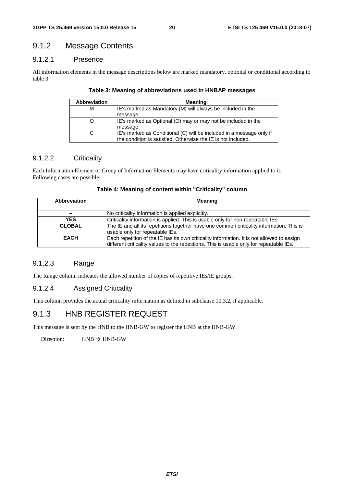### 9.1.2 Message Contents

#### 9.1.2.1 Presence

All information elements in the message descriptions below are marked mandatory, optional or conditional according to table 3

| <b>Abbreviation</b> | <b>Meaning</b>                                                       |
|---------------------|----------------------------------------------------------------------|
| м                   | IE's marked as Mandatory (M) will always be included in the          |
|                     | message.                                                             |
|                     | IE's marked as Optional (O) may or may not be included in the        |
|                     | message.                                                             |
|                     | IE's marked as Conditional (C) will be included in a message only if |
|                     | the condition is satisfied. Otherwise the IE is not included.        |

#### **Table 3: Meaning of abbreviations used in HNBAP messages**

#### 9.1.2.2 Criticality

Each Information Element or Group of Information Elements may have criticality information applied to it. Following cases are possible.

| Table 4: Meaning of content within "Criticality" column |  |
|---------------------------------------------------------|--|
|---------------------------------------------------------|--|

| Abbreviation                                                                                 | Meaning                                                                                    |  |  |  |  |
|----------------------------------------------------------------------------------------------|--------------------------------------------------------------------------------------------|--|--|--|--|
|                                                                                              | No criticality information is applied explicitly.                                          |  |  |  |  |
| <b>YES</b><br>Criticality information is applied. This is usable only for non-repeatable IEs |                                                                                            |  |  |  |  |
| <b>GLOBAL</b>                                                                                | The IE and all its repetitions together have one common criticality information. This is   |  |  |  |  |
|                                                                                              | usable only for repeatable IEs.                                                            |  |  |  |  |
| <b>EACH</b>                                                                                  | Each repetition of the IE has its own criticality information. It is not allowed to assign |  |  |  |  |
|                                                                                              | different criticality values to the repetitions. This is usable only for repeatable IEs.   |  |  |  |  |

#### 9.1.2.3 Range

The Range column indicates the allowed number of copies of repetitive IEs/IE groups.

#### 9.1.2.4 Assigned Criticality

This column provides the actual criticality information as defined in subclause 10.3.2, if applicable.

#### 9.1.3 HNB REGISTER REQUEST

This message is sent by the HNB to the HNB-GW to register the HNB at the HNB-GW.

Direction:  $HNB \rightarrow HNB-GW$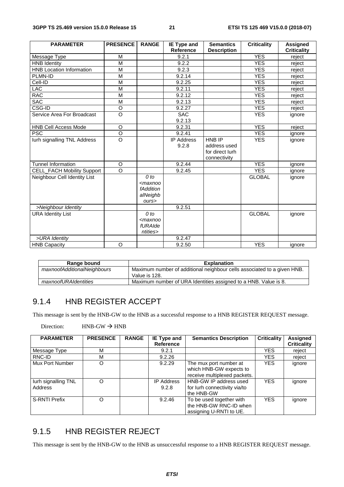| <b>PARAMETER</b>                  | <b>PRESENCE</b> | <b>RANGE</b>                                           | IE Type and<br>Reference   | <b>Semantics</b><br><b>Description</b>                    | <b>Criticality</b> | <b>Assigned</b><br><b>Criticality</b> |
|-----------------------------------|-----------------|--------------------------------------------------------|----------------------------|-----------------------------------------------------------|--------------------|---------------------------------------|
| Message Type                      | M               |                                                        | 9.2.1                      |                                                           | <b>YES</b>         | reject                                |
| <b>HNB Identity</b>               | M               |                                                        | 9.2.2                      |                                                           | <b>YES</b>         | reject                                |
| <b>HNB Location Information</b>   | M               |                                                        | 9.2.3                      |                                                           | <b>YES</b>         | reject                                |
| PLMN-ID                           | M               |                                                        | 9.2.14                     |                                                           | <b>YES</b>         | reject                                |
| Cell-ID                           | $\overline{M}$  |                                                        | 9.2.25                     |                                                           | <b>YES</b>         | reject                                |
| <b>LAC</b>                        | M               |                                                        | 9.2.11                     |                                                           | <b>YES</b>         | reject                                |
| <b>RAC</b>                        | M               |                                                        | 9.2.12                     |                                                           | <b>YES</b>         | reject                                |
| <b>SAC</b>                        | M               |                                                        | 9.2.13                     |                                                           | <b>YES</b>         | reject                                |
| CSG-ID                            | $\circ$         |                                                        | 9.2.27                     |                                                           | <b>YES</b>         | reject                                |
| Service Area For Broadcast        | $\circ$         |                                                        | <b>SAC</b><br>9.2.13       |                                                           | <b>YES</b>         | ignore                                |
| <b>HNB Cell Access Mode</b>       | $\circ$         |                                                        | 9.2.31                     |                                                           | <b>YES</b>         | reject                                |
| <b>PSC</b>                        | $\overline{O}$  |                                                        | 9.2.41                     |                                                           | <b>YES</b>         | ignore                                |
| lurh signalling TNL Address       | $\circ$         |                                                        | <b>IP Address</b><br>9.2.8 | HNB IP<br>address used<br>for direct lurh<br>connectivity | <b>YES</b>         | ignore                                |
| <b>Tunnel Information</b>         | $\circ$         |                                                        | 9.2.44                     |                                                           | <b>YES</b>         | ignore                                |
| <b>CELL_FACH Mobility Support</b> | $\circ$         |                                                        | 9.2.45                     |                                                           | <b>YES</b>         | ignore                                |
| Neighbour Cell Identity List      |                 | $0$ to<br>$<$ maxnoo<br>fAddition<br>alNeighb<br>ours> |                            |                                                           | <b>GLOBAL</b>      | ignore                                |
| >Neighbour Identity               |                 |                                                        | 9.2.51                     |                                                           |                    |                                       |
| <b>URA Identity List</b>          |                 | $0$ to<br>$<$ maxnoo<br>fURAIde<br>ntities>            |                            |                                                           | <b>GLOBAL</b>      | ignore                                |
| >URA Identity                     |                 |                                                        | 9.2.47                     |                                                           |                    |                                       |
| <b>HNB Capacity</b>               | O               |                                                        | 9.2.50                     |                                                           | <b>YES</b>         | ignore                                |

| Range bound                 | <b>Explanation</b>                                                                       |
|-----------------------------|------------------------------------------------------------------------------------------|
| maxnoofAdditionalNeighbours | Maximum number of additional neighbour cells associated to a given HNB.<br>Value is 128. |
| maxnoofURAIdentities        | Maximum number of URA Identities assigned to a HNB. Value is 8.                          |

### 9.1.4 HNB REGISTER ACCEPT

This message is sent by the HNB-GW to the HNB as a successful response to a HNB REGISTER REQUEST message.

| <b>PARAMETER</b>     | <b>PRESENCE</b> | <b>RANGE</b> | IE Type and       | <b>Semantics Description</b> | <b>Criticality</b> | Assigned           |
|----------------------|-----------------|--------------|-------------------|------------------------------|--------------------|--------------------|
|                      |                 |              | <b>Reference</b>  |                              |                    | <b>Criticality</b> |
| Message Type         | M               |              | 9.2.1             |                              | YES                | reject             |
| RNC-ID               | M               |              | 9.2.26            |                              | YES                | reject             |
| Mux Port Number      | O               |              | 9.2.29            | The mux port number at       | <b>YES</b>         | ignore             |
|                      |                 |              |                   | which HNB-GW expects to      |                    |                    |
|                      |                 |              |                   | receive multiplexed packets. |                    |                    |
| lurh signalling TNL  | O               |              | <b>IP Address</b> | HNB-GW IP address used       | <b>YES</b>         | ignore             |
| Address              |                 |              | 9.2.8             | for lurh connectivity via/to |                    |                    |
|                      |                 |              |                   | the HNB-GW                   |                    |                    |
| <b>S-RNTI Prefix</b> | O               |              | 9.2.46            | To be used together with     | <b>YES</b>         | ignore             |
|                      |                 |              |                   | the HNB-GW RNC-ID when       |                    |                    |
|                      |                 |              |                   | assigning U-RNTI to UE.      |                    |                    |

Direction:  $HNB-GW \rightarrow HNB$ 

### 9.1.5 HNB REGISTER REJECT

This message is sent by the HNB-GW to the HNB as unsuccessful response to a HNB REGISTER REQUEST message.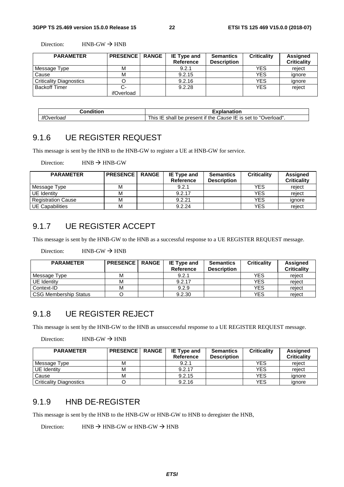Direction:  $HNB-GW \rightarrow HNB$ 

| <b>PARAMETER</b>               | <b>PRESENCE</b> | <b>RANGE</b> | IE Type and<br>Reference | <b>Semantics</b><br><b>Description</b> | <b>Criticality</b> | Assigned<br><b>Criticality</b> |
|--------------------------------|-----------------|--------------|--------------------------|----------------------------------------|--------------------|--------------------------------|
| Message Type                   | М               |              | 9.2.1                    |                                        | <b>YES</b>         | reject                         |
| Cause                          | М               |              | 9.2.15                   |                                        | <b>YES</b>         | ignore                         |
| <b>Criticality Diagnostics</b> |                 |              | 9.2.16                   |                                        | <b>YES</b>         | ignore                         |
| <b>Backoff Timer</b>           |                 |              | 9.2.28                   |                                        | <b>YES</b>         | reject                         |
|                                | ifOverload      |              |                          |                                        |                    |                                |

| Condition         | Explanation                                                                                |  |  |  |  |
|-------------------|--------------------------------------------------------------------------------------------|--|--|--|--|
| <b>IfOverload</b> | Jverload"<br>. <i>Cause</i> IE is set to "C<br>This<br>I be present if the l<br>shall<br>ᄩ |  |  |  |  |

#### 9.1.6 UE REGISTER REQUEST

This message is sent by the HNB to the HNB-GW to register a UE at HNB-GW for service.

Direction:  $HNB \rightarrow HNB-GW$ 

| <b>PARAMETER</b>          | <b>PRESENCE</b> | <b>RANGE</b> | IE Type and<br>Reference | <b>Semantics</b><br><b>Description</b> | <b>Criticality</b> | Assigned<br><b>Criticality</b> |
|---------------------------|-----------------|--------------|--------------------------|----------------------------------------|--------------------|--------------------------------|
| Message Type              | м               |              | 9.2.1                    |                                        | YES                | reject                         |
| UE Identity               | м               |              | 9.2.17                   |                                        | YES                | reject                         |
| <b>Registration Cause</b> | M               |              | 9.2.21                   |                                        | YES                | ignore                         |
| <b>UE Capabilities</b>    | M               |              | 9.2.24                   |                                        | <b>YES</b>         | reiect                         |

#### 9.1.7 UE REGISTER ACCEPT

This message is sent by the HNB-GW to the HNB as a successful response to a UE REGISTER REQUEST message.

Direction:  $HNB-GW \rightarrow HNB$ 

| <b>PARAMETER</b>      | <b>PRESENCE</b> | <b>RANGE</b> | <b>IE Type and</b><br><b>Reference</b> | <b>Semantics</b><br><b>Description</b> | <b>Criticality</b> | Assigned<br><b>Criticality</b> |
|-----------------------|-----------------|--------------|----------------------------------------|----------------------------------------|--------------------|--------------------------------|
| Message Type          | М               |              | 9.2.1                                  |                                        | YES                | reiect                         |
| UE Identity           | м               |              | 9.2.17                                 |                                        | YES                | reject                         |
| Context-ID            | м               |              | 9.2.9                                  |                                        | <b>YES</b>         | reiect                         |
| CSG Membership Status |                 |              | 9.2.30                                 |                                        | YES                | reiect                         |

### 9.1.8 UE REGISTER REJECT

This message is sent by the HNB-GW to the HNB as unsuccessful response to a UE REGISTER REQUEST message.

```
Direction: HNB-GW \rightarrow HNB
```

| <b>PARAMETER</b>               | <b>PRESENCE</b> | <b>RANGE</b> | <b>IE Type and</b> | <b>Semantics</b>   | <b>Criticality</b> | Assigned           |
|--------------------------------|-----------------|--------------|--------------------|--------------------|--------------------|--------------------|
|                                |                 |              | Reference          | <b>Description</b> |                    | <b>Criticality</b> |
| Message Type                   | М               |              | 9.2.1              |                    | <b>YES</b>         | reject             |
| UE Identity                    | М               |              | 9.2.17             |                    | <b>YES</b>         | reject             |
| Cause                          | М               |              | 9.2.15             |                    | YES                | ignore             |
| <b>Criticality Diagnostics</b> |                 |              | 9.2.16             |                    | <b>YES</b>         | ignore             |

#### 9.1.9 HNB DE-REGISTER

This message is sent by the HNB to the HNB-GW or HNB-GW to HNB to deregister the HNB,

Direction: HNB  $\rightarrow$  HNB-GW or HNB-GW  $\rightarrow$  HNB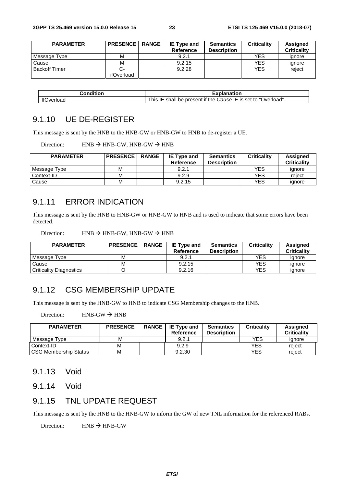| <b>PARAMETER</b>     | <b>PRESENCE</b> | <b>RANGE</b> | <b>IE Type and</b> | <b>Semantics</b>   | <b>Criticality</b> | Assigned           |
|----------------------|-----------------|--------------|--------------------|--------------------|--------------------|--------------------|
|                      |                 |              | <b>Reference</b>   | <b>Description</b> |                    | <b>Criticality</b> |
| Message Type         | м               |              | 9.2.1              |                    | YES                | ignore             |
| Cause                | М               |              | 9.2.15             |                    | <b>YES</b>         | ignore             |
| <b>Backoff Timer</b> |                 |              | 9.2.28             |                    | <b>YES</b>         | reject             |
|                      | ifOverload      |              |                    |                    |                    |                    |

| Condition        | Explanation                                                                            |  |  |  |  |
|------------------|----------------------------------------------------------------------------------------|--|--|--|--|
| ∣f∩<br>'Jverloac | Jverload"<br>.<br>Cause IE is set to "O<br>--<br>i his<br>shall be present if the<br>ᄩ |  |  |  |  |

### 9.1.10 UE DE-REGISTER

This message is sent by the HNB to the HNB-GW or HNB-GW to HNB to de-register a UE.

Direction: HNB  $\rightarrow$  HNB-GW, HNB-GW  $\rightarrow$  HNB

| <b>PARAMETER</b> | <b>PRESENCE</b> | <b>RANGE</b> | <b>IE Type and</b><br>Reference | <b>Semantics</b><br><b>Description</b> | <b>Criticality</b> | <b>Assigned</b><br><b>Criticality</b> |
|------------------|-----------------|--------------|---------------------------------|----------------------------------------|--------------------|---------------------------------------|
| Message Type     | M               |              | 9.2.1                           |                                        | YES                | ignore                                |
| Context-ID       | м               |              | 9.2.9                           |                                        | YES                | reject                                |
| Cause            | M               |              | 9.2.15                          |                                        | YES                | ignore                                |

#### 9.1.11 ERROR INDICATION

This message is sent by the HNB to HNB-GW or HNB-GW to HNB and is used to indicate that some errors have been detected.

| Direction: |  | $HNB \rightarrow HNB-GW$ , $HNB-GW \rightarrow HNB$ |  |
|------------|--|-----------------------------------------------------|--|
|            |  |                                                     |  |

| <b>PARAMETER</b>          | <b>PRESENCE</b> | <b>RANGE</b> | <b>IE Type and</b><br>Reference | <b>Semantics</b><br><b>Description</b> | <b>Criticality</b> | Assigned<br><b>Criticality</b> |
|---------------------------|-----------------|--------------|---------------------------------|----------------------------------------|--------------------|--------------------------------|
| Message Type              | м               |              | 9.2.1                           |                                        | YES                | ianore                         |
| Cause                     | М               |              | 9.2.15                          |                                        | YES                | ignore                         |
| l Criticality Diagnostics |                 |              | 9.2.16                          |                                        | YES                | ignore                         |

#### 9.1.12 CSG MEMBERSHIP UPDATE

This message is sent by the HNB-GW to HNB to indicate CSG Membership changes to the HNB.

Direction:  $HNB-GW \rightarrow HNB$ 

| <b>PARAMETER</b>             | <b>PRESENCE</b> | RANGE   IE Type and<br>Reference | <b>Semantics</b><br><b>Description</b> | <b>Criticality</b> | Assigned<br><b>Criticality</b> |
|------------------------------|-----------------|----------------------------------|----------------------------------------|--------------------|--------------------------------|
| Message Type                 | м               | 9.2.1                            |                                        | YES                | ignore                         |
| Context-ID                   | М               | 9.2.9                            |                                        | YES                | reiect                         |
| <b>CSG Membership Status</b> | М               | 9.2.30                           |                                        | YES                | reiect                         |

#### 9.1.13 Void

9.1.14 Void

#### 9.1.15 TNL UPDATE REQUEST

This message is sent by the HNB to the HNB-GW to inform the GW of new TNL information for the referenced RABs.

Direction:  $HNR \rightarrow HNR$ -GW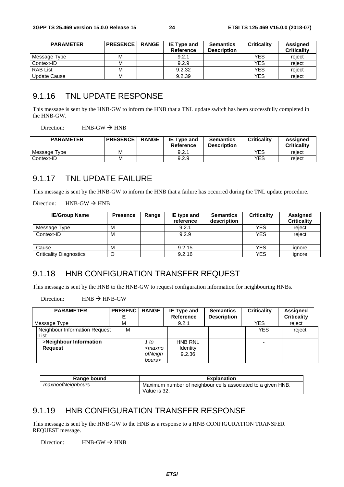| <b>PARAMETER</b> | <b>PRESENCE</b> | <b>RANGE</b> | <b>IE Type and</b><br>Reference | <b>Semantics</b><br><b>Description</b> | <b>Criticality</b> | Assigned<br><b>Criticality</b> |
|------------------|-----------------|--------------|---------------------------------|----------------------------------------|--------------------|--------------------------------|
| Message Type     | М               |              | 9.2.1                           |                                        | <b>YES</b>         | reiect                         |
| Context-ID       | М               |              | 9.2.9                           |                                        | YES                | reiect                         |
| <b>RAB List</b>  | М               |              | 9.2.32                          |                                        | <b>YES</b>         | reject                         |
| Update Cause     | М               |              | 9.2.39                          |                                        | <b>YES</b>         | reject                         |

#### 9.1.16 TNL UPDATE RESPONSE

This message is sent by the HNB-GW to inform the HNB that a TNL update switch has been successfully completed in the HNB-GW.

Direction:  $HNB-GW \rightarrow HNB$ 

| <b>PARAMETER</b>             | <b>PRESENCE</b> | <b>RANGE</b> | <b>IE Type and</b><br>Reference | <b>Semantics</b><br><b>Description</b> | <b>Criticality</b> | Assigned<br><b>Criticality</b> |
|------------------------------|-----------------|--------------|---------------------------------|----------------------------------------|--------------------|--------------------------------|
| Message <sup>-</sup><br>Type | м               |              | 9.2.1                           |                                        | YES                | reject                         |
| Context-ID                   | м               |              | 9.2.9                           |                                        | YES                | reiect                         |

#### 9.1.17 TNL UPDATE FAILURE

This message is sent by the HNB-GW to inform the HNB that a failure has occurred during the TNL update procedure.

Direction:  $HNB-GW \rightarrow HNB$ 

| <b>IE/Group Name</b>           | <b>Presence</b> | Range | IE type and<br>reference | <b>Semantics</b><br>description | <b>Criticality</b> | <b>Assigned</b><br><b>Criticality</b> |
|--------------------------------|-----------------|-------|--------------------------|---------------------------------|--------------------|---------------------------------------|
| Message Type                   | М               |       | 9.2.1                    |                                 | <b>YES</b>         | reject                                |
| Context-ID                     | м               |       | 9.2.9                    |                                 | <b>YES</b>         | reject                                |
| Cause                          | М               |       | 9.2.15                   |                                 | <b>YES</b>         | ignore                                |
| <b>Criticality Diagnostics</b> | C               |       | 9.2.16                   |                                 | YES                | ignore                                |

### 9.1.18 HNB CONFIGURATION TRANSFER REQUEST

This message is sent by the HNB to the HNB-GW to request configuration information for neighbouring HNBs.

Direction:  $HNB \rightarrow HNB-GW$ 

| <b>PARAMETER</b>                         | <b>PRESENC</b> | <b>RANGE</b>                                       | IE Type and<br>Reference             | <b>Semantics</b><br><b>Description</b> | <b>Criticality</b> | Assigned<br><b>Criticality</b> |
|------------------------------------------|----------------|----------------------------------------------------|--------------------------------------|----------------------------------------|--------------------|--------------------------------|
| Message Type                             | м              |                                                    | 9.2.1                                |                                        | YES                | reject                         |
| Neighbour Information Request<br>List    | м              |                                                    |                                      |                                        | <b>YES</b>         | reject                         |
| >Neighbour Information<br><b>Request</b> |                | 1 to<br><maxno<br>ofNeigh<br/>bours&gt;</maxno<br> | <b>HNB RNL</b><br>Identity<br>9.2.36 |                                        |                    |                                |

| Range bound       | <b>Explanation</b>                                           |
|-------------------|--------------------------------------------------------------|
| maxnoofNeighbours | Maximum number of neighbour cells associated to a given HNB. |
|                   | Value is 32.                                                 |

### 9.1.19 HNB CONFIGURATION TRANSFER RESPONSE

This message is sent by the HNB-GW to the HNB as a response to a HNB CONFIGURATION TRANSFER REQUEST message.

Direction:  $HNB-GW \rightarrow HNB$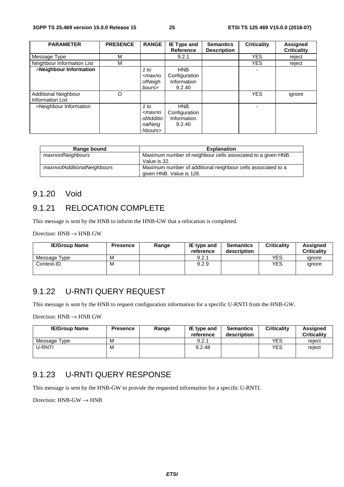| <b>PARAMETER</b>                                | <b>PRESENCE</b> | <b>RANGE</b>                                                      | <b>IE Type and</b><br><b>Reference</b>               | <b>Semantics</b>   | <b>Criticality</b> | Assigned           |
|-------------------------------------------------|-----------------|-------------------------------------------------------------------|------------------------------------------------------|--------------------|--------------------|--------------------|
|                                                 |                 |                                                                   |                                                      | <b>Description</b> |                    | <b>Criticality</b> |
| Message Type                                    | M               |                                                                   | 9.2.1                                                |                    | <b>YES</b>         | reject             |
| Neighbour Information List                      | M               |                                                                   |                                                      |                    | <b>YES</b>         | reject             |
| >Neighbour Information                          |                 | 1 to<br><maxno<br>ofNeigh<br/>bours&gt;</maxno<br>                | <b>HNB</b><br>Configuration<br>Information<br>9.2.40 |                    |                    |                    |
| Additional Neighbour<br><b>Information List</b> | O               |                                                                   |                                                      |                    | <b>YES</b>         | ignore             |
| >Neighbour Information                          |                 | 1 to<br><maxno<br>ofAdditio<br/>nalNeig<br/>hbours&gt;</maxno<br> | <b>HNB</b><br>Configuration<br>Information<br>9.2.40 |                    |                    |                    |

| Range bound                 | <b>Explanation</b>                                           |
|-----------------------------|--------------------------------------------------------------|
| maxnoofNeighbours           | Maximum number of neighbour cells associated to a given HNB. |
|                             | Value is 32.                                                 |
| maxnoofAdditionalNeighbours | Maximum number of additional neighbour cells associated to a |
|                             | given HNB. Value is 128.                                     |

#### 9.1.20 Void

### 9.1.21 RELOCATION COMPLETE

This message is sent by the HNB to inform the HNB-GW that a relocation is completed.

Direction:  $HNB \rightarrow HNB$  GW

| <b>IE/Group Name</b> | <b>Presence</b> | Range | IE type and<br>reference | <b>Semantics</b><br>description | <b>Criticality</b> | <b>Assigned</b><br><b>Criticality</b> |
|----------------------|-----------------|-------|--------------------------|---------------------------------|--------------------|---------------------------------------|
| Message Type         | м               |       | 9.2.1                    |                                 | YES                | ignore                                |
| Context-ID           | м               |       | 9.2.9                    |                                 | <b>YES</b>         | ignore                                |

#### 9.1.22 U-RNTI QUERY REQUEST

This message is sent by the HNB to request configuration information for a specific U-RNTI from the HNB-GW.

Direction:  $HNB \rightarrow HNB$  GW

| <b>IE/Group Name</b> | <b>Presence</b> | Range | <b>IE</b> type and<br>reference | <b>Semantics</b><br>description | <b>Criticality</b> | <b>Assigned</b><br><b>Criticality</b> |
|----------------------|-----------------|-------|---------------------------------|---------------------------------|--------------------|---------------------------------------|
| Message Type         | м               |       | 9.2.1                           |                                 | YES                | reject                                |
| U-RNTI               | м               |       | 9.2.48                          |                                 | <b>YES</b>         | reject                                |

### 9.1.23 U-RNTI QUERY RESPONSE

This message is sent by the HNB-GW to provide the requested information for a specific U-RNTI.

Direction:  $HNB-GW \rightarrow HNB$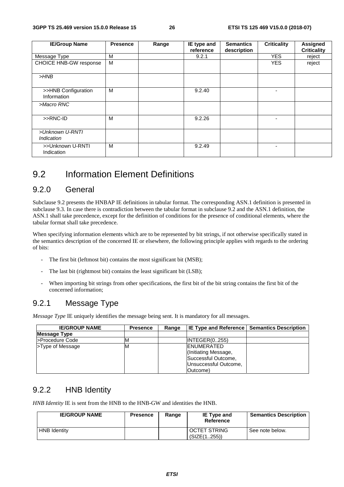| <b>IE/Group Name</b>               | <b>Presence</b> | Range | IE type and<br>reference | <b>Semantics</b><br>description | <b>Criticality</b> | <b>Assigned</b><br><b>Criticality</b> |
|------------------------------------|-----------------|-------|--------------------------|---------------------------------|--------------------|---------------------------------------|
|                                    |                 |       |                          |                                 |                    |                                       |
| Message Type                       | M               |       | 9.2.1                    |                                 | <b>YES</b>         | reject                                |
| <b>CHOICE HNB-GW response</b>      | M               |       |                          |                                 | <b>YES</b>         | reject                                |
| $>$ HNB                            |                 |       |                          |                                 |                    |                                       |
| >>HNB Configuration<br>Information | M               |       | 9.2.40                   |                                 |                    |                                       |
| >Macro RNC                         |                 |       |                          |                                 |                    |                                       |
| >>RNC-ID                           | M               |       | 9.2.26                   |                                 |                    |                                       |
| >Unknown U-RNTI<br>Indication      |                 |       |                          |                                 |                    |                                       |
| >>Unknown U-RNTI<br>Indication     | M               |       | 9.2.49                   |                                 |                    |                                       |

### 9.2 Information Element Definitions

#### 9.2.0 General

Subclause 9.2 presents the HNBAP IE definitions in tabular format. The corresponding ASN.1 definition is presented in subclause 9.3. In case there is contradiction between the tabular format in subclause 9.2 and the ASN.1 definition, the ASN.1 shall take precedence, except for the definition of conditions for the presence of conditional elements, where the tabular format shall take precedence.

When specifying information elements which are to be represented by bit strings, if not otherwise specifically stated in the semantics description of the concerned IE or elsewhere, the following principle applies with regards to the ordering of bits:

- The first bit (leftmost bit) contains the most significant bit (MSB);
- The last bit (rightmost bit) contains the least significant bit (LSB);
- When importing bit strings from other specifications, the first bit of the bit string contains the first bit of the concerned information;

### 9.2.1 Message Type

*Message Type* IE uniquely identifies the message being sent. It is mandatory for all messages.

| <b>IE/GROUP NAME</b> | <b>Presence</b> | Range |                       | <b>IE Type and Reference   Semantics Description</b> |
|----------------------|-----------------|-------|-----------------------|------------------------------------------------------|
| <b>Message Type</b>  |                 |       |                       |                                                      |
| >Procedure Code      | ΙM              |       | INTEGER(0255)         |                                                      |
| >Type of Message     | ΙM              |       | <b>ENUMERATED</b>     |                                                      |
|                      |                 |       | (Initiating Message,  |                                                      |
|                      |                 |       | Successful Outcome,   |                                                      |
|                      |                 |       | Unsuccessful Outcome, |                                                      |
|                      |                 |       | (Outcome)             |                                                      |

### 9.2.2 HNB Identity

*HNB Identity* IE is sent from the HNB to the HNB-GW and identities the HNB.

| <b>IE/GROUP NAME</b> | <b>Presence</b> | Range | <b>IE Type and</b><br>Reference     | <b>Semantics Description</b> |
|----------------------|-----------------|-------|-------------------------------------|------------------------------|
| <b>HNB Identity</b>  |                 |       | <b>OCTET STRING</b><br>(SIZE(1255)) | See note below.              |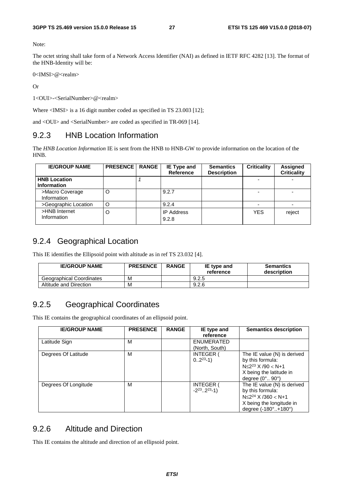Note:

The octet string shall take form of a Network Access Identifier (NAI) as defined in IETF RFC 4282 [13]. The format of the HNB-Identity will be:

0<IMSI>@<realm>

Or

1<OUI>-<SerialNumber>@<realm>

Where <IMSI> is a 16 digit number coded as specified in TS 23.003 [12];

and <OUI> and <SerialNumber> are coded as specified in TR-069 [14].

#### 9.2.3 HNB Location Information

The *HNB Location Information* IE is sent from the HNB to HNB-GW to provide information on the location of the HNB.

| <b>IE/GROUP NAME</b>                      | <b>PRESENCE   RANGE</b> | IE Type and<br><b>Reference</b> | <b>Semantics</b><br><b>Description</b> | <b>Criticality</b> | Assigned<br><b>Criticality</b> |
|-------------------------------------------|-------------------------|---------------------------------|----------------------------------------|--------------------|--------------------------------|
| <b>HNB Location</b><br><b>Information</b> |                         |                                 |                                        |                    |                                |
| >Macro Coverage<br>Information            | O                       | 9.2.7                           |                                        |                    |                                |
| >Geographic Location                      | O                       | 9.2.4                           |                                        |                    |                                |
| >HNB Internet<br>Information              | O                       | <b>IP Address</b><br>9.2.8      |                                        | <b>YES</b>         | reject                         |

### 9.2.4 Geographical Location

This IE identifies the Ellipsoid point with altitude as in ref TS 23.032 [4].

| <b>IE/GROUP NAME</b>            | <b>PRESENCE</b> | <b>RANGE</b> | IE type and<br>reference | <b>Semantics</b><br>description |
|---------------------------------|-----------------|--------------|--------------------------|---------------------------------|
| <b>Geographical Coordinates</b> | M               |              | 9.2.5                    |                                 |
| Altitude and Direction          | м               |              | 9.2.6                    |                                 |

### 9.2.5 Geographical Coordinates

This IE contains the geographical coordinates of an ellipsoid point.

| <b>IE/GROUP NAME</b> | <b>PRESENCE</b> | <b>RANGE</b> | IE type and<br>reference                        | <b>Semantics description</b>                                                                                                              |
|----------------------|-----------------|--------------|-------------------------------------------------|-------------------------------------------------------------------------------------------------------------------------------------------|
| Latitude Sign        | M               |              | ENUMERATED<br>(North, South)                    |                                                                                                                                           |
| Degrees Of Latitude  | м               |              | <b>INTEGER (</b><br>$02^{23} - 1$               | The IE value (N) is derived<br>by this formula:<br>$N \leq 2^{23}$ X /90 < N+1<br>X being the latitude in<br>degree $(0^\circ, 90^\circ)$ |
| Degrees Of Longitude | м               |              | <b>INTEGER</b><br>$-2^{23}$ 2 <sup>23</sup> -1) | The IE value (N) is derived<br>by this formula:<br>$N \leq 2^{24}$ X /360 < N+1<br>X being the longitude in<br>degree (-180°+180°)        |

### 9.2.6 Altitude and Direction

This IE contains the altitude and direction of an ellipsoid point.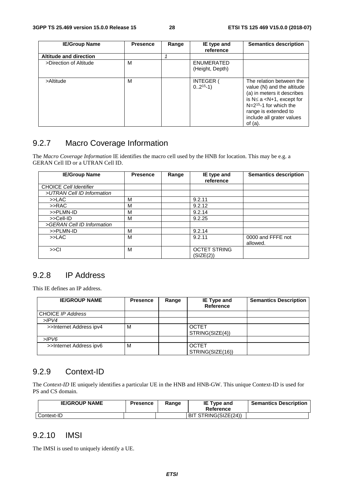| <b>IE/Group Name</b>          | <b>Presence</b> | Range | IE type and<br>reference             | <b>Semantics description</b>                                                                                                                                                                                             |
|-------------------------------|-----------------|-------|--------------------------------------|--------------------------------------------------------------------------------------------------------------------------------------------------------------------------------------------------------------------------|
| <b>Altitude and direction</b> |                 |       |                                      |                                                                                                                                                                                                                          |
| >Direction of Altitude        | M               |       | <b>ENUMERATED</b><br>(Height, Depth) |                                                                                                                                                                                                                          |
| >Altitude                     | M               |       | <b>INTEGER (</b><br>$02^{15}-1)$     | The relation between the<br>value (N) and the altitude<br>(a) in meters it describes<br>is $N \le a < N+1$ , except for<br>$N=2^{15}-1$ for which the<br>range is extended to<br>include all grater values<br>of $(a)$ . |

### 9.2.7 Macro Coverage Information

The *Macro Coverage Information* IE identifies the macro cell used by the HNB for location. This may be e.g. a GERAN Cell ID or a UTRAN Cell ID.

| <b>IE/Group Name</b>          | <b>Presence</b> | Range | IE type and<br>reference         | <b>Semantics description</b>  |
|-------------------------------|-----------------|-------|----------------------------------|-------------------------------|
| <b>CHOICE Cell Identifier</b> |                 |       |                                  |                               |
| >UTRAN Cell ID Information    |                 |       |                                  |                               |
| >>LAC                         | M               |       | 9.2.11                           |                               |
| >>RAC                         | м               |       | 9.2.12                           |                               |
| >>PLMN-ID                     | М               |       | 9.2.14                           |                               |
| >>Cell-ID                     | M               |       | 9.2.25                           |                               |
| >GERAN Cell ID Information    |                 |       |                                  |                               |
| >>PLMN-ID                     | M               |       | 9.2.14                           |                               |
| >>LAC                         | м               |       | 9.2.11                           | 0000 and FFFE not<br>allowed. |
| >> <sup>C</sup>               | M               |       | <b>OCTET STRING</b><br>(SIZE(2)) |                               |

### 9.2.8 IP Address

This IE defines an IP address.

| <b>IE/GROUP NAME</b>    | <b>Presence</b> | Range | IE Type and<br>Reference         | <b>Semantics Description</b> |
|-------------------------|-----------------|-------|----------------------------------|------------------------------|
| CHOICE IP Address       |                 |       |                                  |                              |
| $>$ IPV4                |                 |       |                                  |                              |
| >>Internet Address ipv4 | М               |       | <b>OCTET</b><br>STRING(SIZE(4))  |                              |
| $>$ IPV6                |                 |       |                                  |                              |
| >>Internet Address ipv6 | М               |       | <b>OCTET</b><br>STRING(SIZE(16)) |                              |

#### 9.2.9 Context-ID

The *Context-ID* IE uniquely identifies a particular UE in the HNB and HNB-GW. This unique Context-ID is used for PS and CS domain.

| <b>IE/GROUP NAME</b> | <b>Presence</b> | Range | <b>IE Type and</b><br>Reference | <b>Semantics Description</b> |
|----------------------|-----------------|-------|---------------------------------|------------------------------|
| Context-ID           |                 |       | BIT STRING(SIZE(24))            |                              |

#### 9.2.10 IMSI

The IMSI is used to uniquely identify a UE.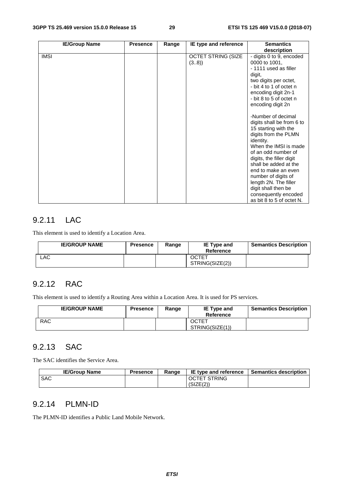| <b>IE/Group Name</b> | <b>Presence</b> | Range | IE type and reference             | <b>Semantics</b><br>description                                                                                                                                                                                                                                                                                                                                                                                                                                                                                                                                                 |
|----------------------|-----------------|-------|-----------------------------------|---------------------------------------------------------------------------------------------------------------------------------------------------------------------------------------------------------------------------------------------------------------------------------------------------------------------------------------------------------------------------------------------------------------------------------------------------------------------------------------------------------------------------------------------------------------------------------|
| <b>IMSI</b>          |                 |       | <b>OCTET STRING (SIZE</b><br>(38) | - digits 0 to 9, encoded<br>0000 to 1001,<br>- 1111 used as filler<br>digit,<br>two digits per octet,<br>- bit 4 to 1 of octet n<br>encoding digit 2n-1<br>- bit 8 to 5 of octet n<br>encoding digit 2n<br>-Number of decimal<br>digits shall be from 6 to<br>15 starting with the<br>digits from the PLMN<br>identity.<br>When the IMSI is made<br>of an odd number of<br>digits, the filler digit<br>shall be added at the<br>end to make an even<br>number of digits of<br>length 2N. The filler<br>digit shall then be<br>consequently encoded<br>as bit 8 to 5 of octet N. |

### 9.2.11 LAC

This element is used to identify a Location Area.

| <b>IE/GROUP NAME</b> | <b>Presence</b> | Range | <b>IE Type and</b><br>Reference | <b>Semantics Description</b> |
|----------------------|-----------------|-------|---------------------------------|------------------------------|
| ∟AC l                |                 |       | <b>OCTET</b><br>STRING(SIZE(2)) |                              |

### 9.2.12 RAC

This element is used to identify a Routing Area within a Location Area. It is used for PS services.

| <b>IE/GROUP NAME</b> | <b>Presence</b> | Range | <b>IE Type and</b><br>Reference | <b>Semantics Description</b> |
|----------------------|-----------------|-------|---------------------------------|------------------------------|
| <b>RAC</b>           |                 |       | <b>OCTET</b><br>STRING(SIZE(1)) |                              |

### 9.2.13 SAC

The SAC identifies the Service Area.

| <b>IE/Group Name</b> | <b>Presence</b> | Range | IE type and reference | <b>Semantics description</b> |
|----------------------|-----------------|-------|-----------------------|------------------------------|
| <b>SAC</b>           |                 |       | <b>OCTET STRING</b>   |                              |
|                      |                 |       | (SIZE(2))             |                              |

### 9.2.14 PLMN-ID

The PLMN-ID identifies a Public Land Mobile Network.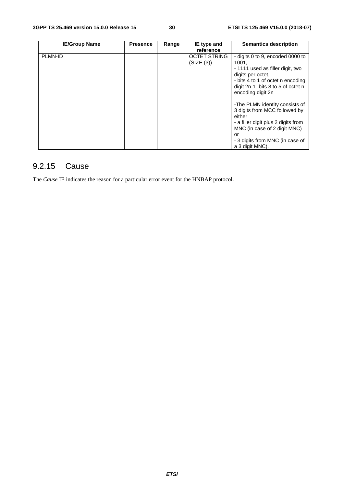| <b>IE/Group Name</b> | <b>Presence</b> | Range | IE type and         | <b>Semantics description</b>        |
|----------------------|-----------------|-------|---------------------|-------------------------------------|
|                      |                 |       | reference           |                                     |
| PLMN-ID              |                 |       | <b>OCTET STRING</b> | - digits 0 to 9, encoded 0000 to    |
|                      |                 |       | (SIZE (3))          | 1001,                               |
|                      |                 |       |                     | - 1111 used as filler digit, two    |
|                      |                 |       |                     | digits per octet,                   |
|                      |                 |       |                     | - bits 4 to 1 of octet n encoding   |
|                      |                 |       |                     | digit 2n-1- bits 8 to 5 of octet n  |
|                      |                 |       |                     | encoding digit 2n                   |
|                      |                 |       |                     |                                     |
|                      |                 |       |                     | -The PLMN identity consists of      |
|                      |                 |       |                     | 3 digits from MCC followed by       |
|                      |                 |       |                     | either                              |
|                      |                 |       |                     | - a filler digit plus 2 digits from |
|                      |                 |       |                     | MNC (in case of 2 digit MNC)        |
|                      |                 |       |                     | or                                  |
|                      |                 |       |                     | - 3 digits from MNC (in case of     |
|                      |                 |       |                     | a 3 digit MNC).                     |

### 9.2.15 Cause

The *Cause* IE indicates the reason for a particular error event for the HNBAP protocol.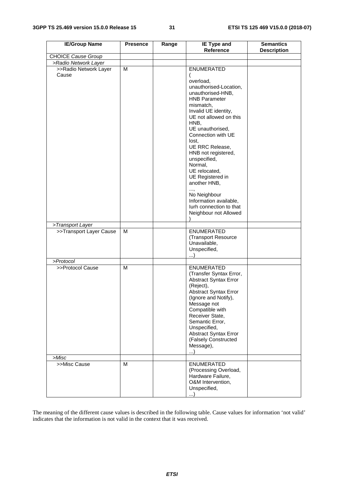| <b>IE/Group Name</b>           | <b>Presence</b> | Range | <b>IE Type and</b><br><b>Reference</b>                                                                                                                                                                                                                                                                                                                                                                                                                     | <b>Semantics</b><br><b>Description</b> |
|--------------------------------|-----------------|-------|------------------------------------------------------------------------------------------------------------------------------------------------------------------------------------------------------------------------------------------------------------------------------------------------------------------------------------------------------------------------------------------------------------------------------------------------------------|----------------------------------------|
| <b>CHOICE Cause Group</b>      |                 |       |                                                                                                                                                                                                                                                                                                                                                                                                                                                            |                                        |
| >Radio Network Layer           |                 |       |                                                                                                                                                                                                                                                                                                                                                                                                                                                            |                                        |
| >>Radio Network Layer<br>Cause | M               |       | ENUMERATED<br>(<br>overload,<br>unauthorised-Location,<br>unauthorised-HNB,<br><b>HNB Parameter</b><br>mismatch.<br>Invalid UE identity,<br>UE not allowed on this<br>HNB,<br>UE unauthorised,<br>Connection with UE<br>lost,<br>UE RRC Release,<br>HNB not registered,<br>unspecified,<br>Normal,<br>UE relocated,<br>UE Registered in<br>another HNB,<br>,<br>No Neighbour<br>Information available,<br>lurh connection to that<br>Neighbour not Allowed |                                        |
| >Transport Layer               |                 |       |                                                                                                                                                                                                                                                                                                                                                                                                                                                            |                                        |
| >>Transport Layer Cause        | M               |       | <b>ENUMERATED</b><br>(Transport Resource<br>Unavailable,<br>Unspecified,                                                                                                                                                                                                                                                                                                                                                                                   |                                        |
| >Protocol                      |                 |       |                                                                                                                                                                                                                                                                                                                                                                                                                                                            |                                        |
| >>Protocol Cause               | М               |       | <b>ENUMERATED</b><br>(Transfer Syntax Error,<br><b>Abstract Syntax Error</b><br>(Reject),<br><b>Abstract Syntax Error</b><br>(Ignore and Notify),<br>Message not<br>Compatible with<br>Receiver State,<br>Semantic Error,<br>Unspecified,<br>Abstract Syntax Error<br>(Falsely Constructed<br>Message),<br>)                                                                                                                                               |                                        |
| >Misc                          |                 |       |                                                                                                                                                                                                                                                                                                                                                                                                                                                            |                                        |
| >>Misc Cause                   | M               |       | <b>ENUMERATED</b><br>(Processing Overload,<br>Hardware Failure,<br>O&M Intervention,<br>Unspecified,<br>. )                                                                                                                                                                                                                                                                                                                                                |                                        |

The meaning of the different cause values is described in the following table. Cause values for information 'not valid' indicates that the information is not valid in the context that it was received.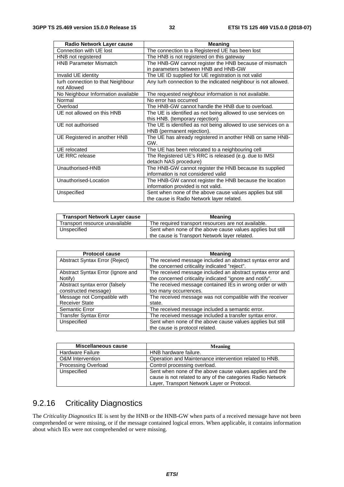| Radio Network Layer cause          | <b>Meaning</b>                                                 |
|------------------------------------|----------------------------------------------------------------|
| Connection with UE lost            | The connection to a Registered UE has been lost                |
| HNB not registered                 | The HNB is not registered on this gateway                      |
| <b>HNB Parameter Mismatch</b>      | The HNB-GW cannot register the HNB because of mismatch         |
|                                    | in parameters between HNB and HNB-GW                           |
| Invalid UE identity                | The UE ID supplied for UE registration is not valid            |
| lurh connection to that Neighbour  | Any lurh connection to the indicated neighbour is not allowed. |
| not Allowed                        |                                                                |
| No Neighbour Information available | The requested neighbour information is not available.          |
| Normal                             | No error has occurred                                          |
| Overload                           | The HNB-GW cannot handle the HNB due to overload.              |
| UE not allowed on this HNB         | The UE is identified as not being allowed to use services on   |
|                                    | this HNB. (temporary rejection)                                |
| UE not authorised                  | The UE is identified as not being allowed to use services on a |
|                                    | HNB (permanent rejection).                                     |
| UE Registered in another HNB       | The UE has already registered in another HNB on same HNB-      |
|                                    | GW.                                                            |
| UE relocated                       | The UE has been relocated to a neighbouring cell               |
| <b>UE RRC</b> release              | The Registered UE's RRC is released (e.g. due to IMSI          |
|                                    | detach NAS procedure)                                          |
| Unauthorised-HNB                   | The HNB-GW cannot register the HNB because its supplied        |
|                                    | information is not considered valid                            |
| Unauthorised-Location              | The HNB-GW cannot register the HNB because the location        |
|                                    | information provided is not valid.                             |
| Unspecified                        | Sent when none of the above cause values applies but still     |
|                                    | the cause is Radio Network layer related.                      |

| <b>Transport Network Layer cause</b> | <b>Meaning</b>                                                                                              |
|--------------------------------------|-------------------------------------------------------------------------------------------------------------|
| Transport resource unavailable       | The required transport resources are not available.                                                         |
| Unspecified                          | Sent when none of the above cause values applies but still<br>the cause is Transport Network laver related. |

| <b>Protocol cause</b>             | <b>Meaning</b>                                             |
|-----------------------------------|------------------------------------------------------------|
| Abstract Syntax Error (Reject)    | The received message included an abstract syntax error and |
|                                   | the concerned criticality indicated "reject".              |
| Abstract Syntax Error (Ignore and | The received message included an abstract syntax error and |
| Notify)                           | the concerned criticality indicated "ignore and notify".   |
| Abstract syntax error (falsely    | The received message contained IEs in wrong order or with  |
| constructed message)              | too many occurrences.                                      |
| Message not Compatible with       | The received message was not compatible with the receiver  |
| <b>Receiver State</b>             | state.                                                     |
| Semantic Error                    | The received message included a semantic error.            |
| <b>Transfer Syntax Error</b>      | The received message included a transfer syntax error.     |
| Unspecified                       | Sent when none of the above cause values applies but still |
|                                   | the cause is protocol related.                             |

| <b>Miscellaneous cause</b> | <b>Meaning</b>                                                                                                                                                         |
|----------------------------|------------------------------------------------------------------------------------------------------------------------------------------------------------------------|
| <b>Hardware Failure</b>    | HNB hardware failure.                                                                                                                                                  |
| O&M Intervention           | Operation and Maintenance intervention related to HNB.                                                                                                                 |
| <b>Processing Overload</b> | Control processing overload.                                                                                                                                           |
| Unspecified                | Sent when none of the above cause values applies and the<br>cause is not related to any of the categories Radio Network<br>Layer, Transport Network Layer or Protocol. |

### 9.2.16 Criticality Diagnostics

The *Criticality Diagnostics* IE is sent by the HNB or the HNB-GW when parts of a received message have not been comprehended or were missing, or if the message contained logical errors. When applicable, it contains information about which IEs were not comprehended or were missing.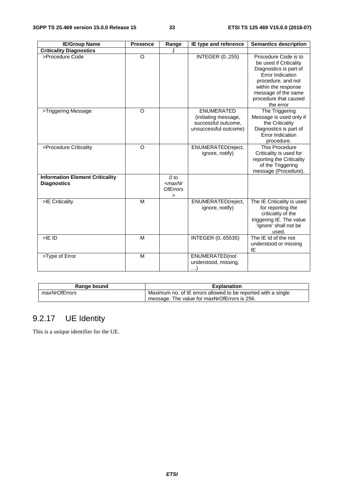| <b>IE/Group Name</b>                                         | <b>Presence</b> | Range                                          | IE type and reference                                                                     | <b>Semantics description</b>                                                                                                                                                                           |
|--------------------------------------------------------------|-----------------|------------------------------------------------|-------------------------------------------------------------------------------------------|--------------------------------------------------------------------------------------------------------------------------------------------------------------------------------------------------------|
| <b>Criticality Diagnostics</b>                               |                 |                                                |                                                                                           |                                                                                                                                                                                                        |
| >Procedure Code                                              | O               |                                                | <b>INTEGER (0255)</b>                                                                     | Procedure Code is to<br>be used if Criticality<br>Diagnostics is part of<br>Error Indication<br>procedure, and not<br>within the response<br>message of the same<br>procedure that caused<br>the error |
| >Triggering Message                                          | $\circ$         |                                                | <b>ENUMERATED</b><br>(initiating message,<br>successful outcome,<br>unsuccessful outcome) | The Triggering<br>Message is used only if<br>the Criticality<br>Diagnostics is part of<br>Error Indication<br>procedure.                                                                               |
| >Procedure Criticality                                       | $\circ$         |                                                | ENUMERATED(reject,<br>ignore, notify)                                                     | This Procedure<br>Criticality is used for<br>reporting the Criticality<br>of the Triggering<br>message (Procedure).                                                                                    |
| <b>Information Element Criticality</b><br><b>Diagnostics</b> |                 | $0$ to<br>$<$ max $Nr$<br><b>OfErrors</b><br>> |                                                                                           |                                                                                                                                                                                                        |
| >IE Criticality                                              | M               |                                                | ENUMERATED(reject,<br>ignore, notify)                                                     | The IE Criticality is used<br>for reporting the<br>criticality of the<br>triggering IE. The value<br>'ignore' shall not be<br>used.                                                                    |
| $>$ IE ID                                                    | M               |                                                | INTEGER (065535)                                                                          | The IE Id of the not<br>understood or missing<br>IE                                                                                                                                                    |
| >Type of Error                                               | M               |                                                | ENUMERATED(not<br>understood, missing,<br>$\ldots$                                        |                                                                                                                                                                                                        |

| Range bound   | <b>Explanation</b>                                            |  |  |
|---------------|---------------------------------------------------------------|--|--|
| maxNrOfErrors | Maximum no. of IE errors allowed to be reported with a single |  |  |
|               | message. The value for maxNrOfErrors is 256.                  |  |  |

### 9.2.17 UE Identity

This is a unique identifier for the UE.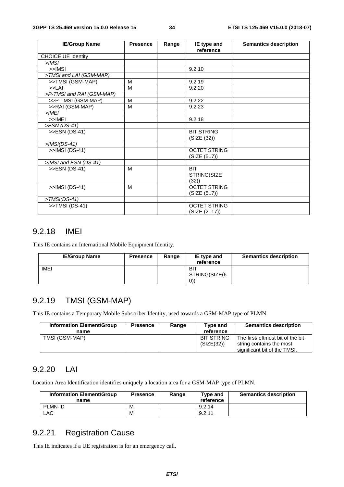| <b>IE/Group Name</b>      | <b>Presence</b> | Range | IE type and<br>reference            | <b>Semantics description</b> |
|---------------------------|-----------------|-------|-------------------------------------|------------------------------|
| <b>CHOICE UE Identity</b> |                 |       |                                     |                              |
| $>$ IMSI                  |                 |       |                                     |                              |
| $>>$ IMSI                 |                 |       | 9.2.10                              |                              |
| >TMSI and LAI (GSM-MAP)   |                 |       |                                     |                              |
| >>TMSI (GSM-MAP)          | M               |       | 9.2.19                              |                              |
| >> <sub>LAI</sub>         | M               |       | 9.2.20                              |                              |
| >P-TMSI and RAI (GSM-MAP) |                 |       |                                     |                              |
| >>P-TMSI (GSM-MAP)        | M               |       | 9.2.22                              |                              |
| >>RAI (GSM-MAP)           | M               |       | 9.2.23                              |                              |
| $>$ IMEI                  |                 |       |                                     |                              |
| $>>$ IMEI                 |                 |       | 9.2.18                              |                              |
| >ESN (DS-41)              |                 |       |                                     |                              |
| >>ESN (DS-41)             |                 |       | <b>BIT STRING</b><br>(SIZE (32))    |                              |
| $>$ IMSI(DS-41)           |                 |       |                                     |                              |
| >>IMSI (DS-41)            |                 |       | <b>OCTET STRING</b><br>(SIZE (57))  |                              |
| >IMSI and ESN (DS-41)     |                 |       |                                     |                              |
| >>ESN (DS-41)             | M               |       | <b>BIT</b><br>STRING(SIZE<br>(32)   |                              |
| >>IMSI (DS-41)            | M               |       | <b>OCTET STRING</b><br>(SIZE (57))  |                              |
| $>$ TMSI(DS-41)           |                 |       |                                     |                              |
| >>TMSI (DS-41)            |                 |       | <b>OCTET STRING</b><br>(SIZE (217)) |                              |

#### 9.2.18 IMEI

This IE contains an International Mobile Equipment Identity.

| <b>IE/Group Name</b> | <b>Presence</b> | Range | IE type and<br>reference           | <b>Semantics description</b> |
|----------------------|-----------------|-------|------------------------------------|------------------------------|
| <b>IMEI</b>          |                 |       | <b>BIT</b><br>STRING(SIZE(6<br>(0) |                              |

### 9.2.19 TMSI (GSM-MAP)

This IE contains a Temporary Mobile Subscriber Identity, used towards a GSM-MAP type of PLMN.

| <b>Information Element/Group</b><br>name | <b>Presence</b> | Range | Type and<br>reference           | <b>Semantics description</b>                                                                  |
|------------------------------------------|-----------------|-------|---------------------------------|-----------------------------------------------------------------------------------------------|
| TMSI (GSM-MAP)                           |                 |       | <b>BIT STRING</b><br>(SIZE(32)) | The first/leftmost bit of the bit<br>string contains the most<br>significant bit of the TMSI. |

#### 9.2.20 LAI

Location Area Identification identifies uniquely a location area for a GSM-MAP type of PLMN.

| <b>Information Element/Group</b><br>name | <b>Presence</b> | Range | Type and<br>reference | <b>Semantics description</b> |
|------------------------------------------|-----------------|-------|-----------------------|------------------------------|
| PLMN-ID                                  | M               |       | 9.2.14                |                              |
| LAC                                      | М               |       | 9.2.11                |                              |

### 9.2.21 Registration Cause

This IE indicates if a UE registration is for an emergency call.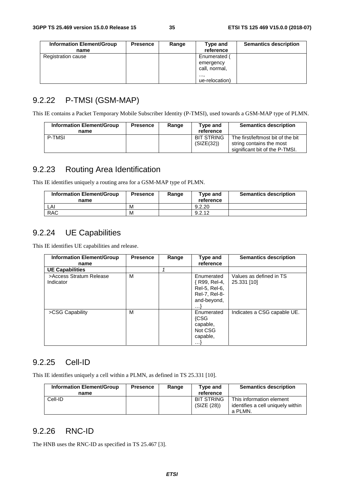| <b>Information Element/Group</b> | <b>Presence</b> | Range | Type and       | <b>Semantics description</b> |
|----------------------------------|-----------------|-------|----------------|------------------------------|
| name                             |                 |       | reference      |                              |
| <b>Registration cause</b>        |                 |       | Enumerated (   |                              |
|                                  |                 |       | emergency      |                              |
|                                  |                 |       | call, normal,  |                              |
|                                  |                 |       | ,              |                              |
|                                  |                 |       | ue-relocation) |                              |

### 9.2.22 P-TMSI (GSM-MAP)

This IE contains a Packet Temporary Mobile Subscriber Identity (P-TMSI), used towards a GSM-MAP type of PLMN.

| <b>Information Element/Group</b><br>name | <b>Presence</b> | Range | Type and<br>reference           | <b>Semantics description</b>                                                                    |
|------------------------------------------|-----------------|-------|---------------------------------|-------------------------------------------------------------------------------------------------|
| <b>P-TMSI</b>                            |                 |       | <b>BIT STRING</b><br>(SIZE(32)) | The first/leftmost bit of the bit<br>string contains the most<br>significant bit of the P-TMSI. |

### 9.2.23 Routing Area Identification

This IE identifies uniquely a routing area for a GSM-MAP type of PLMN.

| <b>Information Element/Group</b><br>name | <b>Presence</b> | Range | Type and<br>reference | <b>Semantics description</b> |
|------------------------------------------|-----------------|-------|-----------------------|------------------------------|
| LAI                                      | M               |       | 9.2.20                |                              |
| <b>RAC</b>                               | М               |       | 9.2.12                |                              |

#### 9.2.24 UE Capabilities

This IE identifies UE capabilities and release.

| <b>Information Element/Group</b>     | <b>Presence</b> | Range | Type and                                                                          | <b>Semantics description</b>           |
|--------------------------------------|-----------------|-------|-----------------------------------------------------------------------------------|----------------------------------------|
| name                                 |                 |       | reference                                                                         |                                        |
| <b>UE Capabilities</b>               |                 |       |                                                                                   |                                        |
| >Access Stratum Release<br>Indicator | M               |       | Enumerated<br>{ R99, Rel-4,<br>Rel-5, Rel-6,<br>Rel-7, Rel-8-<br>and-beyond,<br>. | Values as defined in TS<br>25.331 [10] |
| >CSG Capability                      | м               |       | Enumerated<br><b>{CSG</b><br>capable,<br>Not CSG<br>capable,<br>$\cdots$          | Indicates a CSG capable UE.            |

#### 9.2.25 Cell-ID

This IE identifies uniquely a cell within a PLMN, as defined in TS 25.331 [10].

| <b>Information Element/Group</b> | <b>Presence</b> | Range | Type and                  | <b>Semantics description</b>                                             |
|----------------------------------|-----------------|-------|---------------------------|--------------------------------------------------------------------------|
| name                             |                 |       | reference                 |                                                                          |
| Cell-ID                          |                 |       | BIT STRING<br>(SIZE (28)) | This information element<br>identifies a cell uniquely within<br>a PLMN. |

### 9.2.26 RNC-ID

The HNB uses the RNC-ID as specified in TS 25.467 [3].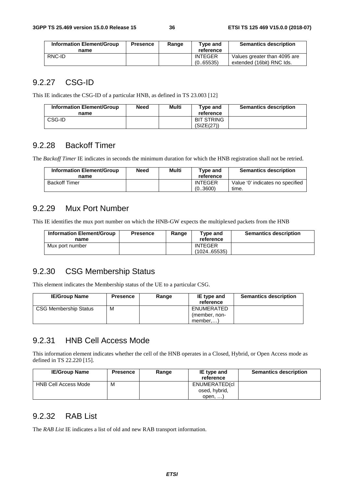| <b>Information Element/Group</b><br>name | <b>Presence</b> | Range | Type and<br>reference       | <b>Semantics description</b>                              |
|------------------------------------------|-----------------|-------|-----------------------------|-----------------------------------------------------------|
| RNC-ID                                   |                 |       | <b>INTEGER</b><br>(0.65535) | Values greater than 4095 are<br>extended (16bit) RNC Ids. |

#### 9.2.27 CSG-ID

This IE indicates the CSG-ID of a particular HNB, as defined in TS 23.003 [12]

| <b>Information Element/Group</b><br>name | Need | Multi | Type and<br>reference           | <b>Semantics description</b> |
|------------------------------------------|------|-------|---------------------------------|------------------------------|
| CSG-ID                                   |      |       | <b>BIT STRING</b><br>(SIZE(27)) |                              |

#### 9.2.28 Backoff Timer

The *Backoff Timer* IE indicates in seconds the minimum duration for which the HNB registration shall not be retried.

| <b>Information Element/Group</b><br>name | <b>Need</b> | Multi | Tvpe and<br>reference     | <b>Semantics description</b>              |
|------------------------------------------|-------------|-------|---------------------------|-------------------------------------------|
| <b>Backoff Timer</b>                     |             |       | <b>INTEGER</b><br>(03600) | Value '0' indicates no specified<br>time. |

#### 9.2.29 Mux Port Number

This IE identifies the mux port number on which the HNB-GW expects the multiplexed packets from the HNB

| <b>Information Element/Group</b><br>name | <b>Presence</b> | Range | Type and<br>reference         | <b>Semantics description</b> |
|------------------------------------------|-----------------|-------|-------------------------------|------------------------------|
| Mux port number                          |                 |       | <b>INTEGER</b><br>(102465535) |                              |

### 9.2.30 CSG Membership Status

This element indicates the Membership status of the UE to a particular CSG.

| <b>IE/Group Name</b>         | <b>Presence</b> | Range | IE type and<br>reference | <b>Semantics description</b> |
|------------------------------|-----------------|-------|--------------------------|------------------------------|
| <b>CSG Membership Status</b> | м               |       | ENUMERATED               |                              |
|                              |                 |       | (member, non-            |                              |
|                              |                 |       | member                   |                              |

#### 9.2.31 HNB Cell Access Mode

This information element indicates whether the cell of the HNB operates in a Closed, Hybrid, or Open Access mode as defined in TS 22.220 [15].

| <b>IE/Group Name</b> | <b>Presence</b> | Range | IE type and    | <b>Semantics description</b> |
|----------------------|-----------------|-------|----------------|------------------------------|
|                      |                 |       | reference      |                              |
| HNB Cell Access Mode | M               |       | ENUMERATED(cl  |                              |
|                      |                 |       | osed, hybrid,  |                              |
|                      |                 |       | $open, \ldots$ |                              |

#### 9.2.32 RAB List

The *RAB List* IE indicates a list of old and new RAB transport information.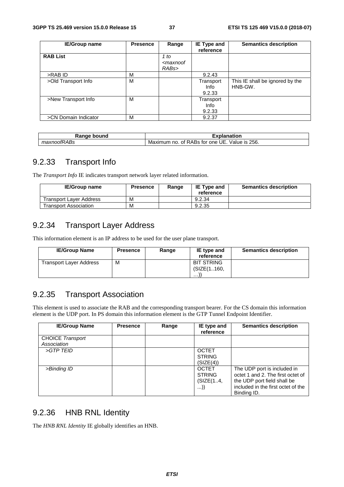| <b>IE/Group name</b> | <b>Presence</b> | Range                                                | <b>IE Type and</b><br>reference | <b>Semantics description</b>               |
|----------------------|-----------------|------------------------------------------------------|---------------------------------|--------------------------------------------|
| <b>RAB List</b>      |                 | 1 to<br><maxnoof<br>RAB<sub>s</sub>&gt;</maxnoof<br> |                                 |                                            |
| >RAB ID              | M               |                                                      | 9.2.43                          |                                            |
| >Old Transport Info  | M               |                                                      | Transport<br>Info<br>9.2.33     | This IE shall be ignored by the<br>HNB-GW. |
| >New Transport Info  | М               |                                                      | Transport<br>Info<br>9.2.33     |                                            |
| >CN Domain Indicator | M               |                                                      | 9.2.37                          |                                            |

| Range bound                 | .                                                           |
|-----------------------------|-------------------------------------------------------------|
| naı                         | planation                                                   |
| <b>RABs</b><br>ma.<br>noorr | 256.<br>Value is<br>. of RABs for one UE.<br>Maximum<br>no. |

#### 9.2.33 Transport Info

The *Transport Info* IE indicates transport network layer related information.

| <b>IE/Group name</b>    | <b>Presence</b> | Range | <b>IE Type and</b><br>reference | <b>Semantics description</b> |
|-------------------------|-----------------|-------|---------------------------------|------------------------------|
| Transport Laver Address | Μ               |       | 9.2.34                          |                              |
| Transport Association   | М               |       | 9.2.35                          |                              |

## 9.2.34 Transport Layer Address

This information element is an IP address to be used for the user plane transport.

| <b>IE/Group Name</b>           | <b>Presence</b> | Range | IE type and<br>reference | <b>Semantics description</b> |
|--------------------------------|-----------------|-------|--------------------------|------------------------------|
| <b>Transport Layer Address</b> | м               |       | <b>BIT STRING</b>        |                              |
|                                |                 |       | (SIZE(1.,160.            |                              |
|                                |                 |       | $\cdots$                 |                              |

### 9.2.35 Transport Association

This element is used to associate the RAB and the corresponding transport bearer. For the CS domain this information element is the UDP port. In PS domain this information element is the GTP Tunnel Endpoint Identifier.

| <b>IE/Group Name</b>                   | <b>Presence</b> | Range | IE type and<br>reference                         | <b>Semantics description</b>                                                                                                                         |
|----------------------------------------|-----------------|-------|--------------------------------------------------|------------------------------------------------------------------------------------------------------------------------------------------------------|
| <b>CHOICE Transport</b><br>Association |                 |       |                                                  |                                                                                                                                                      |
| >GTP TEID                              |                 |       | <b>OCTET</b><br><b>STRING</b><br>(SIZE(4))       |                                                                                                                                                      |
| >Binding ID                            |                 |       | <b>OCTET</b><br><b>STRING</b><br>(SIZE(14,<br>)) | The UDP port is included in<br>octet 1 and 2. The first octet of<br>the UDP port field shall be<br>included in the first octet of the<br>Binding ID. |

#### 9.2.36 HNB RNL Identity

The *HNB RNL Identity* IE globally identifies an HNB.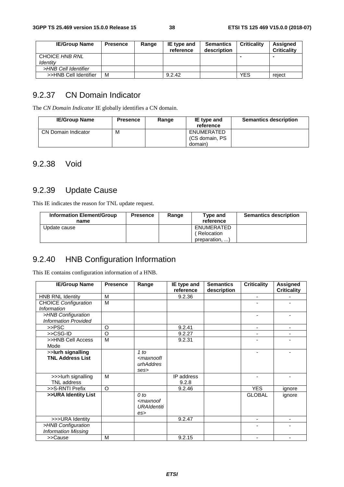| <b>IE/Group Name</b>       | <b>Presence</b> | Range | IE type and<br>reference | <b>Semantics</b><br>description | <b>Criticality</b> | <b>Assigned</b><br><b>Criticality</b> |
|----------------------------|-----------------|-------|--------------------------|---------------------------------|--------------------|---------------------------------------|
| CHOICE HNB RNL<br>ldentitv |                 |       |                          |                                 | ٠                  |                                       |
| >HNB Cell Identifier       |                 |       |                          |                                 |                    |                                       |
| >>HNB Cell Identifier      | м               |       | 9.2.42                   |                                 | <b>YES</b>         | reject                                |

#### 9.2.37 CN Domain Indicator

The *CN Domain Indicator* IE globally identifies a CN domain.

| <b>IE/Group Name</b> | <b>Presence</b> | Range | IE type and    | <b>Semantics description</b> |
|----------------------|-----------------|-------|----------------|------------------------------|
|                      |                 |       | reference      |                              |
| CN Domain Indicator  | M               |       | ENUMERATED     |                              |
|                      |                 |       | (CS domain, PS |                              |
|                      |                 |       | domain)        |                              |

#### 9.2.38 Void

# 9.2.39 Update Cause

This IE indicates the reason for TNL update request.

| <b>Information Element/Group</b><br>name | <b>Presence</b> | Range | Tvpe and<br>reference | <b>Semantics description</b> |
|------------------------------------------|-----------------|-------|-----------------------|------------------------------|
| Update cause                             |                 |       | ENUMERATED            |                              |
|                                          |                 |       | Relocation            |                              |
|                                          |                 |       | preparation, )        |                              |

# 9.2.40 HNB Configuration Information

This IE contains configuration information of a HNB.

| <b>IE/Group Name</b>                              | <b>Presence</b> | Range                                                        | IE type and<br>reference | <b>Semantics</b><br>description | <b>Criticality</b> | <b>Assigned</b><br><b>Criticality</b> |
|---------------------------------------------------|-----------------|--------------------------------------------------------------|--------------------------|---------------------------------|--------------------|---------------------------------------|
| <b>HNB RNL Identity</b>                           | M               |                                                              | 9.2.36                   |                                 | $\blacksquare$     |                                       |
| <b>CHOICE Configuration</b><br><b>Information</b> | M               |                                                              |                          |                                 |                    |                                       |
| >HNB Configuration<br><b>Information Provided</b> |                 |                                                              |                          |                                 |                    |                                       |
| >>PSC                                             | O               |                                                              | 9.2.41                   |                                 |                    |                                       |
| >>CSG-ID                                          | O               |                                                              | 9.2.27                   |                                 |                    |                                       |
| >>HNB Cell Access<br>Mode                         | M               |                                                              | 9.2.31                   |                                 |                    |                                       |
| >>lurh signalling<br><b>TNL Address List</b>      |                 | 1 to<br><maxnoofl<br>urhAddres<br/>ses</maxnoofl<br>         |                          |                                 |                    |                                       |
| >>> lurh signalling<br><b>TNL</b> address         | M               |                                                              | IP address<br>9.2.8      |                                 |                    |                                       |
| >>S-RNTI Prefix                                   | $\Omega$        |                                                              | 9.2.46                   |                                 | <b>YES</b>         | ignore                                |
| >>URA Identity List                               |                 | $0$ to<br><maxnoof<br><b>URAIdentiti</b><br/>es</maxnoof<br> |                          |                                 | <b>GLOBAL</b>      | ignore                                |
| >>>URA Identity                                   |                 |                                                              | 9.2.47                   |                                 | $\blacksquare$     |                                       |
| >HNB Configuration<br><b>Information Missing</b>  |                 |                                                              |                          |                                 |                    |                                       |
| >>Cause                                           | M               |                                                              | 9.2.15                   |                                 |                    |                                       |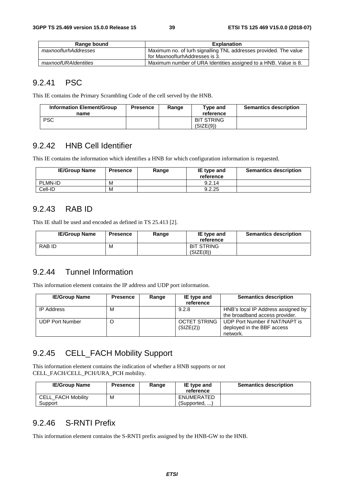| Range bound          | <b>Explanation</b>                                               |
|----------------------|------------------------------------------------------------------|
| maxnooflurhAddresses | Maximum no. of lurh signalling TNL addresses provided. The value |
|                      | for MaxnooflurhAddresses is 3.                                   |
| maxnoofURAIdentities | Maximum number of URA Identities assigned to a HNB. Value is 8.  |

#### 9.2.41 PSC

This IE contains the Primary Scrambling Code of the cell served by the HNB.

| Information Element/Group<br>name | <b>Presence</b> | Range | Tvpe and<br>reference          | <b>Semantics description</b> |
|-----------------------------------|-----------------|-------|--------------------------------|------------------------------|
| <b>PSC</b>                        |                 |       | <b>BIT STRING</b><br>(SIZE(9)) |                              |

#### 9.2.42 HNB Cell Identifier

This IE contains the information which identifies a HNB for which configuration information is requested.

| <b>IE/Group Name</b> | <b>Presence</b> | Range | IE type and<br>reference | <b>Semantics description</b> |
|----------------------|-----------------|-------|--------------------------|------------------------------|
| PLMN-ID              | M               |       | 9.2.14                   |                              |
| Cell-ID              | M               |       | 9.2.25                   |                              |

#### 9.2.43 RAB ID

This IE shall be used and encoded as defined in TS 25.413 [2].

| <b>IE/Group Name</b> | <b>Presence</b> | Range | IE type and<br>reference       | <b>Semantics description</b> |
|----------------------|-----------------|-------|--------------------------------|------------------------------|
| RAB ID               | M               |       | <b>BIT STRING</b><br>(SIZE(8)) |                              |

#### 9.2.44 Tunnel Information

This information element contains the IP address and UDP port information.

| <b>IE/Group Name</b>   | <b>Presence</b> | Range | IE type and<br>reference         | <b>Semantics description</b>                                             |
|------------------------|-----------------|-------|----------------------------------|--------------------------------------------------------------------------|
| <b>IP Address</b>      | M               |       | 9.2.8                            | HNB's local IP Address assigned by<br>the broadband access provider.     |
| <b>UDP Port Number</b> |                 |       | <b>OCTET STRING</b><br>(SIZE(2)) | UDP Port Number if NAT/NAPT is<br>deployed in the BBF access<br>network. |

## 9.2.45 CELL\_FACH Mobility Support

This information element contains the indication of whether a HNB supports or not CELL\_FACH/CELL\_PCH/URA\_PCH mobility.

| <b>IE/Group Name</b>                 | <b>Presence</b> | Range | <b>IE</b> type and<br>reference | <b>Semantics description</b> |
|--------------------------------------|-----------------|-------|---------------------------------|------------------------------|
| <b>CELL FACH Mobility</b><br>Support | M               |       | ENUMERATED<br>(Supported, )     |                              |

#### 9.2.46 S-RNTI Prefix

This information element contains the S-RNTI prefix assigned by the HNB-GW to the HNB.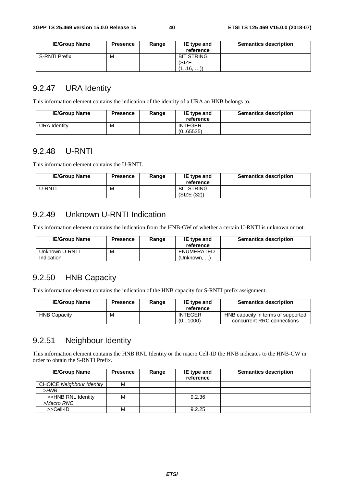| <b>IE/Group Name</b> | <b>Presence</b> | Range | IE type and<br>reference | <b>Semantics description</b> |
|----------------------|-----------------|-------|--------------------------|------------------------------|
| <b>S-RNTI Prefix</b> | м               |       | <b>BIT STRING</b>        |                              |
|                      |                 |       | (SIZE                    |                              |
|                      |                 |       | (116, )                  |                              |

## 9.2.47 URA Identity

This information element contains the indication of the identity of a URA an HNB belongs to.

| <b>IE/Group Name</b> | <b>Presence</b> | Range | IE type and<br>reference    | <b>Semantics description</b> |
|----------------------|-----------------|-------|-----------------------------|------------------------------|
| URA Identity         | M               |       | <b>INTEGER</b><br>(0.65535) |                              |

### 9.2.48 U-RNTI

This information element contains the U-RNTI.

| <b>IE/Group Name</b> | <b>Presence</b> | Range | IE type and<br>reference         | <b>Semantics description</b> |
|----------------------|-----------------|-------|----------------------------------|------------------------------|
| J-RNTI               | М               |       | <b>BIT STRING</b><br>(SIZE (32)) |                              |

## 9.2.49 Unknown U-RNTI Indication

This information element contains the indication from the HNB-GW of whether a certain U-RNTI is unknown or not.

| <b>IE/Group Name</b>         | <b>Presence</b> | Range | IE type and<br>reference  | <b>Semantics description</b> |
|------------------------------|-----------------|-------|---------------------------|------------------------------|
| Unknown U-RNTI<br>Indication | M               |       | ENUMERATED<br>(Unknown. ) |                              |

### 9.2.50 HNB Capacity

This information element contains the indication of the HNB capacity for S-RNTI prefix assignment.

| <b>IE/Group Name</b> | <b>Presence</b> | Range | IE type and<br>reference  | <b>Semantics description</b>                                     |
|----------------------|-----------------|-------|---------------------------|------------------------------------------------------------------|
| <b>HNB Capacity</b>  | M               |       | <b>INTEGER</b><br>(01000) | HNB capacity in terms of supported<br>concurrent RRC connections |

## 9.2.51 Neighbour Identity

This information element contains the HNB RNL Identity or the macro Cell-ID the HNB indicates to the HNB-GW in order to obtain the S-RNTI Prefix.

| <b>IE/Group Name</b>             | <b>Presence</b> | Range | IE type and<br>reference | <b>Semantics description</b> |
|----------------------------------|-----------------|-------|--------------------------|------------------------------|
| <b>CHOICE Neighbour Identity</b> | М               |       |                          |                              |
| >HNB                             |                 |       |                          |                              |
| >>HNB RNL Identity               | М               |       | 9.2.36                   |                              |
| >Macro RNC                       |                 |       |                          |                              |
| >>Cell-ID                        | Μ               |       | 9.2.25                   |                              |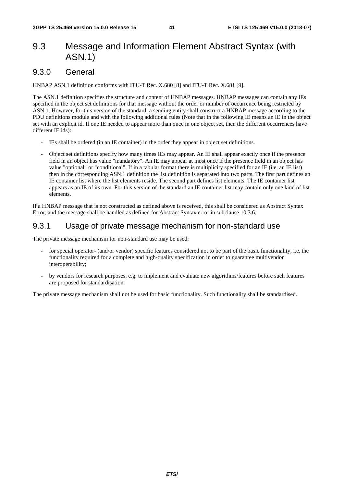# 9.3 Message and Information Element Abstract Syntax (with ASN.1)

#### 9.3.0 General

HNBAP ASN.1 definition conforms with ITU-T Rec. X.680 [8] and ITU-T Rec. X.681 [9].

The ASN.1 definition specifies the structure and content of HNBAP messages. HNBAP messages can contain any IEs specified in the object set definitions for that message without the order or number of occurrence being restricted by ASN.1. However, for this version of the standard, a sending entity shall construct a HNBAP message according to the PDU definitions module and with the following additional rules (Note that in the following IE means an IE in the object set with an explicit id. If one IE needed to appear more than once in one object set, then the different occurrences have different IE ids):

- IEs shall be ordered (in an IE container) in the order they appear in object set definitions.
- Object set definitions specify how many times IEs may appear. An IE shall appear exactly once if the presence field in an object has value "mandatory". An IE may appear at most once if the presence field in an object has value "optional" or "conditional". If in a tabular format there is multiplicity specified for an IE (i.e. an IE list) then in the corresponding ASN.1 definition the list definition is separated into two parts. The first part defines an IE container list where the list elements reside. The second part defines list elements. The IE container list appears as an IE of its own. For this version of the standard an IE container list may contain only one kind of list elements.

If a HNBAP message that is not constructed as defined above is received, this shall be considered as Abstract Syntax Error, and the message shall be handled as defined for Abstract Syntax error in subclause 10.3.6.

### 9.3.1 Usage of private message mechanism for non-standard use

The private message mechanism for non-standard use may be used:

- for special operator- (and/or vendor) specific features considered not to be part of the basic functionality, i.e. the functionality required for a complete and high-quality specification in order to guarantee multivendor interoperability;
- by vendors for research purposes, e.g. to implement and evaluate new algorithms/features before such features are proposed for standardisation.

The private message mechanism shall not be used for basic functionality. Such functionality shall be standardised.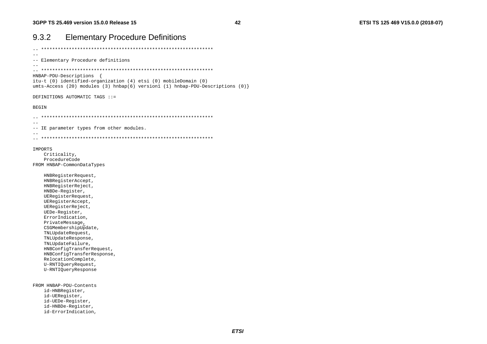| <b>Elementary Procedure Definitions</b><br>9.3.2                                                                                                                                                                                                                                                                                                                                                                                    |
|-------------------------------------------------------------------------------------------------------------------------------------------------------------------------------------------------------------------------------------------------------------------------------------------------------------------------------------------------------------------------------------------------------------------------------------|
|                                                                                                                                                                                                                                                                                                                                                                                                                                     |
| -- Elementary Procedure definitions                                                                                                                                                                                                                                                                                                                                                                                                 |
| HNBAP-PDU-Descriptions<br>$\left\{ \right.$<br>itu-t (0) identified-organization (4) etsi (0) mobileDomain (0)<br>umts-Access (20) modules (3) hnbap(6) version1 (1) hnbap-PDU-Descriptions (0) }                                                                                                                                                                                                                                   |
| DEFINITIONS AUTOMATIC TAGS ::=                                                                                                                                                                                                                                                                                                                                                                                                      |
| <b>BEGIN</b>                                                                                                                                                                                                                                                                                                                                                                                                                        |
| -- IE parameter types from other modules.                                                                                                                                                                                                                                                                                                                                                                                           |
| IMPORTS<br>Criticality,<br>ProcedureCode<br>FROM HNBAP-CommonDataTypes                                                                                                                                                                                                                                                                                                                                                              |
| HNBRegisterRequest,<br>HNBRegisterAccept,<br>HNBRegisterReject,<br>HNBDe-Register,<br>UERegisterRequest,<br>UERegisterAccept,<br>UERegisterReject,<br>UEDe-Register,<br>ErrorIndication,<br>PrivateMessage,<br>CSGMembershipUpdate,<br>TNLUpdateRequest,<br>TNLUpdateResponse,<br>TNLUpdateFailure,<br>HNBConfigTransferRequest,<br>HNBConfigTransferResponse,<br>RelocationComplete,<br>U-RNTIQueryRequest,<br>U-RNTIQueryResponse |
| FROM HNBAP-PDU-Contents<br>id-HNBRegister,<br>id-UERegister,<br>id-UEDe-Register,<br>id-HNBDe-Register,<br>id-ErrorIndication,                                                                                                                                                                                                                                                                                                      |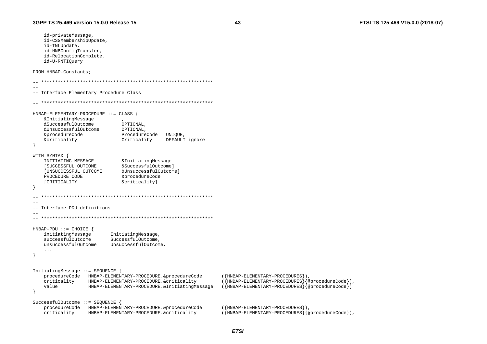id-privateMessage, id-CSGMembershipUpdate,

id-HNBConfigTransfer, id-RelocationComplete,

id-TNLUpdate.

id-U-RNTIOuery FROM HNBAP-Constants;  $\sim$   $-$ -- Interface Elementary Procedure Class  $-$ HNBAP-ELEMENTARY-PROCEDURE ::= CLASS { &InitiatingMessage &SuccessfulOutcome OPTIONAL. &UnsuccessfulOutcome OPTIONAL, &procedureCode ProcedureCode UNIOUE &criticality Criticality DEFAULT ignore  $\rightarrow$ WITH SYNTAX { INITIATING MESSAGE & Initiating Message [SUCCESSFUL OUTCOME &SuccessfulOutcome] [UNSUCCESSFUL OUTCOME &UnsuccessfulOutcome] PROCEDURE CODE &procedureCode [CRITICALITY &criticality]  $\overline{\mathbf{1}}$  $\sim$   $-$ -- Interface PDU definitions  $HNBAP-PDU ::= CHOICE$  { initiatingMessage InitiatingMessage, successfulOutcome SuccessfulOutcome unsuccessfulOutcome UnsuccessfulOutcome,  $\mathbf{1}$ InitiatingMessage ::= SEQUENCE { procedureCode HNBAP-ELEMENTARY-PROCEDURE. & procedureCode ({HNBAP-ELEMENTARY-PROCEDURES}), criticality HNBAP-ELEMENTARY-PROCEDURE.&criticality ({HNBAP-ELEMENTARY-PROCEDURES}{@procedureCode}), value HNBAP-ELEMENTARY-PROCEDURE.&InitiatingMessage ({HNBAP-ELEMENTARY-PROCEDURES}{@procedureCode}) SuccessfulOutcome ::= SEQUENCE procedureCode HNBAP-ELEMENTARY-PROCEDURE. & procedureCode ({HNBAP-ELEMENTARY-PROCEDURES}).  $(\overline{HNBAP-ELEMENTARY-PROCEDURES})$  {@procedureCode}), criticality HNBAP-ELEMENTARY-PROCEDURE.&criticality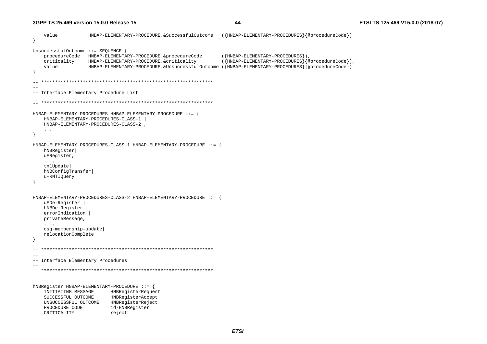```
 value HNBAP-ELEMENTARY-PROCEDURE.&SuccessfulOutcome ({HNBAP-ELEMENTARY-PROCEDURES}{@procedureCode}) 
} 
UnsuccessfulOutcome ::= SEQUENCE { 
     procedureCode HNBAP-ELEMENTARY-PROCEDURE.&procedureCode ({HNBAP-ELEMENTARY-PROCEDURES}), 
     criticality HNBAP-ELEMENTARY-PROCEDURE.&criticality ({HNBAP-ELEMENTARY-PROCEDURES}{@procedureCode}), 
     value HNBAP-ELEMENTARY-PROCEDURE.&UnsuccessfulOutcome ({HNBAP-ELEMENTARY-PROCEDURES}{@procedureCode}) 
} 
   -- ************************************************************** -- -- Interface Elementary Procedure List 
-- 
-- ************************************************************** HNBAP-ELEMENTARY-PROCEDURES HNBAP-ELEMENTARY-PROCEDURE ::= { 
     HNBAP-ELEMENTARY-PROCEDURES-CLASS-1 | 
     HNBAP-ELEMENTARY-PROCEDURES-CLASS-2 , 
     ... } 
HNBAP-ELEMENTARY-PROCEDURES-CLASS-1 HNBAP-ELEMENTARY-PROCEDURE ::= { 
     hNBRegister| 
     uERegister, 
     ..., 
     tnlUpdate| 
     hNBConfigTransfer| 
     u-RNTIQuery 
} 
HNBAP-ELEMENTARY-PROCEDURES-CLASS-2 HNBAP-ELEMENTARY-PROCEDURE ::= { 
     uEDe-Register | 
    hNBDe-Register | 
     errorIndication | 
     privateMessage, 
     ..., 
     csg-membership-update| 
     relocationComplete 
} 
    -- ************************************************************** -- -- Interface Elementary Procedures 
-- -- ************************************************************** hNBRegister HNBAP-ELEMENTARY-PROCEDURE ::= { 
     INITIATING MESSAGE HNBRegisterRequest 
     SUCCESSFUL OUTCOME HNBRegisterAccept 
     UNSUCCESSFUL OUTCOME HNBRegisterReject 
    PROCEDURE CODE id-HNBReqister
    CRITICALITY reject
```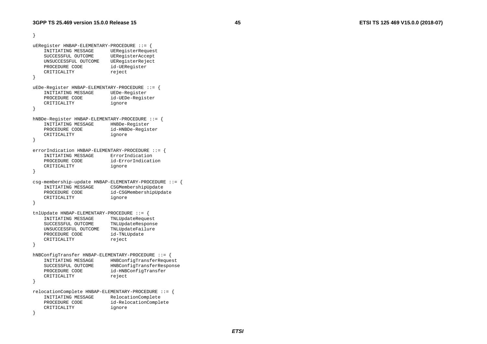```
} 
uERegister HNBAP-ELEMENTARY-PROCEDURE ::= { 
    INITIATING MESSAGE UERegisterRequest 
    SUCCESSFUL OUTCOME UERegisterAccept 
    UNSUCCESSFUL OUTCOME UERegisterReject 
    PROCEDURE CODE id-UERegister 
   CRITICALITY reject
} 
uEDe-Register HNBAP-ELEMENTARY-PROCEDURE ::= { 
    INITIATING MESSAGE UEDe-Register 
    PROCEDURE CODE id-UEDe-Register 
    CRITICALITY ignore 
} 
hNBDe-Register HNBAP-ELEMENTARY-PROCEDURE ::= { 
    INITIATING MESSAGE HNBDe-Register 
    PROCEDURE CODE id-HNBDe-Register 
    CRITICALITY ignore 
} 
errorIndication HNBAP-ELEMENTARY-PROCEDURE ::= {
    INITIATING MESSAGE ErrorIndication  PROCEDURE CODE id-ErrorIndication  CRITICALITY ignore 
} 
csg-membership-update HNBAP-ELEMENTARY-PROCEDURE ::= { 
    INITIATING MESSAGE CSGMembershipUpdate 
    PROCEDURE CODE id-CSGMembershipUpdate 
    CRITICALITY ignore 
} 
tnlUpdate HNBAP-ELEMENTARY-PROCEDURE ::= { 
    INITIATING MESSAGE TNLUpdateRequest 
    SUCCESSFUL OUTCOME TNLUpdateResponse 
    UNSUCCESSFUL OUTCOME TNLUpdateFailure 
   PROCEDURE CODE id-TNLUpdate
   CRITICALITY reject
} 
hNBConfigTransfer HNBAP-ELEMENTARY-PROCEDURE ::= { 
    INITIATING MESSAGE HNBConfigTransferRequest 
    SUCCESSFUL OUTCOME HNBConfigTransferResponse 
   PROCEDURE CODE id-HNBConfigTransfer
   CRITICALITY reject
} 
relocationComplete HNBAP-ELEMENTARY-PROCEDURE ::= { 
    INITIATING MESSAGE RelocationComplete 
    PROCEDURE CODE id-RelocationComplete 
    CRITICALITY ignore
```
}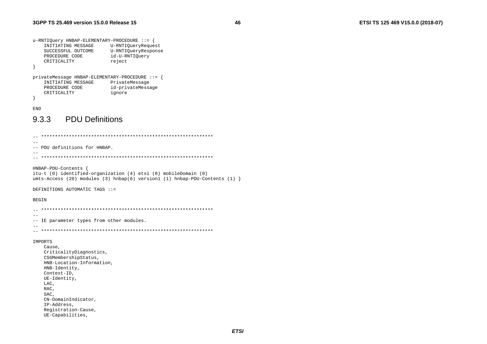```
u-RNTIQuery HNBAP-ELEMENTARY-PROCEDURE ::= {
    INITIATING MESSAGE
                          U-RNTIQueryRequest
    SUCCESSFUL OUTCOME
                         U-RNTIQueryResponse
    PROCEDURE CODE
                         id-U-RNTIOuery
    CRITICALITY
                           reject
\rightarrowprivateMessage HNBAP-ELEMENTARY-PROCEDURE ::= {
    INITIATING MESSAGE
                           PrivateMessage
    PROCEDURE CODE
                           id-privateMessage
    CRITICALITY
                           ignore
```
 $\left\{ \right.$ **END** 

#### **PDU Definitions** 9.3.3

 $\sim$   $-$ -- PDU definitions for HNBAP.  $-$ HNBAP-PDU-Contents { itu-t (0) identified-organization (4) etsi (0) mobileDomain (0) umts-Access (20) modules (3) hnbap(6) version1 (1) hnbap-PDU-Contents (1) } DEFINITIONS AUTOMATIC TAGS ::= **BEGIN**  $\sim$   $-$ -- IE parameter types from other modules.  $\sim$   $\sim$ IMPORTS Cause, CriticalityDiagnostics, CSGMembershipStatus, HNB-Location-Information, HNB-Identity, Context-ID, UE-Identity, LAC, RAC. SAC, CN-DomainIndicator. IP-Address, Registration-Cause, UE-Capabilities,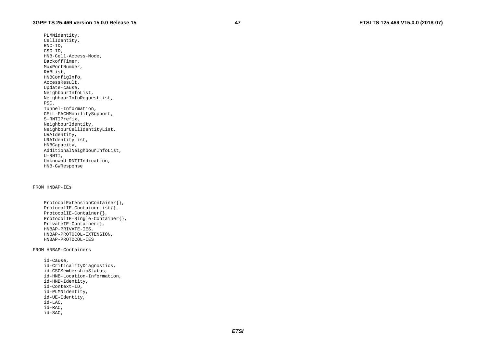PLMNidentity, CellIdentity, RNC-ID, CSG-ID, HNB-Cell-Access-Mode, BackoffTimer, MuxPortNumber, RABList, HNBConfigInfo, AccessResult, Update-cause, NeighbourInfoList, NeighbourInfoRequestList, PSC, Tunnel-Information, CELL-FACHMobilitySupport, S-RNTIPrefix, NeighbourIdentity, NeighbourCellIdentityList, URAIdentity, URAIdentityList, HNBCapacity, AdditionalNeighbourInfoList, U-RNTI, UnknownU-RNTIIndication, HNB-GWResponse

#### FROM HNBAP-IEs

```
 ProtocolExtensionContainer{}, 
 ProtocolIE-ContainerList{}, 
 ProtocolIE-Container{}, 
 ProtocolIE-Single-Container{}, 
 PrivateIE-Container{}, 
 HNBAP-PRIVATE-IES, 
 HNBAP-PROTOCOL-EXTENSION, 
 HNBAP-PROTOCOL-IES
```
#### FROM HNBAP-Containers

 id-Cause, id-CriticalityDiagnostics, id-CSGMembershipStatus, id-HNB-Location-Information, id-HNB-Identity, id-Context-ID, id-PLMNidentity, id-UE-Identity, id-LAC, id-RAC, id-SAC,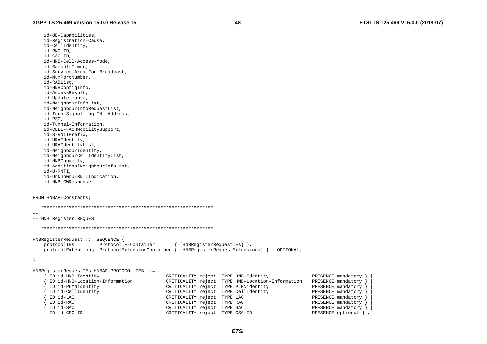id-UE-Capabilities, id-Registration-Cause, id-CellIdentitv. id-RNC-ID. id-CSG-ID. id-HNB-Cell-Access-Mode, id-BackoffTimer. id-Service-Area-For-Broadcast, id-MuxPortNumber, id-RABList, id-HNBConfigInfo, id-AccessResult, id-Update-cause, id-NeighbourInfoList, id-NeighbourInfoRequestList, id-Iurh-Signalling-TNL-Address, id-PSC. id-Tunnel-Information, id-CELL-FACHMobilitySupport, id-S-RNTIPrefix, id-URAIdentity, id-URAIdentityList, id-NeighbourIdentity, id-NeighbourCellIdentityList, id-HNBCapacity, id-AdditionalNeighbourInfoList, id-U-RNTI. id-UnknownU-RNTIIndication. id-HNB-GWResponse

```
FROM HNBAP-Constants;
```

```
\sim \sim-- HNB Register REQUEST
HNBReqisterRequest ::= SEQUENCE {
   protocolIEs
                    ProtocolIE-Container
                                              \{HNRRequestIES\},
   protocolExtension ProtocolExtensions ProtocolExtensionContainer \{ \{HNRRequestExtensors\} \}OPTIONAL.
   \overline{1}\}HNBRegisterRequestIEs HNBAP-PROTOCOL-IES ::= {
     ID id-HNB-Identity
                                          CRITICALITY reject TYPE HNB-Identity
                                                                                        PRESENCE mandatory
     ID id-HNB-Location-Information
                                         CRITICALITY reject TYPE HNB-Location-Information PRESENCE mandatory
     ID id-PLMNidentity
                                          CRITICALITY reject TYPE PLMNidentity
                                                                                        PRESENCE mandatory
     ID id-CellIdentity
                                         CRITICALITY reject TYPE CellIdentity
                                                                                       PRESENCE mandatory
     ID id-LAC
                                         CRITICALITY reject TYPE LAC
                                                                                       PRESENCE mandatory
     ID id-RAC
                                         CRITICALITY reject TYPE RAC
                                                                                       PRESENCE mandatory
     ID id-SAC
                                         CRITICALITY reject TYPE SAC
                                                                                       PRESENCE mandatory
     ID id-CSG-ID
                                         CRITICALITY reject TYPE CSG-ID
                                                                                       PRESENCE optional },
```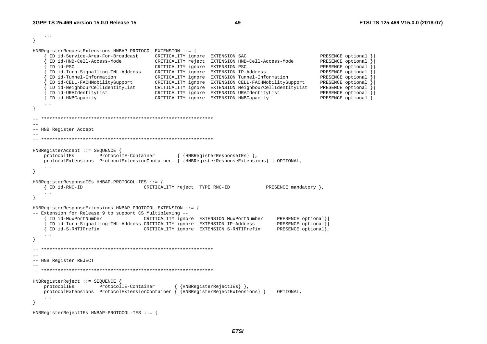```
\ddots
```
 $\rightarrow$ 

```
HNBReqisterRequestExtensions HNBAP-PROTOCOL-EXTENSION ::= {
```

```
ID id-Service-Area-For-Broadcast
                                      CRITICALITY ignore EXTENSION SAC
                                                                                           PRESENCE optional }
     ID id-HNB-Cell-Access-Mode
                                      CRITICALITY reject EXTENSION HNB-Cell-Access-Mode
                                                                                           PRESENCE optional
     ID id-PSC
                                      CRITICALITY ignore EXTENSION PSC
                                                                                           PRESENCE optional
     ID id-Iurh-Signalling-TNL-Address CRITICALITY ignore EXTENSION IP-Address
                                                                                           PRESENCE optional }
     ID id-Tunnel-Information
                                      CRITICALITY ignore EXTENSION Tunnel-Information
                                                                                           PRESENCE optional
     ID id-CELL-FACHMobilitySupport
                                      CRITICALITY ignore EXTENSION CELL-FACHMobilitySupport
                                                                                           PRESENCE optional
     ID id-NeighbourCellIdentityList
                                                                                           PRESENCE optional \
                                      CRITICALITY ignore EXTENSION NeighbourCellIdentityList
     ID id-URAIdentityList
                                      CRITICALITY ignore EXTENSION URAIdentityList
                                                                                           PRESENCE optional }
   { ID id-HNBCapacity
                                      CRITICALITY ignore EXTENSION HNBCapacity
                                                                                           PRESENCE optional },
   \cdot \cdot \cdot--- HNB Register Accept
HNBRegisterAccept ::= SEQUENCE {
   protocolIEs ProtocolIE-Container
                                              { {HNBRegisterResponseIEs} },
   protocolExtensions ProtocolExtensionContainer \{ {HNBReqisterResponseExtensions} } OPTIONAL,
   \sim \sim \sim\overline{\mathbf{1}}HNBRegisterResponseIEs HNBAP-PROTOCOL-IES ::= {
                                  CRITICALITY reject TYPE RNC-ID
                                                                         PRESENCE mandatory },
   { ID id-RNC-ID
   \mathbf{1}\left\{ \right.HNBRegisterResponseExtensions HNBAP-PROTOCOL-EXTENSION ::=-- Extension for Release 9 to support CS Multiplexing --
     ID id-MuxPortNumber
                       CRITICALITY ignore EXTENSION MuxPortNumber
                                                                             PRESENCE optional}
     ID id-Iurh-Signalling-TNL-Address CRITICALITY ignore EXTENSION IP-Address
                                                                             PRESENCE optional}
    ID id-S-RNTIPrefix The CRITICALITY ignore EXTENSION S-RNTIPrefix
                                                                             PRESENCE optional}
- }
  --- HNB Register REJECT
HNBRegisterReject ::= SEQUENCE {
   protocolIEs ProtocolIE-Container
                                              {HNR<sub>legisterRejectIES</sub>},
   protocolExtensions ProtocolExtensionContainer { {HNBReqisterRejectExtensions} }
                                                                             OPTIONAL,
   \sim \sim \simHNBRegisterRejectIEs HNBAP-PROTOCOL-IES ::= {
```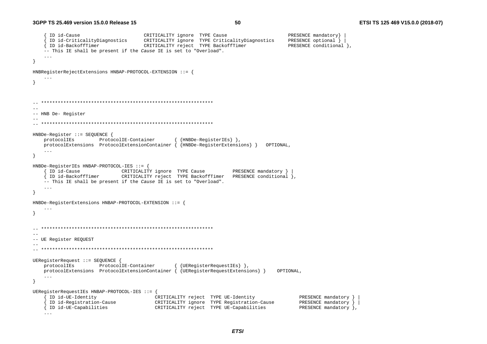```
ID id-Cause
                                  CRITICALITY ignore TYPE Cause
                                                                               PRESENCE mandatory}
     ID id-CriticalityDiagnostics
                                  CRITICALITY ignore TYPE CriticalityDiagnostics
                                                                               PRESENCE optional }
   { ID id-BackoffTimer
                                  CRITICALITY reject TYPE BackoffTimer
                                                                               PRESENCE conditional }
   -- This IE shall be present if the Cause IE is set to "Overload".
   \sim \sim \sim\lambdaHNBRequesterRefectExtensions HNBAP-PROTOCOL-EXTENSION ::=\ldots--- HNB De- Register
HNBDe-Register ::= SEOUENCE {
   protocolIEs
               ProtocolIE-Container
                                             {HNBDe-RegisterIEs} },
   protocolExtensions ProtocolExtensionContainer { {HNBDe-RegisterExtensions} } OPTIONAL,
   \cdot .
\rightarrowHNBDe-RegisterIEs HNBAP-PROTOCOL-IES ::= {
   { ID id-Cause
                 CRITICALITY ignore TYPE Cause
                                                              PRESENCE mandatory }
    ID id-BackoffTimer CRITICALITY reject TYPE BackoffTimer PRESENCE conditional },
   -- This IE shall be present if the Cause IE is set to "Overload".
\rightarrowHNBDe-RegisterExtensions HNBAP-PROTOCOL-EXTENSION ::= {
   \ddots .
\rightarrow\sim-- UE Register REQUEST
UERegisterRequest ::= SEQUENCE {
                                            { {UEReqisterRequestIEs} },
   protocolIEs
               ProtocolIE-Container
   protocolExtensions ProtocolExtensionContainer { {UEReqisterRequestExtensions} }
                                                                           OPTIONAL,
   \ldots\rightarrowUERegisterRequestIEs HNBAP-PROTOCOL-IES ::= {
     ID id-UE-Identity
                                    CRITICALITY reject TYPE UE-Identity
                                                                                  PRESENCE mandatory }
     ID id-Registration-Cause
                                     CRITICALITY ignore TYPE Registration-Cause
                                                                                  PRESENCE mandatory }
   { ID id-UE-Capabilities
                                     CRITICALITY reject TYPE UE-Capabilities
                                                                                  PRESENCE mandatory },
   \mathbf{1}
```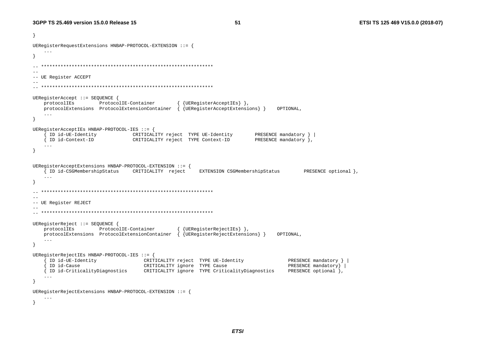```
\rightarrowUEReqisterRequestExtensions HNBAP-PROTOCOL-EXTENSION ::= {
\mathcal{F}--- UE Register ACCEPT
UERegisterAccept ::= SEQUENCE {
   protocolIEs
               ProtocolIE-Container
                                              {UERegisterAcceptIEs} },
   protocolExtensions ProtocolExtensionContainer { {UEReqisterAcceptExtensions} }
                                                                            OPTIONAL,
   \sim \sim \sim\rightarrowUEReqisterAcceptIEs HNBAP-PROTOCOL-IES ::= {
     ID id-UE-Identity
                         CRITICALITY reject TYPE UE-Identity
                                                                     PRESENCE mandatory } |
   { ID id-Context-ID
                             CRITICALITY reject TYPE Context-ID
                                                                     PRESENCE mandatory },
   \ldots\rightarrowUEReqisterAcceptExtensions HNBAP-PROTOCOL-EXTENSION ::= {
   { ID id-CSGMembershipStatus CRITICALITY reject
                                                    EXTENSION CSGMembershipStatus
                                                                                    PRESENCE optional },
   \sim \sim \sim--- UE Register REJECT
UERegisterReject ::= SEQUENCE {
   protocolIEs ProtocolIE-Container
                                             { {UEReqisterRejectIEs} },
   \texttt{protocolExtensions} ProtocolExtensionContainer \{ QUEReqisterRejectExtensions} \}OPTIONAL.
   \ddots\mathcal{E}UEReqisterRejectIEs HNBAP-PROTOCOL-IES ::= {
     ID id-UE-Identity
                                  CRITICALITY reject TYPE UE-Identity
                                                                               PRESENCE mandatory }
                                CRITICALITY ignore TYPE Cause
                                                                               PRESENCE mandatory }
     ID id-Cause
   { ID id-CriticalityDiagnostics CRITICALITY ignore TYPE CriticalityDiagnostics
                                                                               PRESENCE optional },
   \sim \sim \sim\rightarrowUERegisterRejectExtensions HNBAP-PROTOCOL-EXTENSION ::= {
   \ddots .
\rightarrow
```
**ETSI**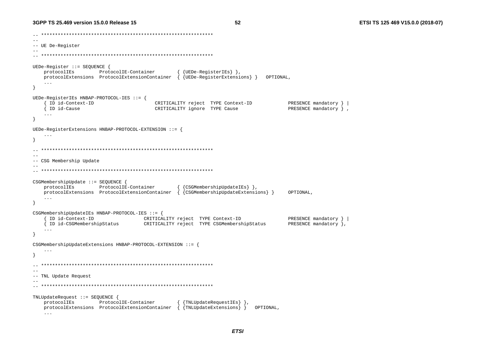52

 $\sim$ -- UE De-Register  $-$ UEDe-Register ::= SEOUENCE { { {UEDe-RegisterIEs} }, protocolIEs ProtocolIE-Container protocolExtensions ProtocolExtensionContainer { {UEDe-ReqisterExtensions} } OPTIONAL,  $\ldots$ } UEDe-RegisterIEs HNBAP-PROTOCOL-IES ::= { ID id-Context-ID CRITICALITY reject TYPE Context-ID PRESENCE mandatory } { ID id-Cause CRITICALITY ignore TYPE Cause PRESENCE mandatory },  $\ddots$  $\rightarrow$ UEDe-ReqisterExtensions HNBAP-PROTOCOL-EXTENSION ::= {  $\overline{1}$  $-$ -- CSG Membership Update CSGMembershipUpdate ::= SEQUENCE { protocolIEs ProtocolIE-Container { {CSGMembershipUpdateIEs } }, protocolExtensions ProtocolExtensionContainer { {CSGMembershipUpdateExtensions} } OPTIONAL.  $\sim$  .  $\sim$  $\rightarrow$ CSGMembershipUpdateIEs HNBAP-PROTOCOL-IES ::= { ID id-Context-ID CRITICALITY reject TYPE Context-ID PRESENCE mandatory } { ID id-CSGMembershipStatus CRITICALITY reject TYPE CSGMembershipStatus PRESENCE mandatory },  $\sim$   $\sim$   $\sim$  $\rightarrow$ CSGMembershipUpdateExtensions HNBAP-PROTOCOL-EXTENSION ::= {  $\sim$   $\sim$   $\sim$  $\sim$   $-$ -- TNL Update Request  $-$ TNLUpdateRequest ::= SEOUENCE { protocolIEs ProtocolIE-Container { {TNLUpdateRequestIEs} }, protocolExtensions ProtocolExtensionContainer { {TNLUpdateExtensions} } OPTIONAL,  $\ldots$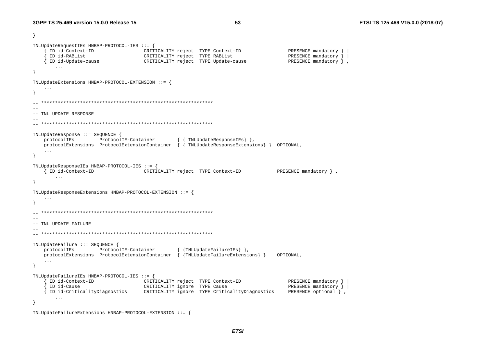}

```
TNLUpdateRequestIEs HNBAP-PROTOCOL-IES ::= { 
      { ID id-Context-ID CRITICALITY reject TYPE Context-ID PRESENCE mandatory } | 
      { ID id-RABList CRITICALITY reject TYPE RABList PRESENCE mandatory } | 
     ID id-Update-cause \begin{array}{ccc} \text{CRITICALITY reject} & \text{TYPE Update-cause} \end{array} ... } 
TNLUpdateExtensions HNBAP-PROTOCOL-EXTENSION ::= { 
     ... } 
  -- ************************************************************** -- -- TNL UPDATE RESPONSE -- 
-- ************************************************************** TNLUpdateResponse ::= SEQUENCE { 
    protocolIEs ProtocolIE-Container { { TNLUpdateResponseIEs} }, 
    protocolExtensions ProtocolExtensionContainer { { TNLUpdateResponseExtensions} } OPTIONAL, 
     ... } 
TNLUpdateResponseIEs HNBAP-PROTOCOL-IES ::= { 
     { ID id-Context-ID CRITICALITY reject TYPE Context-ID PRESENCE mandatory } , 
        ... } 
TNLUpdateResponseExtensions HNBAP-PROTOCOL-EXTENSION ::= { 
     ... } 
  -- ************************************************************** --- TNL UPDATE FAILURE -- 
-- ************************************************************** TNLUpdateFailure ::= SEQUENCE { 
    protocolIEs ProtocolIE-Container { {TNLUpdateFailureIEs} }, 
    protocolExtensions ProtocolExtensionContainer { {TNLUpdateFailureExtensions} } OPTIONAL, 
     ... } 
TNLUpdateFailureIEs HNBAP-PROTOCOL-IES ::= { 
      { ID id-Context-ID CRITICALITY reject TYPE Context-ID PRESENCE mandatory } | 
     ID id-Cause CRITICALITY ignore TYPE Cause PRESENCE mandatory }
      { ID id-CriticalityDiagnostics CRITICALITY ignore TYPE CriticalityDiagnostics PRESENCE optional } , 
        ... } 
TNLUpdateFailureExtensions HNBAP-PROTOCOL-EXTENSION ::= {
```
*ETSI*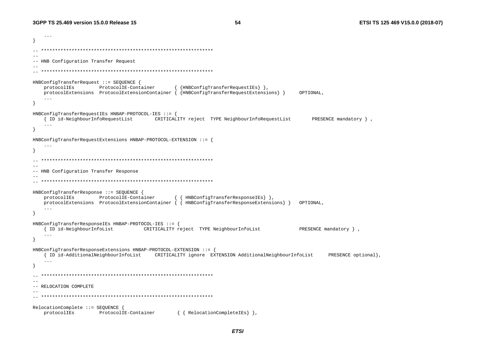$\cdot$   $\cdot$   $\cdot$ -- HNB Configuration Transfer Request HNBConfigTransferRequest ::= SEQUENCE { protocolIEs ProtocolIE-Container { {HNBConfigTransferRequestIEs} },  $\texttt{protocolExtensions}$  ProtocolExtensionContainer { {HNBConfigTransferRequestExtensions} } OPTIONAL  $\cdot$  . HNBConfigTransferRequestIEs HNBAP-PROTOCOL-IES ::= { { ID id-NeighbourInfoRequestList CRITICALITY reject TYPE NeighbourInfoRequestList PRESENCE mandatory },  $\ddots$  $\rightarrow$  $HNBConfigTransferRequestExtensions HNBAP-PROTOCOL-EXTENSION :: =$  $\cdot$   $\cdot$   $\cdot$ -- HNB Configuration Transfer Response HNBConfigTransferResponse ::= SEOUENCE { protocolIEs ProtocolIE-Container { { HNBConfigTransferResponseIEs } }, protocolExtensions ProtocolExtensionContainer { { HNBConfigTransferResponseExtensions} } OPTIONAL.  $\cdots$ HNBConfigTransferResponseIEs HNBAP-PROTOCOL-IES ::= { { ID id-NeighbourInfoList CRITICALITY reject TYPE NeighbourInfoList PRESENCE mandatory },  $\ddots$  $\rightarrow$ HNBConfigTransferResponseExtensions HNBAP-PROTOCOL-EXTENSION ::= \ { ID id-AdditionalNeighbourInfoList CRITICALITY ignore EXTENSION AdditionalNeighbourInfoList PRESENCE optional)  $\sim$   $\sim$   $\sim$ }  $-$ -- RELOCATION COMPLETE RelocationComplete ::= SEQUENCE { protocolIEs ProtocolIE-Container { { RelocationCompleteIEs } },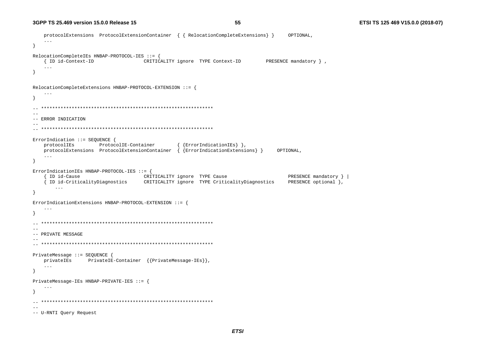```
protocolExtensions ProtocolExtensionContainer \{ \} RelocationCompleteExtensions \}OPTIONAL,
   \sim \sim \sim\rightarrowRelocationCompleteIEs HNBAP-PROTOCOL-IES ::= {
   { ID id-Context-ID
                                 CRITICALITY ignore TYPE Context-ID
                                                                      PRESENCE mandatory },
   \sim \sim \sim\mathcal{F}RelocationCompleteExtensions HNBAP-PROTOCOL-EXTENSION ::= {
   \ddots\rightarrow--- ERROR INDICATION
\sim -ErrorIndication ::= SEQUENCE {
                                           { {ErrorIndicationIEs} },
   protocolIEs ProtocolIE-Container
   protocolExtensions ProtocolExtensionContainer \{ {ErrorIndicationExtensions} }
                                                                          OPTIONAL,
   \cdot .
- }
ErrorIndicationIEs HNBAP-PROTOCOL-IES ::= {
     ID id-Cause
                                 CRITICALITY ignore TYPE Cause
                                                                             PRESENCE mandatory }
   ID id-CriticalityDiagnostics CRITICALITY ignore TYPE CriticalityDiagnostics
                                                                             PRESENCE optional },
      \ldots\mathcal{E}ErrorIndicationExtensions HNBAP-PROTOCOL-EXTENSION ::= {
   \sim 10\rightarrow--- PRIVATE MESSAGE
\sim \simPrivateMessage ::= SEOUENCE {
              PrivateIE-Container {{PrivateMessage-IEs}},
   privateIEs
   \sim \sim \sim\left\{ \right.PrivateMessage-IEs HNBAP-PRIVATE-IES ::= {
   \cdot \cdot \cdot\rightarrow\sim-- U-RNTI Ouery Request
```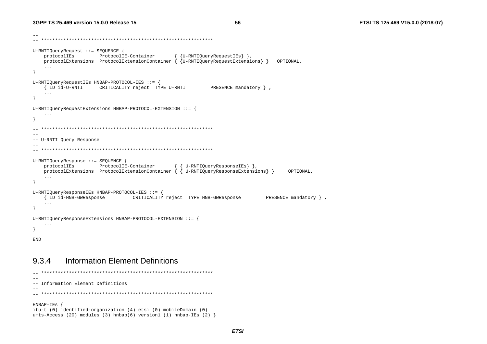```
-- -- ************************************************************** U-RNTIQueryRequest ::= SEQUENCE { 
    protocolIEs ProtocolIE-Container { {U-RNTIQueryRequestIEs} }, 
   protocolExtensions ProtocolExtensionContainer \{U-PN}TiQueryRequestExtensions \} OPTIONAL,
     ... } 
U-RNTIQueryRequestIEs HNBAP-PROTOCOL-IES ::= { 
     { ID id-U-RNTI CRITICALITY reject TYPE U-RNTI PRESENCE mandatory } , 
 ... 
} 
U-RNTIQueryRequestExtensions HNBAP-PROTOCOL-EXTENSION ::= { 
     ... } 
-- ************************************************************** -- -- U-RNTI Query Response 
-- 
-- ************************************************************** U-RNTIQueryResponse ::= SEQUENCE { 
    protocolIEs ProtocolIE-Container { { U-RNTIQueryResponseIEs} }, 
    protocolExtensions ProtocolExtensionContainer { { U-RNTIQueryResponseExtensions} } OPTIONAL, 
     ... } 
U-RNTIQueryResponseIEs HNBAP-PROTOCOL-IES ::= { 
     { ID id-HNB-GWResponse CRITICALITY reject TYPE HNB-GWResponse PRESENCE mandatory } , 
 ... 
} 
U-RNTIQueryResponseExtensions HNBAP-PROTOCOL-EXTENSION ::= { 
     ... } 
END
```
#### 9.3.4 Information Element Definitions

```
-- ************************************************************** -- -- Information Element Definitions -- 
-- ************************************************************** HNBAP-IEs { 
itu-t (0) identified-organization (4) etsi (0) mobileDomain (0) 
umts-Access (20) modules (3) hnbap(6) version1 (1) hnbap-IEs (2) \}
```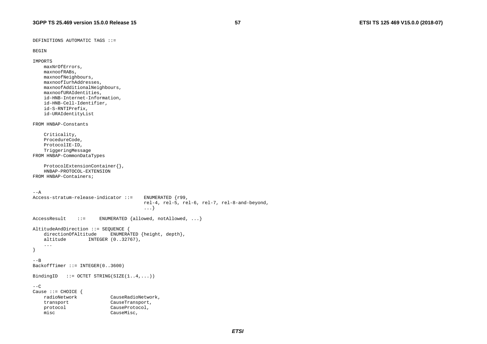DEFINITIONS AUTOMATIC TAGS ::=

```
BEGIN
```

```
IMPORTS 
 maxNrOfErrors, 
     maxnoofRABs, 
     maxnoofNeighbours, 
     maxnoofIurhAddresses, 
     maxnoofAdditionalNeighbours, 
     maxnoofURAIdentities, 
     id-HNB-Internet-Information, 
      id-HNB-Cell-Identifier, 
      id-S-RNTIPrefix, 
      id-URAIdentityList 
FROM HNBAP-Constants  Criticality, 
      ProcedureCode, 
     ProtocolIE-ID, 
     TriggeringMessage 
FROM HNBAP-CommonDataTypes 
      ProtocolExtensionContainer{}, 
      HNBAP-PROTOCOL-EXTENSION FROM HNBAP-Containers; ---AAccess-stratum-release-indicator ::= ENUMERATED {r99, 
                                                 rel-4, rel-5, rel-6, rel-7, rel-8-and-beyond, 
. The contract of the contract of the contract of the contract of the contract of the contract of the contract of the contract of the contract of the contract of the contract of the contract of the contract of the contrac
AccessResult ::= ENUMERATED {allowed, notAllowed, ...}
AltitudeAndDirection ::= SEQUENCE {<br>directionOfAltitude ENUMERA
                                 EWUMERATED {height, depth},
    altitude INTEGER (0..32767),
      ... } 
--BBackoffTimer ::= INTEGER(0..3600) 
BindingID ::= OCTET STRING(SIZE(1..4,...)))
---CCause ::= CHOICE {<br>radioNetwork
                                  CauseRadioNetwork,
     transport CauseTransport, 
     protocol CauseProtocol, 
    misc CauseMisc,
```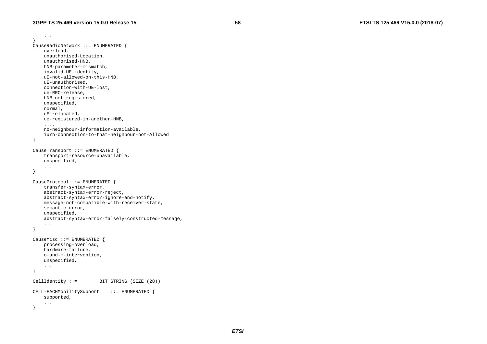...

```
} 
CauseRadioNetwork ::= ENUMERATED { 
     overload, 
     unauthorised-Location, 
     unauthorised-HNB, 
     hNB-parameter-mismatch, 
     invalid-UE-identity, 
     uE-not-allowed-on-this-HNB, 
     uE-unauthorised, 
     connection-with-UE-lost, 
     ue-RRC-release, 
     hNB-not-registered, 
     unspecified, 
     normal, 
     uE-relocated, 
     ue-registered-in-another-HNB, 
     ..., 
     no-neighbour-information-available, 
     iurh-connection-to-that-neighbour-not-Allowed 
} 
CauseTransport ::= ENUMERATED { 
     transport-resource-unavailable, 
     unspecified, 
 ... 
} 
CauseProtocol ::= ENUMERATED { 
     transfer-syntax-error, 
     abstract-syntax-error-reject, 
     abstract-syntax-error-ignore-and-notify, 
     message-not-compatible-with-receiver-state, 
     semantic-error, 
     unspecified, 
     abstract-syntax-error-falsely-constructed-message, 
     ... } 
CauseMisc ::= ENUMERATED { 
     processing-overload, 
     hardware-failure, 
     o-and-m-intervention, 
     unspecified, 
 ... 
} 
CellIdentity ::= BIT STRING (SIZE (28))
CELL-FACHMobilitySupport ::= ENUMERATED { 
     supported, 
     ... }
```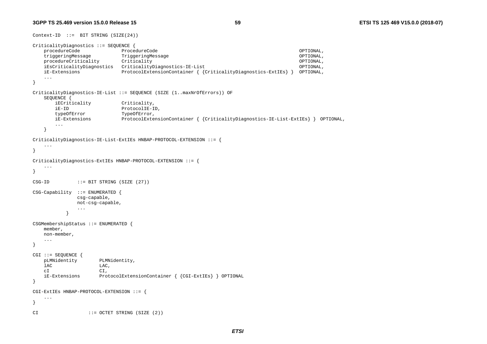$Context-ID ::= BIT STRING (SIZE(24))$ 

```
CriticalityDiagnostics ::= SEQUENCE { 
    procedureCode ProcedureCode OPTIONAL, 
    triggeringMessage TriggeringMessage OPTIONAL, 
   procedureCriticality Criticality Criticality Criticality OPTIONAL,
    iEsCriticalityDiagnostics CriticalityDiagnostics-IE-List OPTIONAL, 
    iE-Extensions ProtocolExtensionContainer { {CriticalityDiagnostics-ExtIEs} } OPTIONAL, 
 ... 
} 
CriticalityDiagnostics-IE-List ::= SEQUENCE (SIZE (1..maxNrOfErrors)) OF 
    SEQUENCE { 
       iECriticality Criticality, 
       iE-ID ProtocolIE-ID, 
       typeOfError TypeOfError, 
       iE-Extensions ProtocolExtensionContainer { {CriticalityDiagnostics-IE-List-ExtIEs} } OPTIONAL, 
       ...  } 
CriticalityDiagnostics-IE-List-ExtIEs HNBAP-PROTOCOL-EXTENSION ::= { 
 ... 
} 
CriticalityDiagnostics-ExtIEs HNBAP-PROTOCOL-EXTENSION ::= { 
    ... } 
CSG-ID ::= BIT STRING (SIZE (27))
CSG-Capability ::= ENUMERATED { 
             csg-capable, 
             not-csg-capable, 
 ... 
 } 
CSGMembershipStatus ::= ENUMERATED { 
    member, 
    non-member, 
    ... } 
CGI ::= SEQUENCE { 
    pLMNidentity PLMNidentity, 
   lac Lac,
    cI CI, 
    iE-Extensions ProtocolExtensionContainer { {CGI-ExtIEs} } OPTIONAL 
} 
CGI-ExtIEs HNBAP-PROTOCOL-EXTENSION ::= { 
    ... } 
CI ::= OCTET STRING (SIZE (2))
```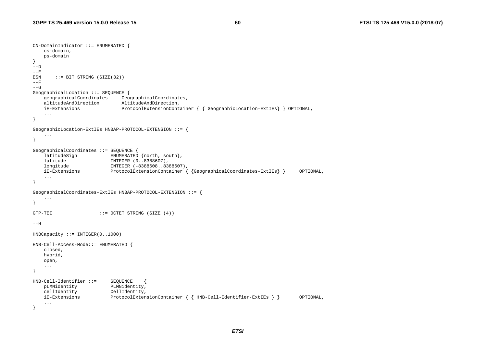```
CN-DomainIndicator ::= ENUMERATED { 
    cs-domain, 
    ps-domain 
} 
---D- - \mathrm{E}ESN ::= BIT STRING (SIZE(32))
--F--G 
GeographicalLocation ::= SEQUENCE { 
                              GeographicalCoordinates,
    altitudeAndDirection AltitudeAndDirection, 
    iE-Extensions ProtocolExtensionContainer { { GeographicLocation-ExtIEs} } OPTIONAL, 
     ... } 
GeographicLocation-ExtIEs HNBAP-PROTOCOL-EXTENSION ::= { 
     ... } 
GeographicalCoordinates ::= SEQUENCE { 
   latitudeSign ENUMERATED {north, south},
    latitude INTEGER (0..8388607), 
    longitude INTEGER (-8388608..8388607), 
    iE-Extensions ProtocolExtensionContainer { {GeographicalCoordinates-ExtIEs} } OPTIONAL, 
     ... } 
GeographicalCoordinates-ExtIEs HNBAP-PROTOCOL-EXTENSION ::= { 
     ... } 
GTP-TEI ::= OCTET STRING (SIZE (4))
--HHNBCapacity ::= INTEGER(0..1000) 
HNB-Cell-Access-Mode::= ENUMERATED { 
    closed, 
    hybrid, 
    open, 
     ... } 
HNB-Cell-Identifier ::= SEQUENCE
    pLMNidentity PLMNidentity, 
    cellIdentity CellIdentity, 
    iE-Extensions ProtocolExtensionContainer { { HNB-Cell-Identifier-ExtIEs } } OPTIONAL, 
     ... }
```
*ETSI*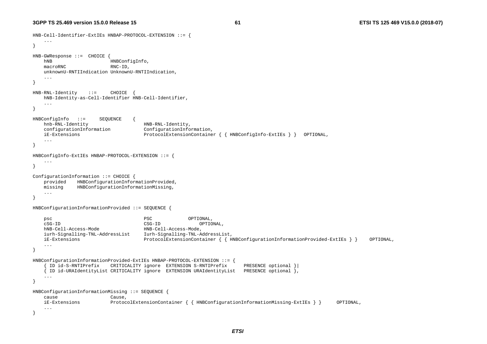HNB-Cell-Identifier-ExtIEs HNBAP-PROTOCOL-EXTENSION ::= {

```
 ... } 
HNB-GWResponse ::= CHOICE { 
   hNB HNBConfigInfo,
   macroRNC RNC-ID.
    unknownU-RNTIIndication UnknownU-RNTIIndication, 
    ... } 
HNB-RNL-Identity ::= CHOICE { 
    hNB-Identity-as-Cell-Identifier HNB-Cell-Identifier, 
    ... } 
HNBConfigInfo ::= SEQUENCE
    hnb-RNL-Identity HNB-RNL-Identity, 
    configurationInformation ConfigurationInformation, 
    iE-Extensions ProtocolExtensionContainer { { HNBConfigInfo-ExtIEs } } OPTIONAL, 
    ... } 
HNBConfigInfo-ExtIEs HNBAP-PROTOCOL-EXTENSION ::= { 
 ... } 
ConfigurationInformation ::= CHOICE { 
    provided HNBConfigurationInformationProvided, 
    missing HNBConfigurationInformationMissing, 
    ... } 
HNBConfigurationInformationProvided ::= SEQUENCE { 
   psc PSC OPTIONAL,
    cSG-ID CSG-ID OPTIONAL, 
    hNB-Cell-Access-Mode HNB-Cell-Access-Mode, 
    iurh-Signalling-TNL-AddressList Iurh-Signalling-TNL-AddressList, 
    iE-Extensions ProtocolExtensionContainer { { HNBConfigurationInformationProvided-ExtIEs } } OPTIONAL, 
    ... } 
HNBConfigurationInformationProvided-ExtIEs HNBAP-PROTOCOL-EXTENSION ::= { 
      { ID id-S-RNTIPrefix CRITICALITY ignore EXTENSION S-RNTIPrefix PRESENCE optional }| 
      { ID id-URAIdentityList CRITICALITY ignore EXTENSION URAIdentityList PRESENCE optional }, 
    ... } 
HNBConfigurationInformationMissing ::= SEQUENCE { 
    cause Cause, 
    iE-Extensions ProtocolExtensionContainer { { HNBConfigurationInformationMissing-ExtIEs } } OPTIONAL, 
    ... }
```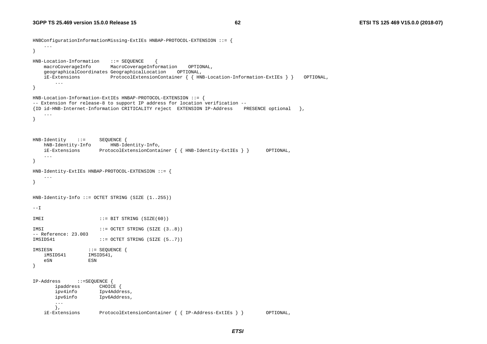```
HNBConfigurationInformationMissing-ExtIEs HNBAP-PROTOCOL-EXTENSION ::= { 
    ... } 
HNB-Location-Information ::= SEQUENCE<br>macroCoverageInfo MacroCoverage
                         MacroCoverageInformation OPTIONAL,
    geographicalCoordinates GeographicalLocation OPTIONAL, 
    iE-Extensions ProtocolExtensionContainer { { HNB-Location-Information-ExtIEs } } OPTIONAL, 
 ... 
} 
HNB-Location-Information-ExtIEs HNBAP-PROTOCOL-EXTENSION ::= { 
-- Extension for release-8 to support IP address for location verification -- 
{ID id-HNB-Internet-Information CRITICALITY reject EXTENSION IP-Address PRESENCE optional }, 
     ... } 
HNB-Identity ::= SEQUENCE { 
    hNB-Identity-Info HNB-Identity-Info, 
    iE-Extensions ProtocolExtensionContainer { { HNB-Identity-ExtIEs } } OPTIONAL, 
    ... } 
HNB-Identity-ExtIEs HNBAP-PROTOCOL-EXTENSION ::= { 
     ... } 
HNB-Identity-Info ::= OCTET STRING (SIZE (1..255)) 
--I 
IMEI ::= BIT STRING (SIZE(60))
IMSI ::= OCTET STRING (SIZE (3..8))
-- Reference: 23.003 IMSIDS41 ::= OCTET STRING (SIZE (5..7))
IMSIESN ::= SEQUENCE { 
 iMSIDS41 IMSIDS41, 
    eSN ESN } 
IP-Address ::=SEQUENCE { 
       ipaddress CHOICE
        ipv4info Ipv4Address, 
        ipv6info Ipv6Address, 
        ...  }, 
    iE-Extensions ProtocolExtensionContainer { { IP-Address-ExtIEs } } OPTIONAL,
```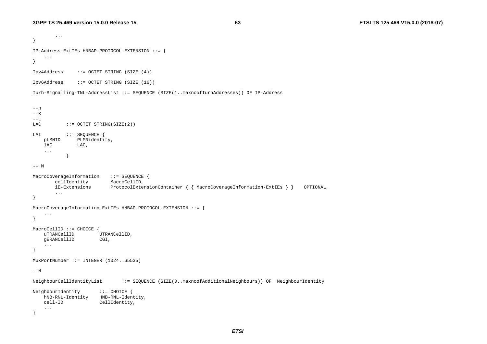...

```
} 
IP-Address-ExtIEs HNBAP-PROTOCOL-EXTENSION ::= { 
 ... 
} 
Ipv4Address ::= OCTET STRING (SIZE (4)) 
Ipv6Address ::= OCTET STRING (SIZE (16)) 
Iurh-Signalling-TNL-AddressList ::= SEQUENCE (SIZE(1..maxnoofIurhAddresses)) OF IP-Address 
- -J-K--\mathbf{L}LAC ::= OCTET STRING(SIZE(2))
LAI ::= SEQUENCE {
    pLMNID PLMNidentity, 
   lac Lac,
 ... 
 } 
--- MMacroCoverageInformation ::= SEQUENCE {
        cellIdentity MacroCellID, 
        iE-Extensions ProtocolExtensionContainer { { MacroCoverageInformation-ExtIEs } } OPTIONAL, 
        ... } 
MacroCoverageInformation-ExtIEs HNBAP-PROTOCOL-EXTENSION ::= { 
 ... 
} 
MacroCellID ::= CHOICE {<br>uTRANCellID
                      \overline{U}TRANCellID,
    gERANCellID CGI, 
 ... 
} 
MuxPortNumber ::= INTEGER (1024..65535) 
---NNeighbourCellIdentityList ::= SEQUENCE (SIZE(0..maxnoofAdditionalNeighbours)) OF NeighbourIdentity 
NeighbourIdentity ::= CHOICE { 
    hNB-RNL-Identity HNB-RNL-Identity, 
    cell-ID CellIdentity, 
     ... }
```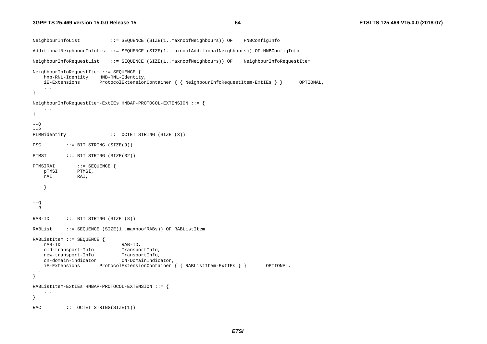```
NeighbourInfoList ::= SEQUENCE (SIZE(1..maxnoofNeighbours)) OF HNBConfigInfo 
AdditionalNeighbourInfoList ::= SEQUENCE (SIZE(1..maxnoofAdditionalNeighbours)) OF HNBConfigInfo 
NeighbourInfoRequestList ::= SEQUENCE (SIZE(1..maxnoofNeighbours)) OF NeighbourInfoRequestItem 
NeighbourInfoRequestItem ::= SEQUENCE { 
    hnb-RNL-Identity HNB-RNL-Identity, 
    iE-Extensions ProtocolExtensionContainer { { NeighbourInfoRequestItem-ExtIEs } } OPTIONAL, 
 ... 
} 
NeighbourInfoRequestItem-ExtIEs HNBAP-PROTOCOL-EXTENSION ::= { 
     ... } 
---O--PPLMNidentity ::= OCTET STRING (SIZE (3))
PSC ::= BIT STRING (SIZE(9))
PTMSI ::= BIT STRING (SIZE(32))
PTMSIRAI ::= SEQUENCE {
    pTMSI PTMSI, 
    rAI RAI, 
     ...  } 
--<sub>Q</sub>--R 
RAB-ID ::= BIT STRING (SIZE (8))
RABList ::= SEQUENCE (SIZE(1..maxnoofRABs)) OF RABListItem 
RABListItem ::= SEQUENCE { 
    rAB-ID RAB-ID, 
    old-transport-Info TransportInfo, 
    new-transport-Info TransportInfo, 
    cn-domain-indicator CN-DomainIndicator, 
    iE-Extensions ProtocolExtensionContainer { { RABListItem-ExtIEs } } OPTIONAL, 
... } 
RABListItem-ExtIEs HNBAP-PROTOCOL-EXTENSION ::= { 
     ... } 
RAC ::= OCTET STRING(SIZE(1))
```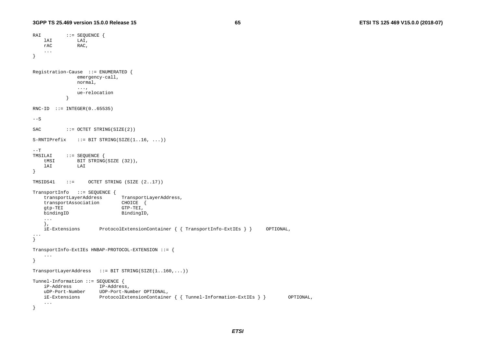```
RAI ::= SEQUENCE {
    lAI LAI, 
    rAC RAC, 
 ... 
} 
Registration-Cause ::= ENUMERATED { 
                emergency-call, 
               normal, 
                ..., 
                ue-relocation  } 
RNC-ID ::= INTEGER(0..65535)
--SSAC ::= OCTET STRING(SIZE(2))
S-RTIPrefix ::= BIT STRING(SIZE(1..16, ...))
--TTMSILAI ::= SEQUENCE {<br>tMSI BIT STRING
          BIT STRING(SIZE (32)),
    lAI LAI } 
TMSIDS41 ::= OCTET STRING (SIZE (2..17)) 
TransportInfo ::= SEQUENCE { 
   transportLayerAddress TransportLayerAddress,
   transportAssociation CHOICE {<br>qtp-TEI GTP-TEI,
                             GTP-TEI,
   bindingID BindingID,
 ... 
    }, 
    iE-Extensions ProtocolExtensionContainer { { TransportInfo-ExtIEs } } OPTIONAL, 
... } 
TransportInfo-ExtIEs HNBAP-PROTOCOL-EXTENSION ::= { 
 ... 
} 
TransportLayerAddress ::= BIT STRING(SIZE(1..160,...)) 
Tunnel-Information ::= SEQUENCE { 
    iP-Address IP-Address, 
    uDP-Port-Number UDP-Port-Number OPTIONAL, 
    iE-Extensions ProtocolExtensionContainer { { Tunnel-Information-ExtIEs } } OPTIONAL, 
     ... }
```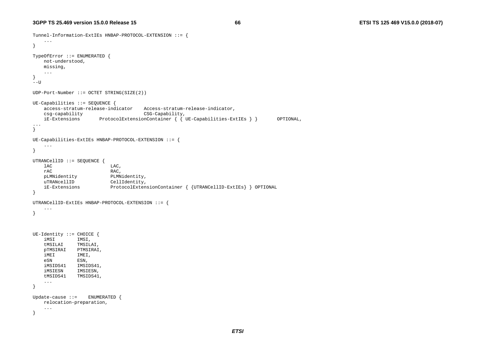```
Tunnel-Information-ExtIEs HNBAP-PROTOCOL-EXTENSION ::= { 
     ... } 
TypeOfError ::= ENUMERATED { 
    not-understood, 
    missing, 
    ... } 
--UUDP-Port-Number ::= OCTET STRING(SIZE(2)) 
UE-Capabilities ::= SEQUENCE { 
    access-stratum-release-indicator Access-stratum-release-indicator, 
    csg-capability CSG-Capability, 
    iE-Extensions ProtocolExtensionContainer { { UE-Capabilities-ExtIEs } } OPTIONAL, 
... } 
UE-Capabilities-ExtIEs HNBAP-PROTOCOL-EXTENSION ::= { 
 ... 
} 
UTRANCellID ::= SEQUENCE { 
   lac Lac,
    rAC RAC, 
    pLMNidentity PLMNidentity, 
   uTRANcellID CellIdentity,
    iE-Extensions ProtocolExtensionContainer { {UTRANCellID-ExtIEs} } OPTIONAL 
} 
UTRANCellID-ExtIEs HNBAP-PROTOCOL-EXTENSION ::= { 
    ... } 
UE-Identity ::= CHOICE { 
    iMSI IMSI, 
    tMSILAI TMSILAI, 
    pTMSIRAI PTMSIRAI, 
    iMEI IMEI, 
    eSN ESN, 
    iMSIDS41 IMSIDS41, 
    iMSIESN IMSIESN, 
    tMSIDS41 TMSIDS41, 
 ... 
} 
Update-cause ::= ENUMERATED { 
    relocation-preparation, 
    ... }
```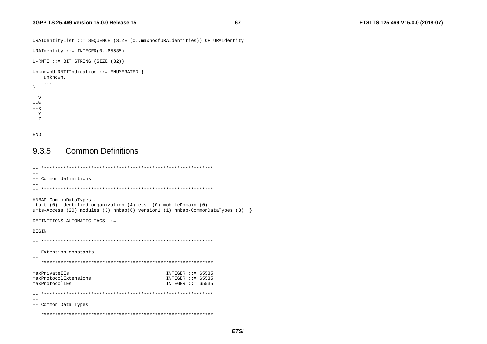```
URAIdentityList ::= SEQUENCE (SIZE (0..maxnoofURAIdentities)) OF URAIdentity
```

```
URAIdentity ::= INTEGER(0. .65535)
```

```
U-RNTI ::= BIT STRING (SIZE (32))
```
#### UnknownU-RNTIIndication ::= ENUMERATED {

unknown,

```
\sim 10\}- -V- -W- - X- -Y--Z
```

```
END
```
#### **Common Definitions** 9.3.5

```
\sim-- Common definitions
\sim -HNBAP-CommonDataTypes {
itu-t (0) identified-organization (4) etsi (0) mobileDomain (0)
umts-Access (20) modules (3) hnbap(6) version1 (1) hnbap-CommonDataTypes (3) \}DEFINITIONS AUTOMATIC TAGS ::=
BEGIN
- --- Extension constants
- -maxPrivateIEs
                        INTEGER ::= 65535maxProtocolExtensions
                        INTER :: = 65535maxProtocolIEs
                        INTEGER ::= 65535\sim --- Common Data Types
- -
```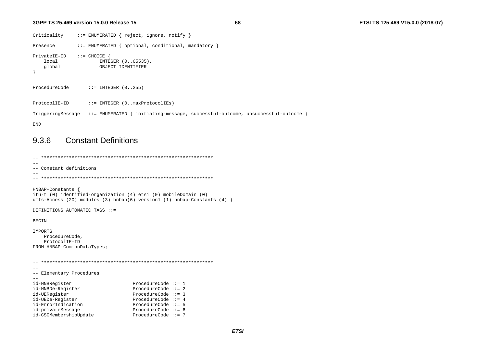68

```
Criticality
               ::= ENUMERATED { reject, ignore, notify }
Presence
               ::= ENUMERATED { optional, conditional, mandatory }
PrivateIE-ID ::= CHOICE {
   local
                      INTEGER (0..65535),
    global
                     OBJECT IDENTIFIER
\rightarrowProcedureCode
                 ::= INTEGER (0..255)ProtocolIE-ID
               ::= INTEGER (0..maxProtocolIEs)
TriggeringMessage ::= ENUMERATED { initiating-message, successful-outcome, unsuccessful-outcome }
END
```
#### **Constant Definitions** 9.3.6

```
\sim --- Constant definitions
-HNBAP-Constants {
itu-t (0) identified-organization (4) etsi (0) mobileDomain (0)
umts-Access (20) modules (3) h n b a p (6) version1 (1) h n b a p-Constants (4) }
DEFINITIONS AUTOMATIC TAGS ::=
BEGIN
IMPORTS
  ProcedureCode.
  ProtocolIE-ID
FROM HNBAP-CommonDataTypes;
\sim --- Elementary Procedures
\equiv \equivProcedureCode ::= 1id-HNBRegister
id-HNBDe-Register
                           ProcedureCode ::= 2id-UERegister
                         ProcedureCode ::= 3ProcedureCode ::= 4
id-UEDe-Register
                         ProcedureCode ::= 5
id-ErrorIndication
id-privateMessage
                          ProcedureCode ::= 6id-CSGMembershipUpdate
                           ProcedureCode ::= 7
```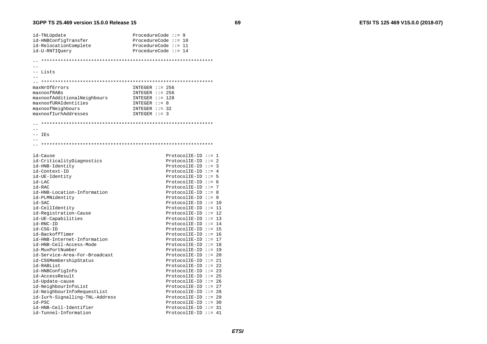id-TNLUpdate ProcedureCode  $::= 9$ id-HNBConfigTransfer ProcedureCode  $::= 10$ ProcedureCode  $::= 11$ id-RelocationComplete id-U-RNTIOuery ProcedureCode  $::= 14$  $\sim$ -- Lists  $INTER :: = 256$ maxNrOfErrors maxnoofRABs  $INTER :: = 256$ maxnoofAdditionalNeighbours  $INTER :: = 128$ maxnoofURAIdentities  $INTEGR :: = 8$ maxnoofNeighbours  $INTER : := 32$ maxnoofIurhAddresses INTEGER ::= 3  $\sim$   $\sim$  $--$  IEs  $-$ id-Cause  $ProtocolIE-ID ::= 1$ id-CriticalityDiagnostics  $ProtocolIE-ID ::= 2$ id-HNB-Identity ProtocolIE-ID ::=  $3$ id-Context-ID ProtocolIE-ID ::=  $4$ id-UE-Identity ProtocolIE-ID ::=  $5$ id-LAC  $ProtocolIF-ID :: = 6$ id-RAC  $ProtocolIF-ID :: = 7$ id-HNB-Location-Information ProtocolIE-ID ::=  $8$ id-PLMNidentity ProtocolIE-ID ::=  $9$ id-SAC  $ProtocolIE-ID ::= 10$ id-CellIdentity  $ProtocolIE-ID ::= 11$ id-Registration-Cause  $ProtocolIE-ID ::= 12$ id-UE-Capabilities  $ProtocolIE-ID ::= 13$ id-RNC-ID  $ProtocolIE-ID ::= 14$ id-CSG-ID  $ProtocolIF-ID ::= 15$ id-BackoffTimer  $ProtocolIE-ID :: = 16$ id-HNB-Internet-Information  $ProtocolIE-ID :: = 17$  $id$ -HNR-Cell-Access-Mode ProtocolIE-ID ::= 18 id-MuxPortNumber  $ProtocolIE-ID :: = 19$ id-Service-Area-For-Broadcast  $ProtocolIF-ID ::= 20$ id-CSGMembershipStatus  $ProtocolIE-ID ::= 21$  $ProtocolIE-ID ::= 22$ id-RABList id-HNBConfigInfo  $ProtocolIE-ID ::= 23$ id-AccessResult  $ProtocolIE-ID ::= 25$ id-Update-cause  $ProtocolIE-ID ::= 26$ id-NeighbourInfoList  $ProtocolIE-ID ::= 27$ id-NeighbourInfoRequestList  $ProtocolIE-ID ::= 28$ id-Iurh-Signalling-TNL-Address  $ProtocolIF-ID ::= 29$  $id-PSC$  $ProtocolIE-ID ::= 30$ id-HNB-Cell-Identifier  $ProtocolIF-ID ::= 31$ id-Tunnel-Information  $ProtocolIF-ID ::= 41$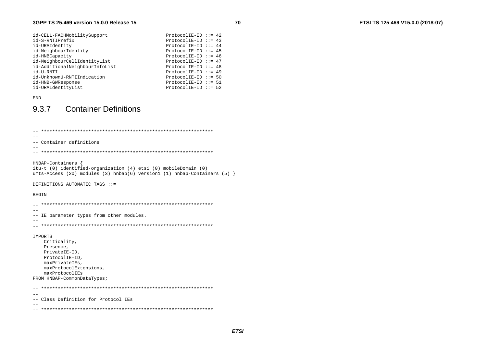| id-CELL-FACHMobilitySupport    | ProtocolIE-ID ::= $42$  |  |
|--------------------------------|-------------------------|--|
| id-S-RNTIPrefix                | ProtocolIE-ID ::= $43$  |  |
| id-URAIdentity                 | ProtocolIE-ID ::= $44$  |  |
| id-NeighbourIdentity           | $ProtocolIE-ID ::= 45$  |  |
| id-HNBCapacity                 | ProtocolIE-ID ::= $46$  |  |
| id-NeighbourCellIdentityList   | ProtocolIE-ID ::= $47$  |  |
| id-AdditionalNeighbourInfoList | ProtocolIE-ID $::= 48$  |  |
| id-U-RNTI                      | ProtocolIE-ID $::= 49$  |  |
| id-UnknownU-RNTIIndication     | $ProtocolIE-ID :: = 50$ |  |
| id-HNB-GWResponse              | ProtocolIE-ID $::= 51$  |  |
| id-URAIdentityList             | $ProtocolIE-ID :: = 52$ |  |

**END** 

#### **Container Definitions** 9.3.7

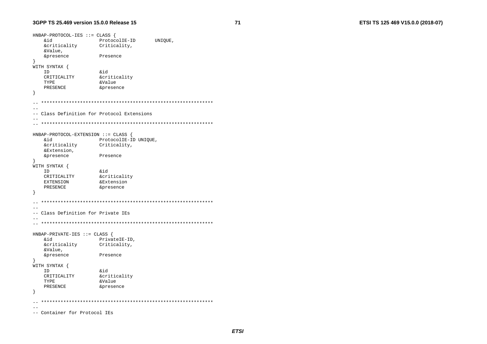ETSI TS 125 469 V15.0.0 (2018-07)

 $HNBAP-PROTOCOL-IES :: = CLASS$ biŵ ProtocolIE-ID UNIQUE, *<u>&criticality</u>* Criticality, &Value, &presence Presence  $\overline{\mathbf{1}}$ WITH SYNTAX {  $\delta$ id ID CRITICALITY **&criticality** TYPE &Value PRESENCE &presence  $\left\{ \right.$  $\equiv$   $\equiv$  $\sim$ -- Class Definition for Protocol Extensions  $\sim$   $-$ HNBAP-PROTOCOL-EXTENSION ::= CLASS { **&id** ProtocolIE-ID UNIQUE, &criticality Criticality, &Extension, **&presence** Presence  $\left\{ \right.$ WITH SYNTAX { ID  $\&$ id &criticality CRITICALITY **EXTENSION** &Extension PRESENCE &presence  $\rightarrow$  $-$ -- Class Definition for Private IEs  $HNBAP-PRIVATE-IES :: = CLASS$ .<br>&id PrivateIE-ID, &criticality Criticality, &Value. &presence Presence  $\rightarrow$ WITH SYNTAX { ID **&id** CRITICALITY **&criticality** TYPE &Value PRESENCE &presence - }  $\sim$  $\sim$ -- Container for Protocol IEs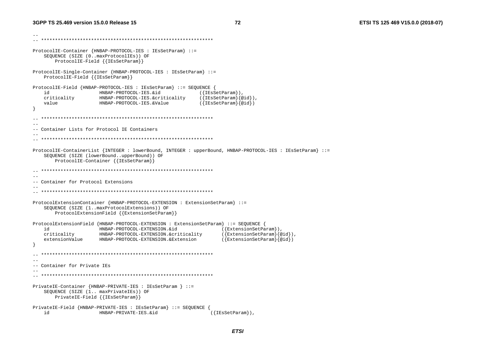--

```
-- ************************************************************** ProtocolIE-Container {HNBAP-PROTOCOL-IES : IEsSetParam} ::= 
     SEQUENCE (SIZE (0..maxProtocolIEs)) OF 
        ProtocolIE-Field {{IEsSetParam}} 
ProtocolIE-Single-Container {HNBAP-PROTOCOL-IES : IEsSetParam} ::= 
     ProtocolIE-Field {{IEsSetParam}} 
ProtocolIE-Field {HNBAP-PROTOCOL-IES : IEsSetParam} ::= SEQUENCE { 
     id HNBAP-PROTOCOL-IES.&id ({IEsSetParam}), 
     criticality HNBAP-PROTOCOL-IES.&criticality ({IEsSetParam}{@id}), 
     value HNBAP-PROTOCOL-IES.&Value ({IEsSetParam}{@id}) 
} 
   -- ************************************************************** -- -- Container Lists for Protocol IE Containers -- -- ************************************************************** ProtocolIE-ContainerList {INTEGER : lowerBound, INTEGER : upperBound, HNBAP-PROTOCOL-IES : IEsSetParam} ::= 
     SEQUENCE (SIZE (lowerBound..upperBound)) OF 
        ProtocolIE-Container {{IEsSetParam}} 
-- ************************************************************** -- -- Container for Protocol Extensions -- 
-- ************************************************************** ProtocolExtensionContainer {HNBAP-PROTOCOL-EXTENSION : ExtensionSetParam} ::= 
     SEQUENCE (SIZE (1..maxProtocolExtensions)) OF 
        ProtocolExtensionField {{ExtensionSetParam}} 
ProtocolExtensionField {HNBAP-PROTOCOL-EXTENSION : ExtensionSetParam} ::= SEQUENCE { 
   id (ExtensionSetParam)),<br>criticality HNBAP-PROTOCOL-EXTENSION.&criticality ({ExtensionSetParam}{@id}),
    criticality HNBAP-PROTOCOL-EXTENSION.&criticality
     extensionValue HNBAP-PROTOCOL-EXTENSION.&Extension ({ExtensionSetParam}{@id}) 
} 
   -- ************************************************************** -- -- Container for Private IEs -- 
-- ************************************************************** PrivateIE-Container {HNBAP-PRIVATE-IES : IEsSetParam } ::= 
     SEQUENCE (SIZE (1.. maxPrivateIEs)) OF 
        PrivateIE-Field {{IEsSetParam}} 
PrivateIE-Field {HNBAP-PRIVATE-IES : IEsSetParam} ::= SEQUENCE { 
    id HNBAP-PRIVATE-IES.&id ({IEsSetParam}),
```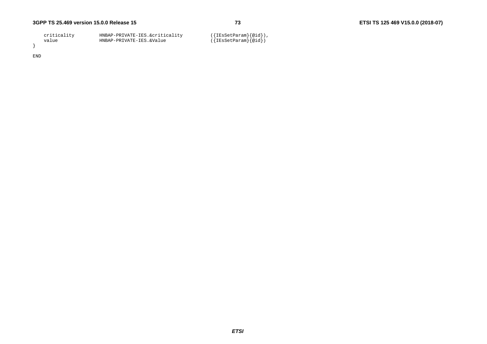| criticality | HNBAP-PRIVATE-IES.&criticality | ({IEsSetParam}{@id}),   |
|-------------|--------------------------------|-------------------------|
| value       | HNBAP-PRIVATE-IES.&Value       | $({IEsSetParam}$ $@id)$ |
|             |                                |                         |

END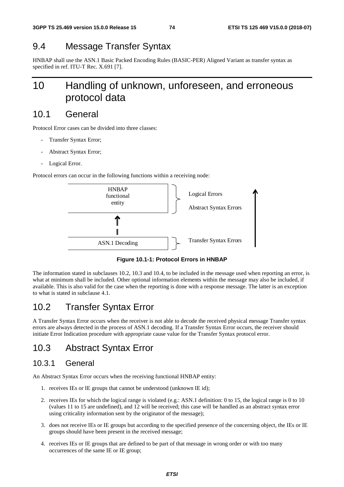# 9.4 Message Transfer Syntax

HNBAP shall use the ASN.1 Basic Packed Encoding Rules (BASIC-PER) Aligned Variant as transfer syntax as specified in ref. ITU-T Rec. X.691 [7].

# 10 Handling of unknown, unforeseen, and erroneous protocol data

## 10.1 General

Protocol Error cases can be divided into three classes:

- Transfer Syntax Error;
- Abstract Syntax Error;
- Logical Error.

Protocol errors can occur in the following functions within a receiving node:



**Figure 10.1-1: Protocol Errors in HNBAP** 

The information stated in subclauses 10.2, 10.3 and 10.4, to be included in the message used when reporting an error, is what at minimum shall be included. Other optional information elements within the message may also be included, if available. This is also valid for the case when the reporting is done with a response message. The latter is an exception to what is stated in subclause 4.1.

# 10.2 Transfer Syntax Error

A Transfer Syntax Error occurs when the receiver is not able to decode the received physical message Transfer syntax errors are always detected in the process of ASN.1 decoding. If a Transfer Syntax Error occurs, the receiver should initiate Error Indication procedure with appropriate cause value for the Transfer Syntax protocol error.

# 10.3 Abstract Syntax Error

### 10.3.1 General

An Abstract Syntax Error occurs when the receiving functional HNBAP entity:

- 1. receives IEs or IE groups that cannot be understood (unknown IE id);
- 2. receives IEs for which the logical range is violated (e.g.: ASN.1 definition: 0 to 15, the logical range is 0 to 10 (values 11 to 15 are undefined), and 12 will be received; this case will be handled as an abstract syntax error using criticality information sent by the originator of the message);
- 3. does not receive IEs or IE groups but according to the specified presence of the concerning object, the IEs or IE groups should have been present in the received message;
- 4. receives IEs or IE groups that are defined to be part of that message in wrong order or with too many occurrences of the same IE or IE group;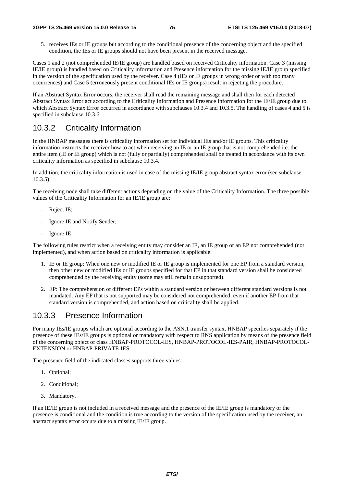5. receives IEs or IE groups but according to the conditional presence of the concerning object and the specified condition, the IEs or IE groups should not have been present in the received message.

Cases 1 and 2 (not comprehended IE/IE group) are handled based on received Criticality information. Case 3 (missing IE/IE group) is handled based on Criticality information and Presence information for the missing IE/IE group specified in the version of the specification used by the receiver. Case 4 (IEs or IE groups in wrong order or with too many occurrences) and Case 5 (erroneously present conditional IEs or IE groups) result in rejecting the procedure.

If an Abstract Syntax Error occurs, the receiver shall read the remaining message and shall then for each detected Abstract Syntax Error act according to the Criticality Information and Presence Information for the IE/IE group due to which Abstract Syntax Error occurred in accordance with subclauses 10.3.4 and 10.3.5. The handling of cases 4 and 5 is specified in subclause 10.3.6.

### 10.3.2 Criticality Information

In the HNBAP messages there is criticality information set for individual IEs and/or IE groups. This criticality information instructs the receiver how to act when receiving an IE or an IE group that is not comprehended i.e. the entire item (IE or IE group) which is not (fully or partially) comprehended shall be treated in accordance with its own criticality information as specified in subclause 10.3.4.

In addition, the criticality information is used in case of the missing IE/IE group abstract syntax error (see subclause 10.3.5).

The receiving node shall take different actions depending on the value of the Criticality Information. The three possible values of the Criticality Information for an IE/IE group are:

- Reject IE;
- Ignore IE and Notify Sender;
- Ignore IE.

The following rules restrict when a receiving entity may consider an IE, an IE group or an EP not comprehended (not implemented), and when action based on criticality information is applicable:

- 1. IE or IE group: When one new or modified IE or IE group is implemented for one EP from a standard version, then other new or modified IEs or IE groups specified for that EP in that standard version shall be considered comprehended by the receiving entity (some may still remain unsupported).
- 2. EP: The comprehension of different EPs within a standard version or between different standard versions is not mandated. Any EP that is not supported may be considered not comprehended, even if another EP from that standard version is comprehended, and action based on criticality shall be applied.

### 10.3.3 Presence Information

For many IEs/IE groups which are optional according to the ASN.1 transfer syntax, HNBAP specifies separately if the presence of these IEs/IE groups is optional or mandatory with respect to RNS application by means of the presence field of the concerning object of class HNBAP-PROTOCOL-IES, HNBAP-PROTOCOL-IES-PAIR, HNBAP-PROTOCOL-EXTENSION or HNBAP-PRIVATE-IES.

The presence field of the indicated classes supports three values:

- 1. Optional;
- 2. Conditional;
- 3. Mandatory.

If an IE/IE group is not included in a received message and the presence of the IE/IE group is mandatory or the presence is conditional and the condition is true according to the version of the specification used by the receiver, an abstract syntax error occurs due to a missing IE/IE group.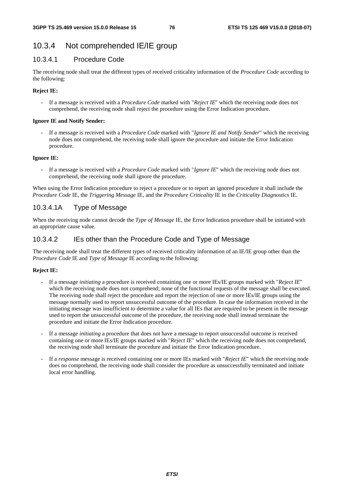### 10.3.4 Not comprehended IE/IE group

### 10.3.4.1 Procedure Code

The receiving node shall treat the different types of received criticality information of the *Procedure Code* according to the following:

### **Reject IE:**

- If a message is received with a *Procedure Code* marked with "*Reject IE*" which the receiving node does not comprehend, the receiving node shall reject the procedure using the Error Indication procedure.

#### **Ignore IE and Notify Sender:**

- If a message is received with a *Procedure Code* marked with "*Ignore IE and Notify Sender*" which the receiving node does not comprehend, the receiving node shall ignore the procedure and initiate the Error Indication procedure.

#### **Ignore IE:**

- If a message is received with a *Procedure Code* marked with "*Ignore IE*" which the receiving node does not comprehend, the receiving node shall ignore the procedure.

When using the Error Indication procedure to reject a procedure or to report an ignored procedure it shall include the *Procedure Code* IE, the *Triggering Message* IE, and the *Procedure Criticality* IE in the *Criticality Diagnostics* IE.

### 10.3.4.1A Type of Message

When the receiving node cannot decode the *Type of Message* IE, the Error Indication procedure shall be initiated with an appropriate cause value.

### 10.3.4.2 IEs other than the Procedure Code and Type of Message

The receiving node shall treat the different types of received criticality information of an IE/IE group other than the *Procedure Code* IE and *Type of Message* IE according to the following:

#### **Reject IE:**

- If a message *initiating* a procedure is received containing one or more IEs/IE groups marked with "*Reject IE*" which the receiving node does not comprehend; none of the functional requests of the message shall be executed. The receiving node shall reject the procedure and report the rejection of one or more IEs/IE groups using the message normally used to report unsuccessful outcome of the procedure. In case the information received in the initiating message was insufficient to determine a value for all IEs that are required to be present in the message used to report the unsuccessful outcome of the procedure, the receiving node shall instead terminate the procedure and initiate the Error Indication procedure.
- If a message *initiating* a procedure that does not have a message to report unsuccessful outcome is received containing one or more IEs/IE groups marked with "*Reject IE*" which the receiving node does not comprehend, the receiving node shall terminate the procedure and initiate the Error Indication procedure.
- If a *response* message is received containing one or more IEs marked with "*Reject IE*" which the receiving node does no comprehend, the receiving node shall consider the procedure as unsuccessfully terminated and initiate local error handling.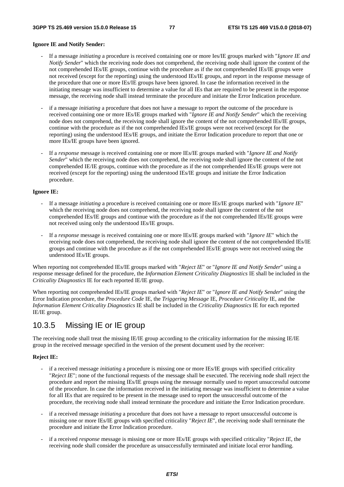#### **Ignore IE and Notify Sender:**

- If a message *initiating* a procedure is received containing one or more Ies/IE groups marked with "*Ignore IE and Notify Sender*" which the receiving node does not comprehend, the receiving node shall ignore the content of the not comprehended IEs/IE groups, continue with the procedure as if the not comprehended IEs/IE groups were not received (except for the reporting) using the understood IEs/IE groups, and report in the response message of the procedure that one or more IEs/IE groups have been ignored. In case the information received in the initiating message was insufficient to determine a value for all IEs that are required to be present in the response message, the receiving node shall instead terminate the procedure and initiate the Error Indication procedure.
- if a message *initiating* a procedure that does not have a message to report the outcome of the procedure is received containing one or more IEs/IE groups marked with "*Ignore IE and Notify Sender*" which the receiving node does not comprehend, the receiving node shall ignore the content of the not comprehended IEs/IE groups, continue with the procedure as if the not comprehended IEs/IE groups were not received (except for the reporting) using the understood IEs/IE groups, and initiate the Error Indication procedure to report that one or more IEs/IE groups have been ignored.
- If a *response* message is received containing one or more IEs/IE groups marked with "*Ignore IE and Notify Sender*" which the receiving node does not comprehend, the receiving node shall ignore the content of the not comprehended IE/IE groups, continue with the procedure as if the not comprehended IEs/IE groups were not received (except for the reporting) using the understood IEs/IE groups and initiate the Error Indication procedure.

#### **Ignore IE:**

- If a message *initiating* a procedure is received containing one or more IEs/IE groups marked with "*Ignore IE*" which the receiving node does not comprehend, the receiving node shall ignore the content of the not comprehended IEs/IE groups and continue with the procedure as if the not comprehended IEs/IE groups were not received using only the understood IEs/IE groups.
- If a *response* message is received containing one or more IEs/IE groups marked with "*Ignore IE*" which the receiving node does not comprehend, the receiving node shall ignore the content of the not comprehended IEs/IE groups and continue with the procedure as if the not comprehended IEs/IE groups were not received using the understood IEs/IE groups.

When reporting not comprehended IEs/IE groups marked with "*Reject IE*" or "*Ignore IE and Notify Sender*" using a response message defined for the procedure, the *Information Element Criticality Diagnostics* IE shall be included in the *Criticality Diagnostics* IE for each reported IE/IE group.

When reporting not comprehended IEs/IE groups marked with "*Reject IE*" or "*Ignore IE and Notify Sender*" using the Error Indication procedure, the *Procedure Code* IE, the *Triggering Message* IE, *Procedure Criticality* IE, and the *Information Element Criticality Diagnostics* IE shall be included in the *Criticality Diagnostics* IE for each reported IE/IE group.

### 10.3.5 Missing IE or IE group

The receiving node shall treat the missing IE/IE group according to the criticality information for the missing IE/IE group in the received message specified in the version of the present document used by the receiver:

#### **Reject IE:**

- if a received message *initiating* a procedure is missing one or more IEs/IE groups with specified criticality "*Reject IE*"; none of the functional requests of the message shall be executed. The receiving node shall reject the procedure and report the missing IEs/IE groups using the message normally used to report unsuccessful outcome of the procedure. In case the information received in the initiating message was insufficient to determine a value for all IEs that are required to be present in the message used to report the unsuccessful outcome of the procedure, the receiving node shall instead terminate the procedure and initiate the Error Indication procedure.
- if a received message *initiating* a procedure that does not have a message to report unsuccessful outcome is missing one or more IEs/IE groups with specified criticality "*Reject IE*", the receiving node shall terminate the procedure and initiate the Error Indication procedure.
- if a received *response* message is missing one or more IEs/IE groups with specified criticality "*Reject IE*, the receiving node shall consider the procedure as unsuccessfully terminated and initiate local error handling.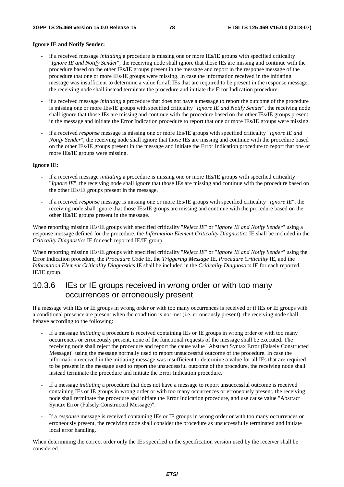#### **Ignore IE and Notify Sender:**

- if a received message *initiating* a procedure is missing one or more IEs/IE groups with specified criticality "*Ignore IE and Notify Sender*", the receiving node shall ignore that those IEs are missing and continue with the procedure based on the other IEs/IE groups present in the message and report in the response message of the procedure that one or more IEs/IE groups were missing. In case the information received in the initiating message was insufficient to determine a value for all IEs that are required to be present in the response message, the receiving node shall instead terminate the procedure and initiate the Error Indication procedure.
- if a received message *initiating* a procedure that does not have a message to report the outcome of the procedure is missing one or more IEs/IE groups with specified criticality "*Ignore IE and Notify Sender*", the receiving node shall ignore that those IEs are missing and continue with the procedure based on the other IEs/IE groups present in the message and initiate the Error Indication procedure to report that one or more IEs/IE groups were missing.
- if a received *response* message is missing one or more IEs/IE groups with specified criticality "*Ignore IE and Notify Sender*", the receiving node shall ignore that those IEs are missing and continue with the procedure based on the other IEs/IE groups present in the message and initiate the Error Indication procedure to report that one or more IEs/IE groups were missing.

#### **Ignore IE:**

- if a received message *initiating* a procedure is missing one or more IEs/IE groups with specified criticality "*Ignore IE*", the receiving node shall ignore that those IEs are missing and continue with the procedure based on the other IEs/IE groups present in the message.
- if a received *response* message is missing one or more IEs/IE groups with specified criticality "*Ignore IE*", the receiving node shall ignore that those IEs/IE groups are missing and continue with the procedure based on the other IEs/IE groups present in the message.

When reporting missing IEs/IE groups with specified criticality "*Reject IE*" or "*Ignore IE and Notify Sender*" using a response message defined for the procedure, the *Information Element Criticality Diagnostics* IE shall be included in the *Criticality Diagnostics* IE for each reported IE/IE group.

When reporting missing IEs/IE groups with specified criticality "*Reject IE*" or "*Ignore IE and Notify Sender*" using the Error Indication procedure, the *Procedure Code* IE, the *Triggering Message* IE, *Procedure Criticality* IE, and the *Information Element Criticality Diagnostics* IE shall be included in the *Criticality Diagnostics* IE for each reported IE/IE group.

### 10.3.6 IEs or IE groups received in wrong order or with too many occurrences or erroneously present

If a message with IEs or IE groups in wrong order or with too many occurrences is received or if IEs or IE groups with a conditional presence are present when the condition is not met (i.e. erroneously present), the receiving node shall behave according to the following:

- If a message *initiating* a procedure is received containing IEs or IE groups in wrong order or with too many occurrences or erroneously present, none of the functional requests of the message shall be executed. The receiving node shall reject the procedure and report the cause value "Abstract Syntax Error (Falsely Constructed Message)" using the message normally used to report unsuccessful outcome of the procedure. In case the information received in the initiating message was insufficient to determine a value for all IEs that are required to be present in the message used to report the unsuccessful outcome of the procedure, the receiving node shall instead terminate the procedure and initiate the Error Indication procedure.
- If a message *initiating* a procedure that does not have a message to report unsuccessful outcome is received containing IEs or IE groups in wrong order or with too many occurrences or erroneously present, the receiving node shall terminate the procedure and initiate the Error Indication procedure, and use cause value "Abstract Syntax Error (Falsely Constructed Message)".
- If a *response* message is received containing IEs or IE groups in wrong order or with too many occurrences or erroneously present, the receiving node shall consider the procedure as unsuccessfully terminated and initiate local error handling.

When determining the correct order only the IEs specified in the specification version used by the receiver shall be considered.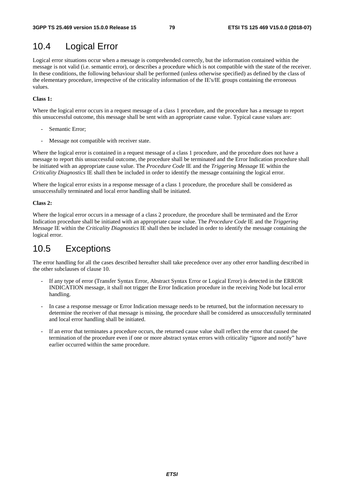# 10.4 Logical Error

Logical error situations occur when a message is comprehended correctly, but the information contained within the message is not valid (i.e. semantic error), or describes a procedure which is not compatible with the state of the receiver. In these conditions, the following behaviour shall be performed (unless otherwise specified) as defined by the class of the elementary procedure, irrespective of the criticality information of the IE's/IE groups containing the erroneous values.

#### **Class 1:**

Where the logical error occurs in a request message of a class 1 procedure, and the procedure has a message to report this unsuccessful outcome, this message shall be sent with an appropriate cause value. Typical cause values are:

- Semantic Error;
- Message not compatible with receiver state.

Where the logical error is contained in a request message of a class 1 procedure, and the procedure does not have a message to report this unsuccessful outcome, the procedure shall be terminated and the Error Indication procedure shall be initiated with an appropriate cause value. The *Procedure Code* IE and the *Triggering Message* IE within the *Criticality Diagnostics* IE shall then be included in order to identify the message containing the logical error.

Where the logical error exists in a response message of a class 1 procedure, the procedure shall be considered as unsuccessfully terminated and local error handling shall be initiated.

#### **Class 2:**

Where the logical error occurs in a message of a class 2 procedure, the procedure shall be terminated and the Error Indication procedure shall be initiated with an appropriate cause value. The *Procedure Code* IE and the *Triggering Message* IE within the *Criticality Diagnostics* IE shall then be included in order to identify the message containing the logical error.

# 10.5 Exceptions

The error handling for all the cases described hereafter shall take precedence over any other error handling described in the other subclauses of clause 10.

- If any type of error (Transfer Syntax Error, Abstract Syntax Error or Logical Error) is detected in the ERROR INDICATION message, it shall not trigger the Error Indication procedure in the receiving Node but local error handling.
- In case a response message or Error Indication message needs to be returned, but the information necessary to determine the receiver of that message is missing, the procedure shall be considered as unsuccessfully terminated and local error handling shall be initiated.
- If an error that terminates a procedure occurs, the returned cause value shall reflect the error that caused the termination of the procedure even if one or more abstract syntax errors with criticality "ignore and notify" have earlier occurred within the same procedure.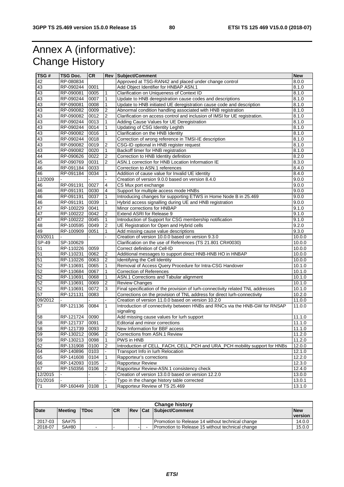# Annex A (informative): Change History

| TSG#            | TSG Doc.  | <b>CR</b>    |                     | <b>Rev Subject/Comment</b>                                                                  | <b>New</b>       |
|-----------------|-----------|--------------|---------------------|---------------------------------------------------------------------------------------------|------------------|
| 42              | RP-080834 |              |                     | Approved at TSG-RAN42 and placed under change control                                       | 8.0.0            |
| 43              | RP-090244 | 0001         |                     | Add Object Identifier for HNBAP ASN.1                                                       | 8.1.0            |
| 43              | RP-090081 | 0005         | 1                   | Clarification on Uniqueness of Context ID                                                   | 8.1.0            |
| 43              | RP-090244 | 0007         | 1                   | Update to HNB deregistration cause codes and descriptions                                   | 8.1.0            |
| 43              | RP-090081 | 0008         | 1                   | Update to HNB initiated UE deregistration cause code and description                        | 8.1.0            |
| 43              | RP-090082 | 0009         | $\overline{2}$      | Abnormal condition handling associated with HNB registration                                | 8.1.0            |
| 43              | RP-090082 | 0012         | 2                   | Clarification on access control and inclusion of IMSI for UE registration.                  | 8.1.0            |
| 43              | RP-090244 | 0013         | 1                   | Adding Cause Values for UE Deregistration                                                   | 8.1.0            |
| 43              | RP-090244 | 0014         | 1                   | Updating of CSG Identity Leghth                                                             | 8.1.0            |
| 43              | RP-090082 | 0016         | 1                   | Clarification on the HNB Identity                                                           | 8.1.0            |
| 43              | RP-090244 | 0018         |                     | Correction of wrong reference in TMSI-IE description                                        | 8.1.0            |
| 43              | RP-090082 | 0019         | $\overline{2}$      | CSG-ID optional in HNB register request                                                     | 8.1.0            |
| 43              | RP-090082 | 0020         | $\mathbf{1}$        | Backoff timer for HNB registration                                                          | 8.1.0            |
| 44              | RP-090626 | 0022         | $\overline{2}$      | Correction to HNB Identity definition                                                       | 8.2.0            |
| 45              | RP-090769 | 0031         | 2                   | ASN.1 correction for HNB Location Information IE                                            | 8.3.0            |
| 46              | RP-091184 | 0033         |                     | Correction to ASN.1 references                                                              | 8.4.0            |
| 46              | RP-091184 | 0034         | 1                   | Addition of cause value for Invalid UE identity                                             | 8.4.0            |
| 12/2009         |           |              |                     | Creation of version 9.0.0 based on version 8.4.0                                            | 9.0.0            |
| 46              | RP-091191 | 0027         | 4                   | CS Mux port exchange                                                                        | 9.0.0            |
| 46              | RP-091191 | 0030         | 4                   | Support for multiple access mode HNBs                                                       | 9.0.0            |
| 46              | RP-091191 | 0037         | 1                   | Introducing changes for supporting ETWS in Home Node B in 25.469                            | 9.0.0            |
| 46              | RP-091191 | 0039         | 1                   | Hybrid access signalling during UE and HNB registration                                     | 9.0.0            |
| 47              | RP-100229 | 0041         |                     | Minor corrections for HNBAP                                                                 | 9.1.0            |
| 47              | RP-100222 | 0042         | 2                   | Extend ASRI for Release 9                                                                   | 9.1.0            |
| 47              | RP-100222 | 0045         | 1                   | Introduction of Support for CSG membership notification                                     | 9.1.0            |
| 48              | RP-100595 | 0049         | $\overline{2}$      | UE Registration for Open and Hybrid cells                                                   | 9.2.0            |
| 49              | RP-100909 | 0051         | 1                   | Add missing cause value descriptions                                                        | 9.3.0            |
| 03/2011         |           |              |                     | Creation of version 10.0.0 based on version 9.3.0                                           | 10.0.0           |
| SP-49           | SP-100629 |              |                     | Clarification on the use of References (TS 21.801 CR#0030)                                  | 10.0.0           |
| 51              | RP-110226 | 0059         |                     | Correct definition of Cell-ID                                                               | 10.0.0           |
|                 |           |              |                     |                                                                                             |                  |
| 51<br>51        | RP-110231 | 0062<br>0063 | 2<br>$\overline{2}$ | Additional messages to support direct HNB-HNB HO in HNBAP                                   | 10.0.0<br>10.0.0 |
|                 | RP-110226 |              |                     | Identifying the Cell Identity                                                               |                  |
| 52<br>52        | RP-110691 | 0065         | 1                   | Removal of Access Query Procedure for Intra-CSG Handover<br><b>Correction of References</b> | 10.1.0           |
|                 | RP-110684 | 0067         | 1                   |                                                                                             | 10.1.0           |
| 52              | RP-110691 | 0068         | 1                   | ASN.1 Corrections and Tabular alignment                                                     | 10.1.0           |
| 52              | RP-110691 | 0069         | $\overline{2}$      | <b>Review Changes</b>                                                                       | 10.1.0           |
| 52              | RP-110691 | 0072         | 3                   | Final specification of the provision of lurh-connectivity related TNL addresses             | 10.1.0           |
| $\overline{57}$ | RP-121131 | 0083         |                     | Corrections on the provision of TNL address for direct lurh-connectivity                    | 10.2.0           |
| 09/2012         |           |              |                     | Creation of version 11.0.0 based on version 10.2.0                                          | 11.0.0           |
| 57              | RP-121136 | 0084         | 1                   | Introduction of connectivity between HNBs and RNCs via the HNB-GW for RNSAP                 | 11.0.0           |
|                 |           |              |                     | signaling                                                                                   |                  |
| 58              | RP-121724 | 0090         |                     | Add missing cause values for lurh support                                                   | 11.1.0           |
| 58              | RP-121737 | 0091         |                     | Editorial and minor corrections                                                             | 11.1.0           |
| 58              | RP-121739 | 0093         | 2                   | New Information for BBF access                                                              | 11.1.0           |
| 59              | RP-130212 | 0096         | 2                   | Corrections from ASN.1 Review                                                               | 11.2.0           |
| 59              | RP-130213 | 0098         | $\mathbf{1}$        | PWS in HNB                                                                                  | 11.2.0           |
| 62              | RP-131908 | 0100         | 2                   | Introduction of CELL_FACH, CELL_PCH and URA_PCH mobility support for HNBs                   | 12.0.0           |
| 64              | RP-140896 | 0103         |                     | Transport Info in lurh Relocation                                                           | 12.1.0           |
| 65              | RP-141608 | 0104         |                     | Rapporteur's corrections                                                                    | 12.2.0           |
| 66              | RP-142093 | 0105         |                     | Rapporteur Review                                                                           | 12.3.0           |
| 67              | RP-150356 | 0106         | 2                   | Rapporteur Review-ASN.1 consistency check                                                   | 12.4.0           |
| 12/2015         |           |              |                     | Creation of version 13.0.0 based on version 12.2.0                                          | 13.0.0           |
| 01/2016         |           |              |                     | Typo in the change history table corrected                                                  | 13.0.1           |
| 71              | RP-160449 | 0108         | $\vert$ 1           | Rapporteur Review of TS 25.469                                                              | 13.1.0           |

| <b>Change history</b> |         |                |           |                |  |                                                    |                |
|-----------------------|---------|----------------|-----------|----------------|--|----------------------------------------------------|----------------|
| <b>Date</b>           | Meeting | <b>TDoc</b>    | <b>CR</b> | <b>Rev Cat</b> |  | Subject/Comment                                    | <b>New</b>     |
|                       |         |                |           |                |  |                                                    | <b>version</b> |
| 2017-03               | SA#75   |                |           |                |  | Promotion to Release 14 without technical change   | 14.0.0         |
| 2018-07               | SA#80   | $\blacksquare$ |           |                |  | I Promotion to Release 15 without technical change | 15.0.0         |